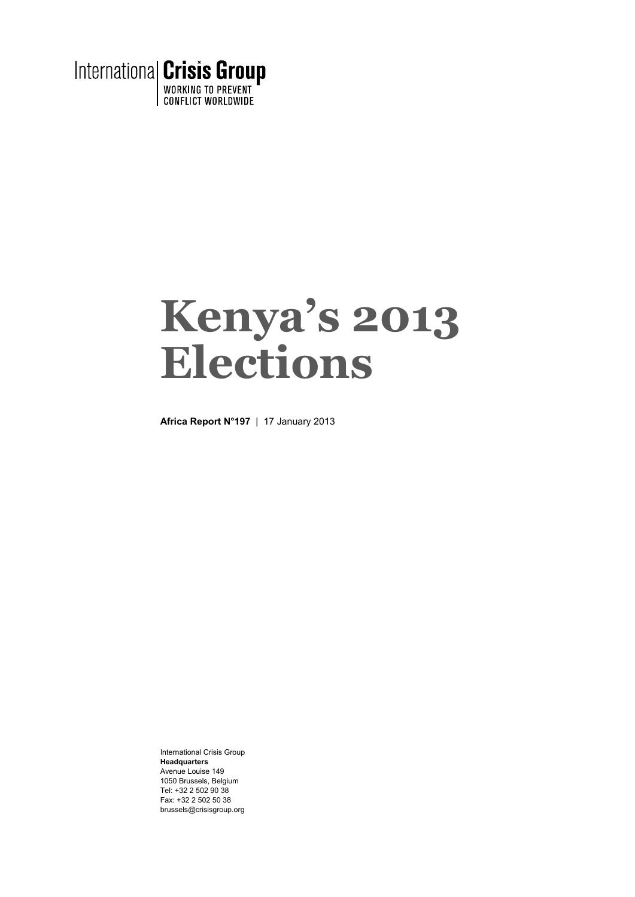

# **Kenya's 2013 Elections**

**Africa Report N°197** | 17 January 2013

International Crisis Group **Headquarters**  Avenue Louise 149 1050 Brussels, Belgium Tel: +32 2 502 90 38 Fax: +32 2 502 50 38 brussels@crisisgroup.org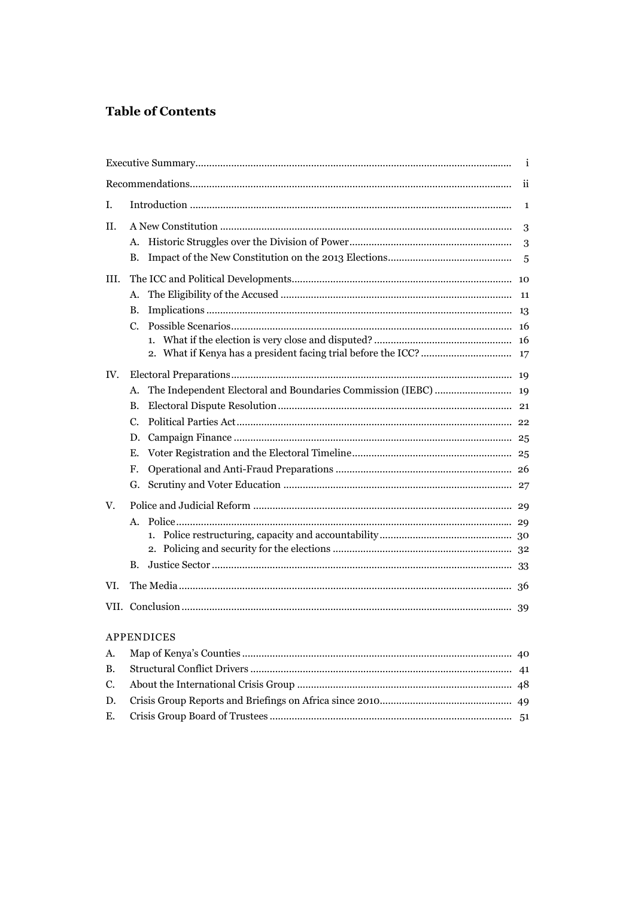## **Table of Contents**

|      |                   | i |  |  |  |
|------|-------------------|---|--|--|--|
|      |                   |   |  |  |  |
| I.   |                   |   |  |  |  |
| Н.   |                   |   |  |  |  |
|      | А.                | 3 |  |  |  |
|      | В.                | 5 |  |  |  |
| III. |                   |   |  |  |  |
|      | А.                |   |  |  |  |
|      | В.                |   |  |  |  |
|      | $C_{\cdot}$       |   |  |  |  |
|      | 1.                |   |  |  |  |
|      |                   |   |  |  |  |
| IV.  |                   |   |  |  |  |
|      | А.                |   |  |  |  |
|      | В.                |   |  |  |  |
|      | $C_{\cdot}$       |   |  |  |  |
|      | D.                |   |  |  |  |
|      | Е.                |   |  |  |  |
|      | F.                |   |  |  |  |
|      | G.                |   |  |  |  |
| V.   |                   |   |  |  |  |
|      | А.                |   |  |  |  |
|      | 1.                |   |  |  |  |
|      |                   |   |  |  |  |
|      | В.                |   |  |  |  |
| VI.  |                   |   |  |  |  |
|      |                   |   |  |  |  |
|      | <b>APPENDICES</b> |   |  |  |  |
| А.   |                   |   |  |  |  |
| B.   |                   |   |  |  |  |
| C.   |                   |   |  |  |  |
| D.   |                   |   |  |  |  |
| Ε.   |                   |   |  |  |  |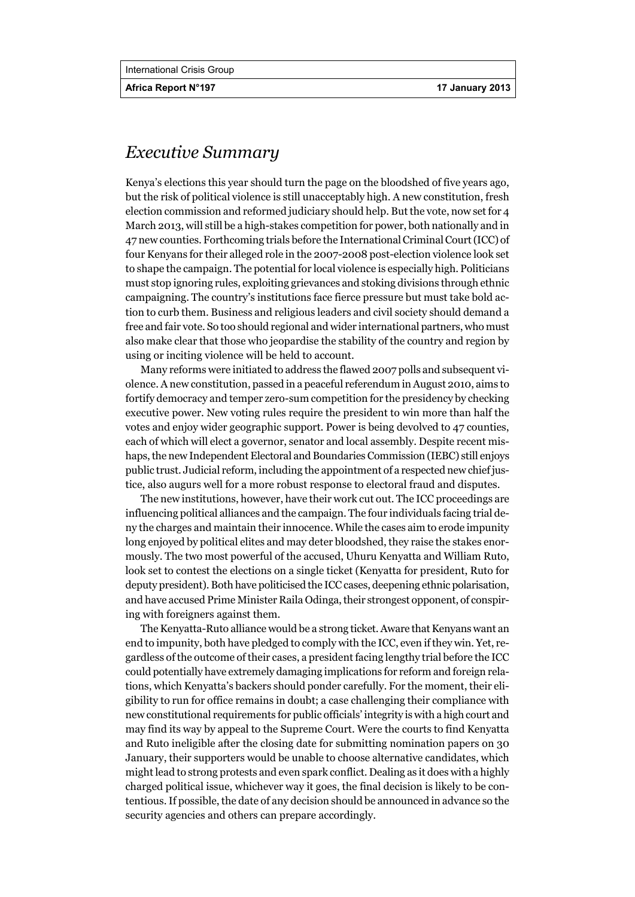## *Executive Summary*

Kenya's elections this year should turn the page on the bloodshed of five years ago, but the risk of political violence is still unacceptably high. A new constitution, fresh election commission and reformed judiciary should help. But the vote, now set for 4 March 2013, will still be a high-stakes competition for power, both nationally and in 47 new counties. Forthcoming trials before the International Criminal Court (ICC) of four Kenyans for their alleged role in the 2007-2008 post-election violence look set to shape the campaign. The potential for local violence is especially high. Politicians must stop ignoring rules, exploiting grievances and stoking divisions through ethnic campaigning. The country's institutions face fierce pressure but must take bold action to curb them. Business and religious leaders and civil society should demand a free and fair vote. So too should regional and wider international partners, who must also make clear that those who jeopardise the stability of the country and region by using or inciting violence will be held to account.

Many reforms were initiated to address the flawed 2007 polls and subsequent violence. A new constitution, passed in a peaceful referendum in August 2010, aims to fortify democracy and temper zero-sum competition for the presidency by checking executive power. New voting rules require the president to win more than half the votes and enjoy wider geographic support. Power is being devolved to 47 counties, each of which will elect a governor, senator and local assembly. Despite recent mishaps, the new Independent Electoral and Boundaries Commission (IEBC) still enjoys public trust. Judicial reform, including the appointment of a respected new chief justice, also augurs well for a more robust response to electoral fraud and disputes.

The new institutions, however, have their work cut out. The ICC proceedings are influencing political alliances and the campaign. The four individuals facing trial deny the charges and maintain their innocence. While the cases aim to erode impunity long enjoyed by political elites and may deter bloodshed, they raise the stakes enormously. The two most powerful of the accused, Uhuru Kenyatta and William Ruto, look set to contest the elections on a single ticket (Kenyatta for president, Ruto for deputy president). Both have politicised the ICC cases, deepening ethnic polarisation, and have accused Prime Minister Raila Odinga, their strongest opponent, of conspiring with foreigners against them.

The Kenyatta-Ruto alliance would be a strong ticket. Aware that Kenyans want an end to impunity, both have pledged to comply with the ICC, even if they win. Yet, regardless of the outcome of their cases, a president facing lengthy trial before the ICC could potentially have extremely damaging implications for reform and foreign relations, which Kenyatta's backers should ponder carefully. For the moment, their eligibility to run for office remains in doubt; a case challenging their compliance with new constitutional requirements for public officials' integrity is with a high court and may find its way by appeal to the Supreme Court. Were the courts to find Kenyatta and Ruto ineligible after the closing date for submitting nomination papers on 30 January, their supporters would be unable to choose alternative candidates, which might lead to strong protests and even spark conflict. Dealing as it does with a highly charged political issue, whichever way it goes, the final decision is likely to be contentious. If possible, the date of any decision should be announced in advance so the security agencies and others can prepare accordingly.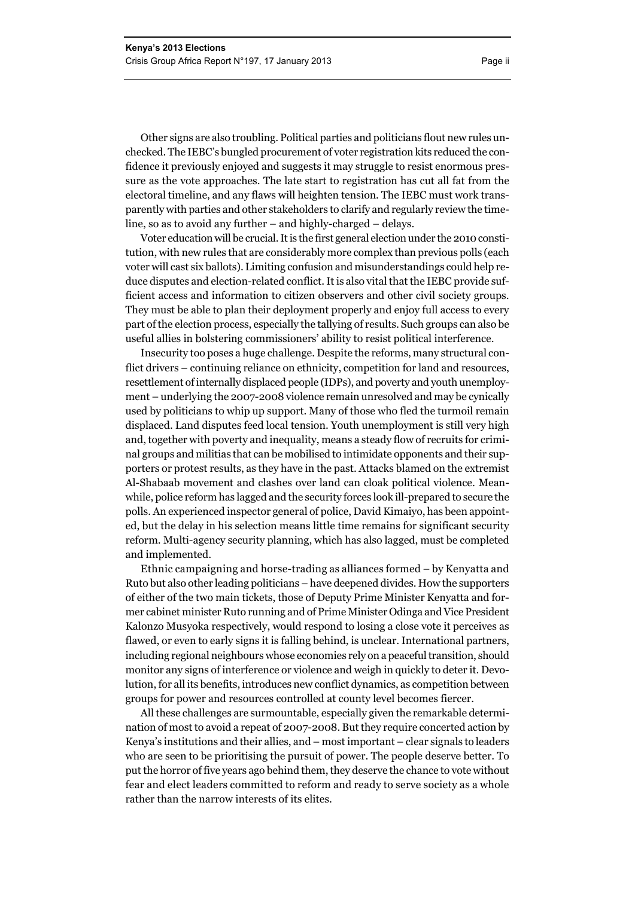Other signs are also troubling. Political parties and politicians flout new rules unchecked. The IEBC's bungled procurement of voter registration kits reduced the confidence it previously enjoyed and suggests it may struggle to resist enormous pressure as the vote approaches. The late start to registration has cut all fat from the electoral timeline, and any flaws will heighten tension. The IEBC must work transparently with parties and other stakeholders to clarify and regularly review the timeline, so as to avoid any further – and highly-charged – delays.

Voter education will be crucial. It is the first general election under the 2010 constitution, with new rules that are considerably more complex than previous polls (each voter will cast six ballots). Limiting confusion and misunderstandings could help reduce disputes and election-related conflict. It is also vital that the IEBC provide sufficient access and information to citizen observers and other civil society groups. They must be able to plan their deployment properly and enjoy full access to every part of the election process, especially the tallying of results. Such groups can also be useful allies in bolstering commissioners' ability to resist political interference.

Insecurity too poses a huge challenge. Despite the reforms, many structural conflict drivers – continuing reliance on ethnicity, competition for land and resources, resettlement of internally displaced people (IDPs), and poverty and youth unemployment – underlying the 2007-2008 violence remain unresolved and may be cynically used by politicians to whip up support. Many of those who fled the turmoil remain displaced. Land disputes feed local tension. Youth unemployment is still very high and, together with poverty and inequality, means a steady flow of recruits for criminal groups and militias that can be mobilised to intimidate opponents and their supporters or protest results, as they have in the past. Attacks blamed on the extremist Al-Shabaab movement and clashes over land can cloak political violence. Meanwhile, police reform has lagged and the security forces look ill-prepared to secure the polls. An experienced inspector general of police, David Kimaiyo, has been appointed, but the delay in his selection means little time remains for significant security reform. Multi-agency security planning, which has also lagged, must be completed and implemented.

Ethnic campaigning and horse-trading as alliances formed – by Kenyatta and Ruto but also other leading politicians – have deepened divides. How the supporters of either of the two main tickets, those of Deputy Prime Minister Kenyatta and former cabinet minister Ruto running and of Prime Minister Odinga and Vice President Kalonzo Musyoka respectively, would respond to losing a close vote it perceives as flawed, or even to early signs it is falling behind, is unclear. International partners, including regional neighbours whose economies rely on a peaceful transition, should monitor any signs of interference or violence and weigh in quickly to deter it. Devolution, for all its benefits, introduces new conflict dynamics, as competition between groups for power and resources controlled at county level becomes fiercer.

All these challenges are surmountable, especially given the remarkable determination of most to avoid a repeat of 2007-2008. But they require concerted action by Kenya's institutions and their allies, and – most important – clear signals to leaders who are seen to be prioritising the pursuit of power. The people deserve better. To put the horror of five years ago behind them, they deserve the chance to vote without fear and elect leaders committed to reform and ready to serve society as a whole rather than the narrow interests of its elites.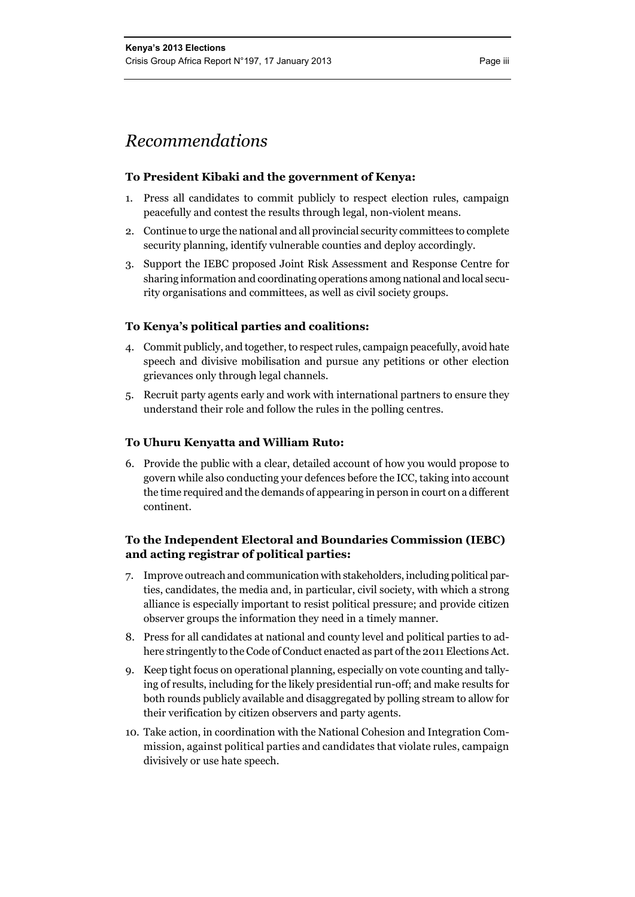## *Recommendations*

#### **To President Kibaki and the government of Kenya:**

- 1. Press all candidates to commit publicly to respect election rules, campaign peacefully and contest the results through legal, non-violent means.
- 2. Continue to urge the national and all provincial security committees to complete security planning, identify vulnerable counties and deploy accordingly.
- 3. Support the IEBC proposed Joint Risk Assessment and Response Centre for sharing information and coordinating operations among national and local security organisations and committees, as well as civil society groups.

#### **To Kenya's political parties and coalitions:**

- 4. Commit publicly, and together, to respect rules, campaign peacefully, avoid hate speech and divisive mobilisation and pursue any petitions or other election grievances only through legal channels.
- 5. Recruit party agents early and work with international partners to ensure they understand their role and follow the rules in the polling centres.

#### **To Uhuru Kenyatta and William Ruto:**

6. Provide the public with a clear, detailed account of how you would propose to govern while also conducting your defences before the ICC, taking into account the time required and the demands of appearing in person in court on a different continent.

#### **To the Independent Electoral and Boundaries Commission (IEBC) and acting registrar of political parties:**

- 7. Improve outreach and communication with stakeholders, including political parties, candidates, the media and, in particular, civil society, with which a strong alliance is especially important to resist political pressure; and provide citizen observer groups the information they need in a timely manner.
- 8. Press for all candidates at national and county level and political parties to adhere stringently to the Code of Conduct enacted as part of the 2011 Elections Act.
- 9. Keep tight focus on operational planning, especially on vote counting and tallying of results, including for the likely presidential run-off; and make results for both rounds publicly available and disaggregated by polling stream to allow for their verification by citizen observers and party agents.
- 10. Take action, in coordination with the National Cohesion and Integration Commission, against political parties and candidates that violate rules, campaign divisively or use hate speech.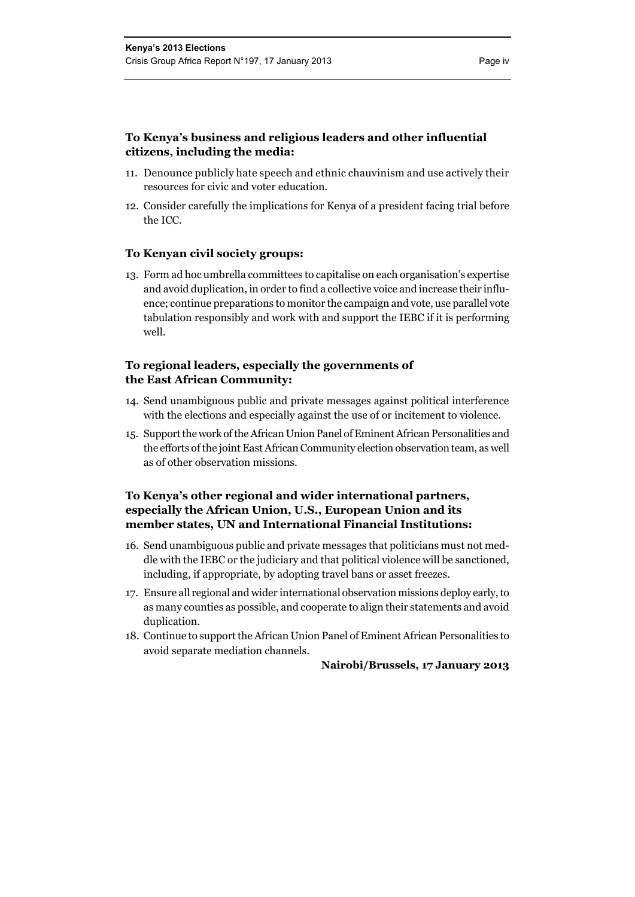- 11. Denounce publicly hate speech and ethnic chauvinism and use actively their resources for civic and voter education.
- 12. Consider carefully the implications for Kenya of a president facing trial before the ICC.

#### **To Kenyan civil society groups:**

13. Form ad hoc umbrella committees to capitalise on each organisation's expertise and avoid duplication, in order to find a collective voice and increase their influence; continue preparations to monitor the campaign and vote, use parallel vote tabulation responsibly and work with and support the IEBC if it is performing well.

#### **To regional leaders, especially the governments of the East African Community:**

- 14. Send unambiguous public and private messages against political interference with the elections and especially against the use of or incitement to violence.
- 15. Support the work of the African Union Panel of Eminent African Personalities and the efforts of the joint East African Community election observation team, as well as of other observation missions.

#### **To Kenya's other regional and wider international partners, especially the African Union, U.S., European Union and its member states, UN and International Financial Institutions:**

- 16. Send unambiguous public and private messages that politicians must not meddle with the IEBC or the judiciary and that political violence will be sanctioned, including, if appropriate, by adopting travel bans or asset freezes.
- 17. Ensure all regional and wider international observation missions deploy early, to as many counties as possible, and cooperate to align their statements and avoid duplication.
- 18. Continue to support the African Union Panel of Eminent African Personalities to avoid separate mediation channels.

**Nairobi/Brussels, 17 January 2013**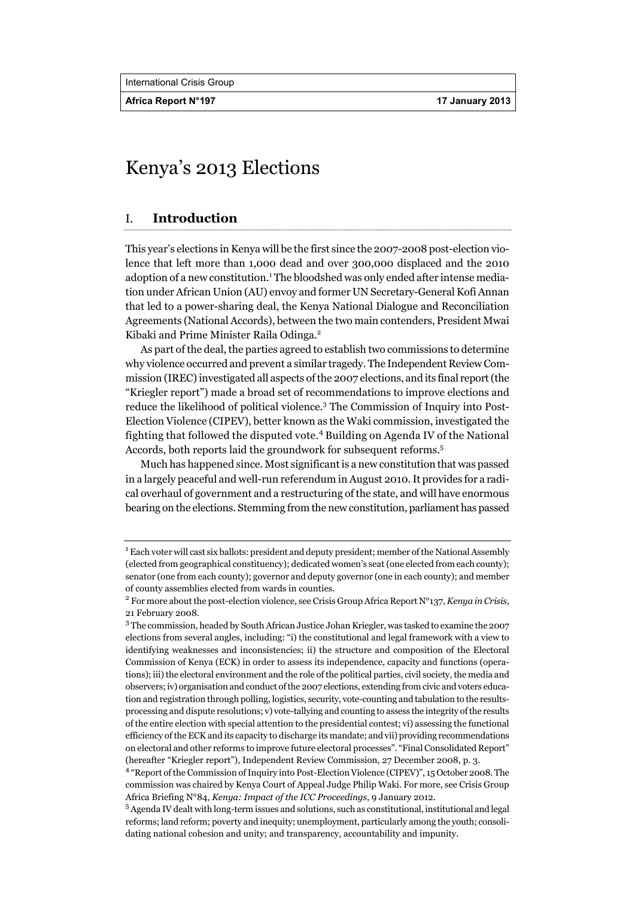**Africa Report N°197 17 January 2013** 

## Kenya's 2013 Elections

### I. **Introduction**

This year's elections in Kenya will be the first since the 2007-2008 post-election violence that left more than 1,000 dead and over 300,000 displaced and the 2010 adoption of a new constitution.<sup>1</sup> The bloodshed was only ended after intense mediation under African Union (AU) envoy and former UN Secretary-General Kofi Annan that led to a power-sharing deal, the Kenya National Dialogue and Reconciliation Agreements (National Accords), between the two main contenders, President Mwai Kibaki and Prime Minister Raila Odinga.<sup>2</sup>

As part of the deal, the parties agreed to establish two commissions to determine why violence occurred and prevent a similar tragedy. The Independent Review Commission (IREC) investigated all aspects of the 2007 elections, and its final report (the "Kriegler report") made a broad set of recommendations to improve elections and reduce the likelihood of political violence.<sup>3</sup> The Commission of Inquiry into Post-Election Violence (CIPEV), better known as the Waki commission, investigated the fighting that followed the disputed vote.<sup>4</sup> Building on Agenda IV of the National Accords, both reports laid the groundwork for subsequent reforms.<sup>5</sup>

Much has happened since. Most significant is a new constitution that was passed in a largely peaceful and well-run referendum in August 2010. It provides for a radical overhaul of government and a restructuring of the state, and will have enormous bearing on the elections. Stemming from the new constitution, parliament has passed

 $1$  Each voter will cast six ballots: president and deputy president; member of the National Assembly (elected from geographical constituency); dedicated women's seat (one elected from each county); senator (one from each county); governor and deputy governor (one in each county); and member of county assemblies elected from wards in counties.

<sup>2</sup> For more about the post-election violence, see Crisis Group Africa Report N°137, *Kenya in Crisis*, 21 February 2008.

<sup>&</sup>lt;sup>3</sup> The commission, headed by South African Justice Johan Kriegler, was tasked to examine the 2007 elections from several angles, including: "i) the constitutional and legal framework with a view to identifying weaknesses and inconsistencies; ii) the structure and composition of the Electoral Commission of Kenya (ECK) in order to assess its independence, capacity and functions (operations); iii) the electoral environment and the role of the political parties, civil society, the media and observers; iv) organisation and conduct of the 2007 elections, extending from civic and voters education and registration through polling, logistics, security, vote-counting and tabulation to the resultsprocessing and dispute resolutions; v) vote-tallying and counting to assess the integrity of the results of the entire election with special attention to the presidential contest; vi) assessing the functional efficiency of the ECK and its capacity to discharge its mandate; and vii) providing recommendations on electoral and other reforms to improve future electoral processes". "Final Consolidated Report" (hereafter "Kriegler report"), Independent Review Commission, 27 December 2008, p. 3.

<sup>&</sup>lt;sup>4</sup> "Report of the Commission of Inquiry into Post-Election Violence (CIPEV)", 15 October 2008. The commission was chaired by Kenya Court of Appeal Judge Philip Waki. For more, see Crisis Group Africa Briefing N°84, *Kenya: Impact of the ICC Proceedings*, 9 January 2012.

<sup>5</sup> Agenda IV dealt with long-term issues and solutions, such as constitutional, institutional and legal reforms; land reform; poverty and inequity; unemployment, particularly among the youth; consolidating national cohesion and unity; and transparency, accountability and impunity.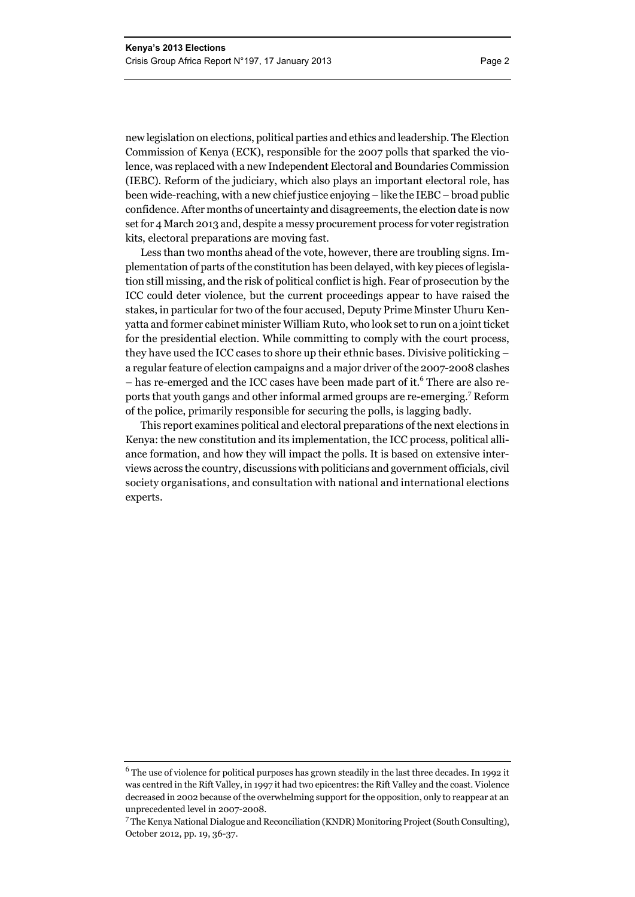new legislation on elections, political parties and ethics and leadership. The Election Commission of Kenya (ECK), responsible for the 2007 polls that sparked the violence, was replaced with a new Independent Electoral and Boundaries Commission (IEBC). Reform of the judiciary, which also plays an important electoral role, has been wide-reaching, with a new chief justice enjoying – like the IEBC – broad public confidence. After months of uncertainty and disagreements, the election date is now set for 4 March 2013 and, despite a messy procurement process for voter registration kits, electoral preparations are moving fast.

Less than two months ahead of the vote, however, there are troubling signs. Implementation of parts of the constitution has been delayed, with key pieces of legislation still missing, and the risk of political conflict is high. Fear of prosecution by the ICC could deter violence, but the current proceedings appear to have raised the stakes, in particular for two of the four accused, Deputy Prime Minster Uhuru Kenyatta and former cabinet minister William Ruto, who look set to run on a joint ticket for the presidential election. While committing to comply with the court process, they have used the ICC cases to shore up their ethnic bases. Divisive politicking – a regular feature of election campaigns and a major driver of the 2007-2008 clashes – has re-emerged and the ICC cases have been made part of it.<sup>6</sup> There are also reports that youth gangs and other informal armed groups are re-emerging.7 Reform of the police, primarily responsible for securing the polls, is lagging badly.

This report examines political and electoral preparations of the next elections in Kenya: the new constitution and its implementation, the ICC process, political alliance formation, and how they will impact the polls. It is based on extensive interviews across the country, discussions with politicians and government officials, civil society organisations, and consultation with national and international elections experts.

 $6$  The use of violence for political purposes has grown steadily in the last three decades. In 1992 it was centred in the Rift Valley, in 1997 it had two epicentres: the Rift Valley and the coast. Violence decreased in 2002 because of the overwhelming support for the opposition, only to reappear at an unprecedented level in 2007-2008.

<sup>7</sup> The Kenya National Dialogue and Reconciliation (KNDR) Monitoring Project (South Consulting), October 2012, pp. 19, 36-37.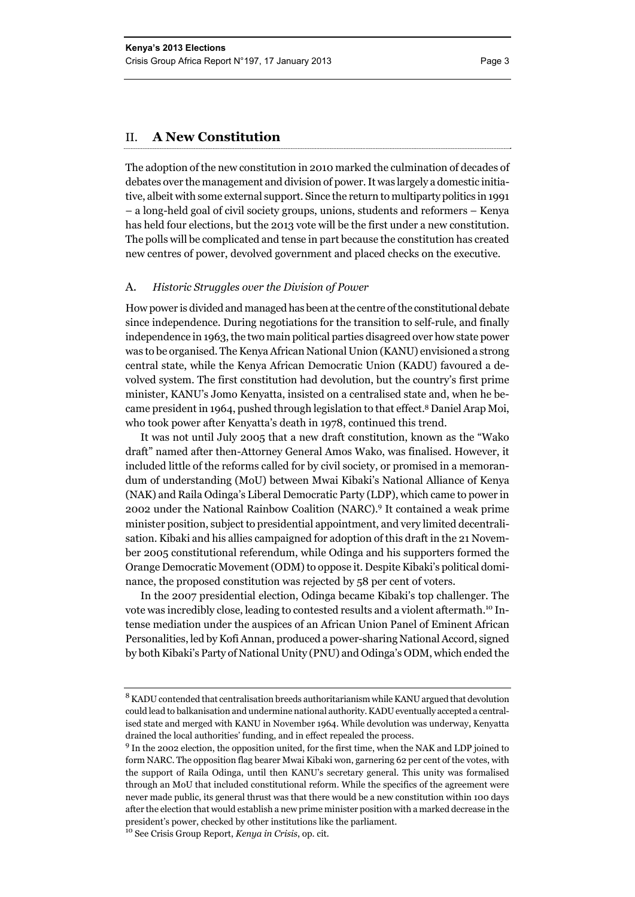#### II. **A New Constitution**

The adoption of the new constitution in 2010 marked the culmination of decades of debates over the management and division of power. It was largely a domestic initiative, albeit with some external support. Since the return to multiparty politics in 1991 – a long-held goal of civil society groups, unions, students and reformers – Kenya has held four elections, but the 2013 vote will be the first under a new constitution. The polls will be complicated and tense in part because the constitution has created new centres of power, devolved government and placed checks on the executive.

#### A. *Historic Struggles over the Division of Power*

How power is divided and managed has been at the centre of the constitutional debate since independence. During negotiations for the transition to self-rule, and finally independence in 1963, the two main political parties disagreed over how state power was to be organised. The Kenya African National Union (KANU) envisioned a strong central state, while the Kenya African Democratic Union (KADU) favoured a devolved system. The first constitution had devolution, but the country's first prime minister, KANU's Jomo Kenyatta, insisted on a centralised state and, when he became president in 1964, pushed through legislation to that effect.8 Daniel Arap Moi, who took power after Kenyatta's death in 1978, continued this trend.

It was not until July 2005 that a new draft constitution, known as the "Wako draft" named after then-Attorney General Amos Wako, was finalised. However, it included little of the reforms called for by civil society, or promised in a memorandum of understanding (MoU) between Mwai Kibaki's National Alliance of Kenya (NAK) and Raila Odinga's Liberal Democratic Party (LDP), which came to power in 2002 under the National Rainbow Coalition (NARC).<sup>9</sup> It contained a weak prime minister position, subject to presidential appointment, and very limited decentralisation. Kibaki and his allies campaigned for adoption of this draft in the 21 November 2005 constitutional referendum, while Odinga and his supporters formed the Orange Democratic Movement (ODM) to oppose it. Despite Kibaki's political dominance, the proposed constitution was rejected by 58 per cent of voters.

In the 2007 presidential election, Odinga became Kibaki's top challenger. The vote was incredibly close, leading to contested results and a violent aftermath.10 Intense mediation under the auspices of an African Union Panel of Eminent African Personalities, led by Kofi Annan, produced a power-sharing National Accord, signed by both Kibaki's Party of National Unity (PNU) and Odinga's ODM, which ended the

<sup>&</sup>lt;sup>8</sup> KADU contended that centralisation breeds authoritarianism while KANU argued that devolution could lead to balkanisation and undermine national authority. KADU eventually accepted a centralised state and merged with KANU in November 1964. While devolution was underway, Kenyatta drained the local authorities' funding, and in effect repealed the process.

<sup>&</sup>lt;sup>9</sup> In the 2002 election, the opposition united, for the first time, when the NAK and LDP joined to form NARC. The opposition flag bearer Mwai Kibaki won, garnering 62 per cent of the votes, with the support of Raila Odinga, until then KANU's secretary general. This unity was formalised through an MoU that included constitutional reform. While the specifics of the agreement were never made public, its general thrust was that there would be a new constitution within 100 days after the election that would establish a new prime minister position with a marked decrease in the president's power, checked by other institutions like the parliament.

<sup>10</sup> See Crisis Group Report, *Kenya in Crisis*, op. cit*.*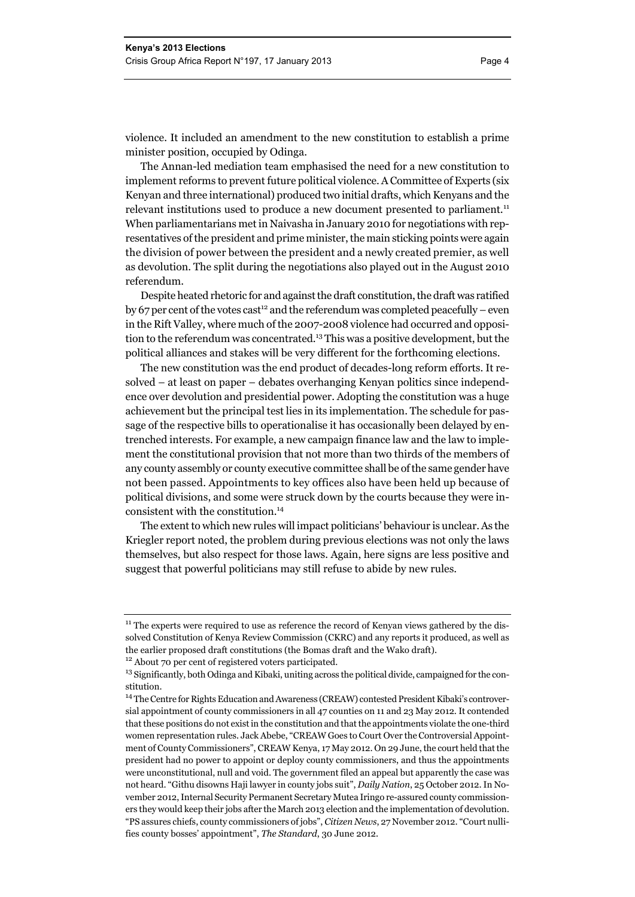violence. It included an amendment to the new constitution to establish a prime minister position, occupied by Odinga.

The Annan-led mediation team emphasised the need for a new constitution to implement reforms to prevent future political violence. A Committee of Experts (six Kenyan and three international) produced two initial drafts, which Kenyans and the relevant institutions used to produce a new document presented to parliament.<sup>11</sup> When parliamentarians met in Naivasha in January 2010 for negotiations with representatives of the president and prime minister, the main sticking points were again the division of power between the president and a newly created premier, as well as devolution. The split during the negotiations also played out in the August 2010 referendum.

Despite heated rhetoric for and against the draft constitution, the draft was ratified by 67 per cent of the votes cast<sup>12</sup> and the referendum was completed peacefully – even in the Rift Valley, where much of the 2007-2008 violence had occurred and opposition to the referendum was concentrated.13 This was a positive development, but the political alliances and stakes will be very different for the forthcoming elections.

The new constitution was the end product of decades-long reform efforts. It resolved – at least on paper – debates overhanging Kenyan politics since independence over devolution and presidential power. Adopting the constitution was a huge achievement but the principal test lies in its implementation. The schedule for passage of the respective bills to operationalise it has occasionally been delayed by entrenched interests. For example, a new campaign finance law and the law to implement the constitutional provision that not more than two thirds of the members of any county assembly or county executive committee shall be of the same gender have not been passed. Appointments to key offices also have been held up because of political divisions, and some were struck down by the courts because they were inconsistent with the constitution.14

The extent to which new rules will impact politicians' behaviour is unclear. As the Kriegler report noted, the problem during previous elections was not only the laws themselves, but also respect for those laws. Again, here signs are less positive and suggest that powerful politicians may still refuse to abide by new rules.

 $11$  The experts were required to use as reference the record of Kenyan views gathered by the dissolved Constitution of Kenya Review Commission (CKRC) and any reports it produced, as well as the earlier proposed draft constitutions (the Bomas draft and the Wako draft).

<sup>12</sup> About 70 per cent of registered voters participated.

<sup>&</sup>lt;sup>13</sup> Significantly, both Odinga and Kibaki, uniting across the political divide, campaigned for the constitution.

<sup>&</sup>lt;sup>14</sup> The Centre for Rights Education and Awareness (CREAW) contested President Kibaki's controversial appointment of county commissioners in all 47 counties on 11 and 23 May 2012. It contended that these positions do not exist in the constitution and that the appointments violate the one-third women representation rules. Jack Abebe, "CREAW Goes to Court Over the Controversial Appointment of County Commissioners", CREAW Kenya, 17 May 2012. On 29 June, the court held that the president had no power to appoint or deploy county commissioners, and thus the appointments were unconstitutional, null and void. The government filed an appeal but apparently the case was not heard. "Githu disowns Haji lawyer in county jobs suit", *Daily Nation*, 25 October 2012. In November 2012, Internal Security Permanent Secretary Mutea Iringo re-assured county commissioners they would keep their jobs after the March 2013 election and the implementation of devolution. "PS assures chiefs, county commissioners of jobs", *Citizen News*, 27 November 2012. "Court nullifies county bosses' appointment", *The Standard*, 30 June 2012.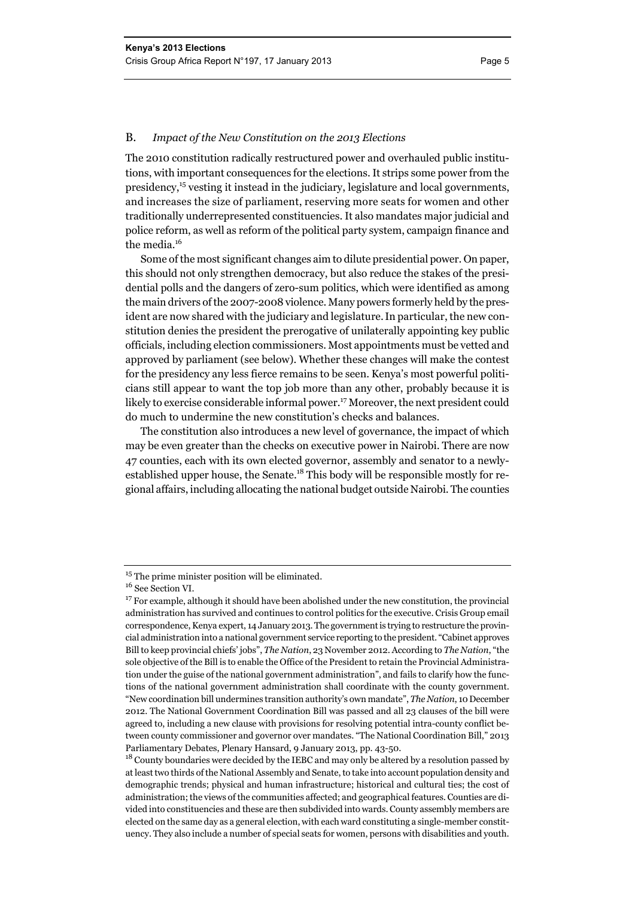#### B. *Impact of the New Constitution on the 2013 Elections*

The 2010 constitution radically restructured power and overhauled public institutions, with important consequences for the elections. It strips some power from the presidency,15 vesting it instead in the judiciary, legislature and local governments, and increases the size of parliament, reserving more seats for women and other traditionally underrepresented constituencies. It also mandates major judicial and police reform, as well as reform of the political party system, campaign finance and the media.<sup>16</sup>

Some of the most significant changes aim to dilute presidential power. On paper, this should not only strengthen democracy, but also reduce the stakes of the presidential polls and the dangers of zero-sum politics, which were identified as among the main drivers of the 2007-2008 violence. Many powers formerly held by the president are now shared with the judiciary and legislature.In particular, the new constitution denies the president the prerogative of unilaterally appointing key public officials, including election commissioners. Most appointments must be vetted and approved by parliament (see below). Whether these changes will make the contest for the presidency any less fierce remains to be seen. Kenya's most powerful politicians still appear to want the top job more than any other, probably because it is likely to exercise considerable informal power.17 Moreover, the next president could do much to undermine the new constitution's checks and balances.

The constitution also introduces a new level of governance, the impact of which may be even greater than the checks on executive power in Nairobi. There are now 47 counties, each with its own elected governor, assembly and senator to a newlyestablished upper house, the Senate.18 This body will be responsible mostly for regional affairs, including allocating the national budget outside Nairobi. The counties

<sup>&</sup>lt;sup>15</sup> The prime minister position will be eliminated.

 $^{16}$  See Section VI.

 $17$  For example, although it should have been abolished under the new constitution, the provincial administration has survived and continues to control politics for the executive. Crisis Group email correspondence, Kenya expert, 14 January 2013. The government is trying to restructure the provincial administration into a national government service reporting to the president. "Cabinet approves Bill to keep provincial chiefs' jobs", *The Nation*, 23 November 2012. According to *The Nation*, "the sole objective of the Bill is to enable the Office of the President to retain the Provincial Administration under the guise of the national government administration", and fails to clarify how the functions of the national government administration shall coordinate with the county government. "New coordination bill undermines transition authority's own mandate", *The Nation*, 10 December 2012. The National Government Coordination Bill was passed and all 23 clauses of the bill were agreed to, including a new clause with provisions for resolving potential intra-county conflict between county commissioner and governor over mandates. "The National Coordination Bill," 2013 Parliamentary Debates, Plenary Hansard, 9 January 2013, pp. 43-50.

<sup>&</sup>lt;sup>18</sup> County boundaries were decided by the IEBC and may only be altered by a resolution passed by at least two thirds of the National Assembly and Senate, to take into account population density and demographic trends; physical and human infrastructure; historical and cultural ties; the cost of administration; the views of the communities affected; and geographical features. Counties are divided into constituencies and these are then subdivided into wards. County assembly members are elected on the same day as a general election, with each ward constituting a single-member constituency. They also include a number of special seats for women, persons with disabilities and youth.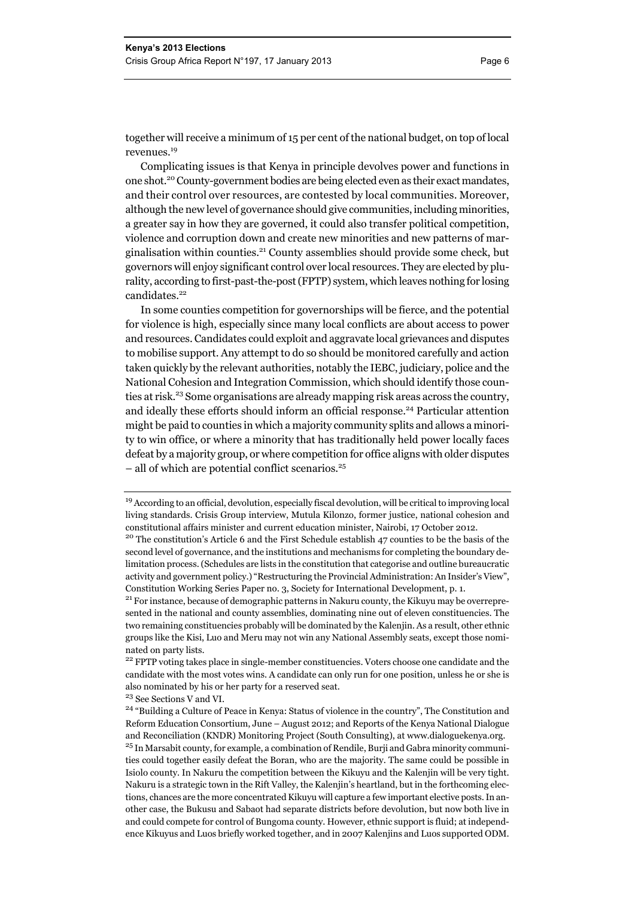together will receive a minimum of 15 per cent of the national budget, on top of local revenues.<sup>19</sup>

Complicating issues is that Kenya in principle devolves power and functions in one shot.20 County-government bodies are being elected even as their exact mandates, and their control over resources, are contested by local communities. Moreover, although the new level of governance should give communities, including minorities, a greater say in how they are governed, it could also transfer political competition, violence and corruption down and create new minorities and new patterns of marginalisation within counties.<sup>21</sup> County assemblies should provide some check, but governors will enjoy significant control over local resources. They are elected by plurality, according to first-past-the-post (FPTP) system, which leaves nothing for losing candidates.<sup>22</sup>

In some counties competition for governorships will be fierce, and the potential for violence is high, especially since many local conflicts are about access to power and resources. Candidates could exploit and aggravate local grievances and disputes to mobilise support. Any attempt to do so should be monitored carefully and action taken quickly by the relevant authorities, notably the IEBC, judiciary, police and the National Cohesion and Integration Commission, which should identify those counties at risk.23 Some organisations are already mapping risk areas across the country, and ideally these efforts should inform an official response.<sup>24</sup> Particular attention might be paid to counties in which a majority community splits and allows a minority to win office, or where a minority that has traditionally held power locally faces defeat by a majority group, or where competition for office aligns with older disputes – all of which are potential conflict scenarios.25

<sup>19</sup> According to an official, devolution, especially fiscal devolution, will be critical to improving local living standards. Crisis Group interview, Mutula Kilonzo, former justice, national cohesion and constitutional affairs minister and current education minister, Nairobi, 17 October 2012.<br><sup>20</sup> The constitution's Article 6 and the First Schedule establish 47 counties to be the basis of the

second level of governance, and the institutions and mechanisms for completing the boundary delimitation process. (Schedules are lists in the constitution that categorise and outline bureaucratic activity and government policy.) "Restructuring the Provincial Administration: An Insider's View", Constitution Working Series Paper no. 3, Society for International Development, p. 1. 21 For instance, because of demographic patterns in Nakuru county, the Kikuyu may be overrepre-

sented in the national and county assemblies, dominating nine out of eleven constituencies. The two remaining constituencies probably will be dominated by the Kalenjin. As a result, other ethnic groups like the Kisi, Luo and Meru may not win any National Assembly seats, except those nominated on party lists.

<sup>&</sup>lt;sup>22</sup> FPTP voting takes place in single-member constituencies. Voters choose one candidate and the candidate with the most votes wins. A candidate can only run for one position, unless he or she is also nominated by his or her party for a reserved seat.

<sup>23</sup> See Sections V and VI.

<sup>&</sup>lt;sup>24</sup> "Building a Culture of Peace in Kenya: Status of violence in the country", The Constitution and Reform Education Consortium, June – August 2012; and Reports of the Kenya National Dialogue and Reconciliation (KNDR) Monitoring Project (South Consulting), at www.dialoguekenya.org. <sup>25</sup> In Marsabit county, for example, a combination of Rendile, Burji and Gabra minority communities could together easily defeat the Boran, who are the majority. The same could be possible in Isiolo county. In Nakuru the competition between the Kikuyu and the Kalenjin will be very tight. Nakuru is a strategic town in the Rift Valley, the Kalenjin's heartland, but in the forthcoming elections, chances are the more concentrated Kikuyu will capture a few important elective posts. In another case, the Bukusu and Sabaot had separate districts before devolution, but now both live in and could compete for control of Bungoma county. However, ethnic support is fluid; at independence Kikuyus and Luos briefly worked together, and in 2007 Kalenjins and Luos supported ODM.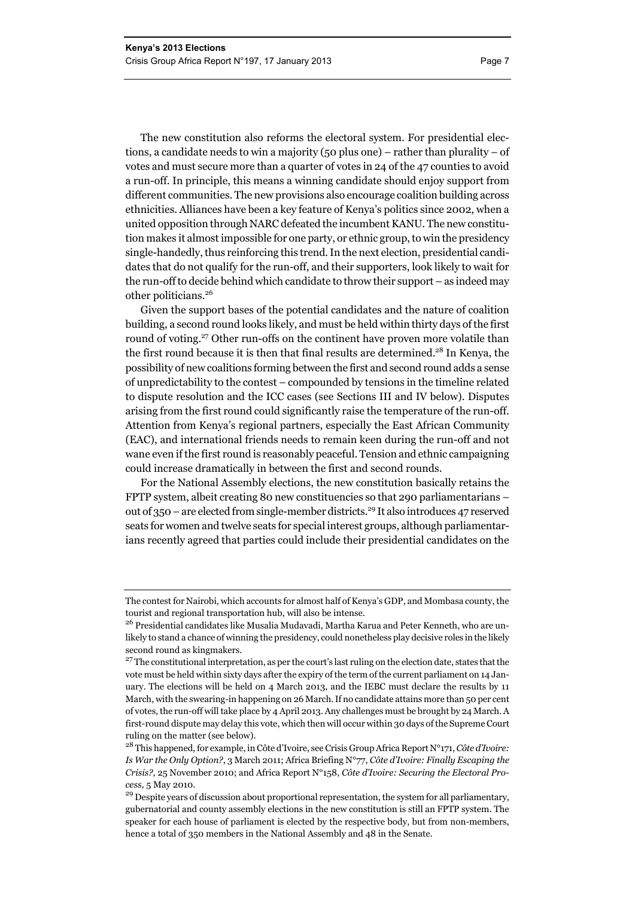The new constitution also reforms the electoral system. For presidential elections, a candidate needs to win a majority (50 plus one) – rather than plurality – of votes and must secure more than a quarter of votes in 24 of the 47 counties to avoid a run-off. In principle, this means a winning candidate should enjoy support from different communities. The new provisions also encourage coalition building across ethnicities. Alliances have been a key feature of Kenya's politics since 2002, when a united opposition through NARC defeated the incumbent KANU. The new constitution makes it almost impossible for one party, or ethnic group, to win the presidency single-handedly, thus reinforcing this trend. In the next election, presidential candidates that do not qualify for the run-off, and their supporters, look likely to wait for the run-off to decide behind which candidate to throw their support – as indeed may other politicians.26

Given the support bases of the potential candidates and the nature of coalition building, a second round looks likely, and must be held within thirty days of the first round of voting.<sup>27</sup> Other run-offs on the continent have proven more volatile than the first round because it is then that final results are determined.<sup>28</sup> In Kenya, the possibility of new coalitions forming between the first and second round adds a sense of unpredictability to the contest – compounded by tensions in the timeline related to dispute resolution and the ICC cases (see Sections III and IV below). Disputes arising from the first round could significantly raise the temperature of the run-off. Attention from Kenya's regional partners, especially the East African Community (EAC), and international friends needs to remain keen during the run-off and not wane even if the first round is reasonably peaceful. Tension and ethnic campaigning could increase dramatically in between the first and second rounds.

For the National Assembly elections, the new constitution basically retains the FPTP system, albeit creating 80 new constituencies so that 290 parliamentarians – out of 350 – are elected from single-member districts.<sup>29</sup> It also introduces 47 reserved seats for women and twelve seats for special interest groups, although parliamentarians recently agreed that parties could include their presidential candidates on the

The contest for Nairobi, which accounts for almost half of Kenya's GDP, and Mombasa county, the tourist and regional transportation hub, will also be intense.

<sup>&</sup>lt;sup>26</sup> Presidential candidates like Musalia Mudavadi, Martha Karua and Peter Kenneth, who are unlikely to stand a chance of winning the presidency, could nonetheless play decisive roles in the likely second round as kingmakers.

<sup>&</sup>lt;sup>27</sup> The constitutional interpretation, as per the court's last ruling on the election date, states that the vote must be held within sixty days after the expiry of the term of the current parliament on 14 January. The elections will be held on 4 March 2013, and the IEBC must declare the results by 11 March, with the swearing-in happening on 26 March. If no candidate attains more than 50 per cent of votes, the run-off will take place by 4 April 2013. Any challenges must be brought by 24 March. A first-round dispute may delay this vote, which then will occur within 30 days of the Supreme Court ruling on the matter (see below).

<sup>28</sup> This happened, for example, in Côte d'Ivoire, see Crisis Group Africa Report N°171, *Côte d'Ivoire: Is War the Only Option?*, 3 March 2011; Africa Briefing N°77, *Côte d'Ivoire: Finally Escaping the Crisis?*, 25 November 2010; and Africa Report N°158, *Côte d'Ivoire: Securing the Electoral Process*, 5 May 2010.

<sup>&</sup>lt;sup>29</sup> Despite years of discussion about proportional representation, the system for all parliamentary, gubernatorial and county assembly elections in the new constitution is still an FPTP system. The speaker for each house of parliament is elected by the respective body, but from non-members, hence a total of 350 members in the National Assembly and 48 in the Senate.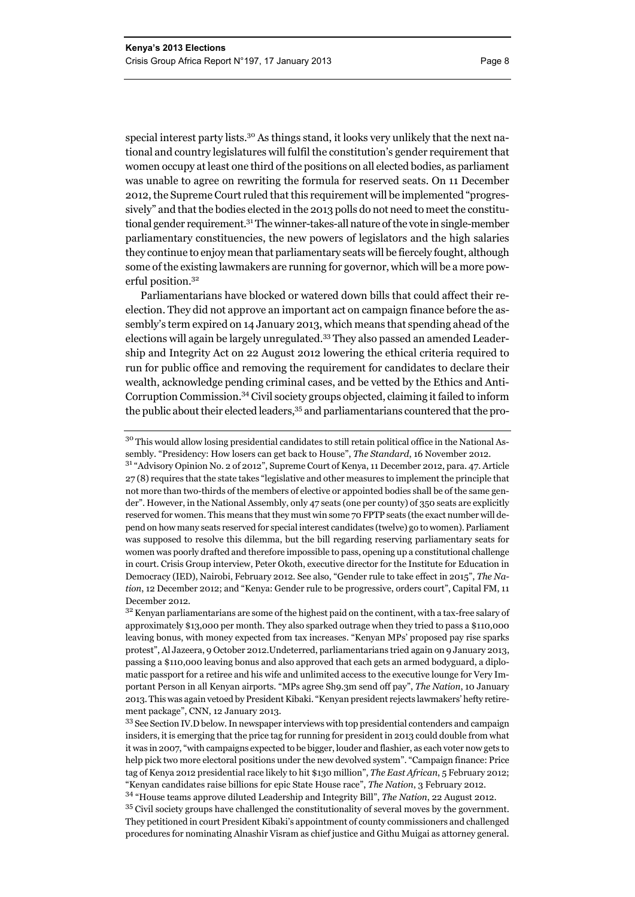special interest party lists.<sup>30</sup> As things stand, it looks very unlikely that the next national and country legislatures will fulfil the constitution's gender requirement that women occupy at least one third of the positions on all elected bodies, as parliament was unable to agree on rewriting the formula for reserved seats. On 11 December 2012, the Supreme Court ruled that this requirement will be implemented "progressively" and that the bodies elected in the 2013 polls do not need to meet the constitutional gender requirement.<sup>31</sup> The winner-takes-all nature of the vote in single-member parliamentary constituencies, the new powers of legislators and the high salaries they continue to enjoy mean that parliamentary seats will be fiercely fought, although some of the existing lawmakers are running for governor, which will be a more powerful position.<sup>32</sup>

Parliamentarians have blocked or watered down bills that could affect their reelection. They did not approve an important act on campaign finance before the assembly's term expired on 14 January 2013, which means that spending ahead of the elections will again be largely unregulated.33 They also passed an amended Leadership and Integrity Act on 22 August 2012 lowering the ethical criteria required to run for public office and removing the requirement for candidates to declare their wealth, acknowledge pending criminal cases, and be vetted by the Ethics and Anti-Corruption Commission.34 Civil society groups objected, claiming it failed to inform the public about their elected leaders,<sup>35</sup> and parliamentarians countered that the pro-

<sup>30</sup> This would allow losing presidential candidates to still retain political office in the National Assembly. "Presidency: How losers can get back to House", *The Standard*, 16 November 2012.

<sup>31 &</sup>quot;Advisory Opinion No. 2 of 2012", Supreme Court of Kenya, 11 December 2012, para. 47. Article 27 (8) requires that the state takes "legislative and other measures to implement the principle that not more than two-thirds of the members of elective or appointed bodies shall be of the same gender". However, in the National Assembly, only 47 seats (one per county) of 350 seats are explicitly reserved for women. This means that they must win some 70 FPTP seats (the exact number will depend on how many seats reserved for special interest candidates (twelve) go to women). Parliament was supposed to resolve this dilemma, but the bill regarding reserving parliamentary seats for women was poorly drafted and therefore impossible to pass, opening up a constitutional challenge in court. Crisis Group interview, Peter Okoth, executive director for the Institute for Education in Democracy (IED), Nairobi, February 2012. See also, "Gender rule to take effect in 2015", *The Nation*, 12 December 2012; and "Kenya: Gender rule to be progressive, orders court", Capital FM, 11 December 2012.

<sup>&</sup>lt;sup>32</sup> Kenyan parliamentarians are some of the highest paid on the continent, with a tax-free salary of approximately \$13,000 per month. They also sparked outrage when they tried to pass a \$110,000 leaving bonus, with money expected from tax increases. "Kenyan MPs' proposed pay rise sparks protest", Al Jazeera, 9 October 2012.Undeterred, parliamentarians tried again on 9 January 2013, passing a \$110,000 leaving bonus and also approved that each gets an armed bodyguard, a diplomatic passport for a retiree and his wife and unlimited access to the executive lounge for Very Important Person in all Kenyan airports. "MPs agree Sh9.3m send off pay", *The Nation*, 10 January 2013. This was again vetoed by President Kibaki. "Kenyan president rejects lawmakers' hefty retirement package", CNN, 12 January 2013.

<sup>&</sup>lt;sup>33</sup> See Section IV.D below. In newspaper interviews with top presidential contenders and campaign insiders, it is emerging that the price tag for running for president in 2013 could double from what it was in 2007, "with campaigns expected to be bigger, louder and flashier, as each voter now gets to help pick two more electoral positions under the new devolved system". "Campaign finance: Price tag of Kenya 2012 presidential race likely to hit \$130 million", *The East African*, 5 February 2012; "Kenyan candidates raise billions for epic State House race", *The Nation*, 3 February 2012.

<sup>34 &</sup>quot;House teams approve diluted Leadership and Integrity Bill", *The Nation*, 22 August 2012. <sup>35</sup> Civil society groups have challenged the constitutionality of several moves by the government. They petitioned in court President Kibaki's appointment of county commissioners and challenged procedures for nominating Alnashir Visram as chief justice and Githu Muigai as attorney general.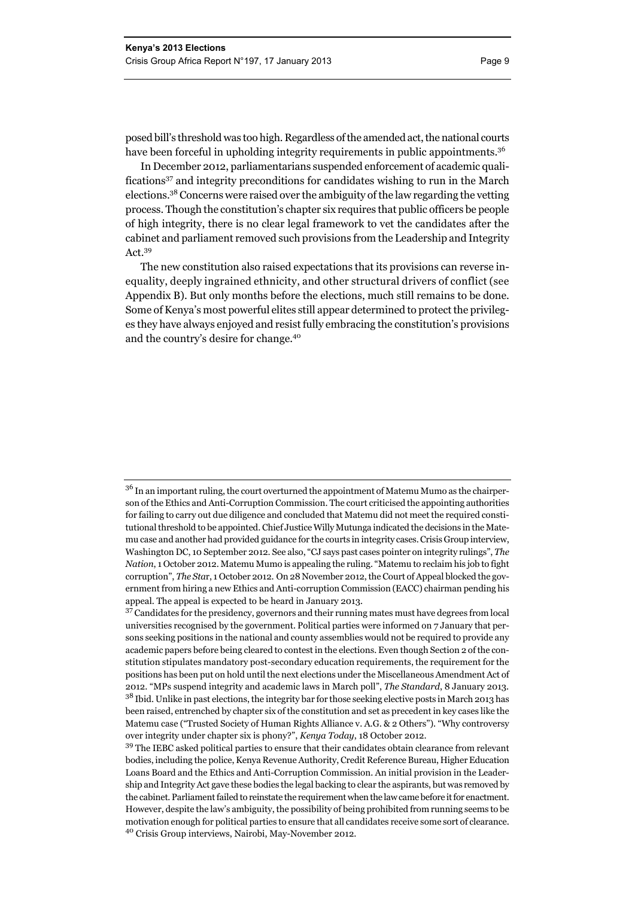posed bill's threshold was too high. Regardless of the amended act, the national courts have been forceful in upholding integrity requirements in public appointments.<sup>36</sup>

In December 2012, parliamentarians suspended enforcement of academic qualifications<sup>37</sup> and integrity preconditions for candidates wishing to run in the March elections.38 Concerns were raised over the ambiguity of the law regarding the vetting process. Though the constitution's chapter six requires that public officers be people of high integrity, there is no clear legal framework to vet the candidates after the cabinet and parliament removed such provisions from the Leadership and Integrity Act.39

The new constitution also raised expectations that its provisions can reverse inequality, deeply ingrained ethnicity, and other structural drivers of conflict (see Appendix B). But only months before the elections, much still remains to be done. Some of Kenya's most powerful elites still appear determined to protect the privileges they have always enjoyed and resist fully embracing the constitution's provisions and the country's desire for change.40

<sup>&</sup>lt;sup>36</sup> In an important ruling, the court overturned the appointment of Matemu Mumo as the chairperson of the Ethics and Anti-Corruption Commission. The court criticised the appointing authorities for failing to carry out due diligence and concluded that Matemu did not meet the required constitutional threshold to be appointed. Chief Justice Willy Mutunga indicated the decisions in the Matemu case and another had provided guidance for the courts in integrity cases. Crisis Group interview, Washington DC, 10 September 2012. See also, "CJ says past cases pointer on integrity rulings", *The Nation*, 1 October 2012. Matemu Mumo is appealing the ruling. "Matemu to reclaim his job to fight corruption", *The Sta*r, 1 October 2012. On 28 November 2012, the Court of Appeal blocked the government from hiring a new Ethics and Anti-corruption Commission (EACC) chairman pending his appeal. The appeal is expected to be heard in January 2013.

<sup>&</sup>lt;sup>37</sup> Candidates for the presidency, governors and their running mates must have degrees from local universities recognised by the government. Political parties were informed on 7 January that persons seeking positions in the national and county assemblies would not be required to provide any academic papers before being cleared to contest in the elections. Even though Section 2 of the constitution stipulates mandatory post-secondary education requirements, the requirement for the positions has been put on hold until the next elections under the Miscellaneous Amendment Act of 2012. "MPs suspend integrity and academic laws in March poll", *The Standard*, 8 January 2013.  $^{38}$  Ibid. Unlike in past elections, the integrity bar for those seeking elective posts in March 2013 has been raised, entrenched by chapter six of the constitution and set as precedent in key cases like the Matemu case ("Trusted Society of Human Rights Alliance v. A.G. & 2 Others"). "Why controversy over integrity under chapter six is phony?", *Kenya Today*, 18 October 2012.

<sup>&</sup>lt;sup>39</sup> The IEBC asked political parties to ensure that their candidates obtain clearance from relevant bodies, including the police, Kenya Revenue Authority, Credit Reference Bureau, Higher Education Loans Board and the Ethics and Anti-Corruption Commission. An initial provision in the Leadership and Integrity Act gave these bodies the legal backing to clear the aspirants, but was removed by the cabinet. Parliament failed to reinstate the requirement when the law came before it for enactment. However, despite the law's ambiguity, the possibility of being prohibited from running seems to be motivation enough for political parties to ensure that all candidates receive some sort of clearance. 40 Crisis Group interviews, Nairobi, May-November 2012.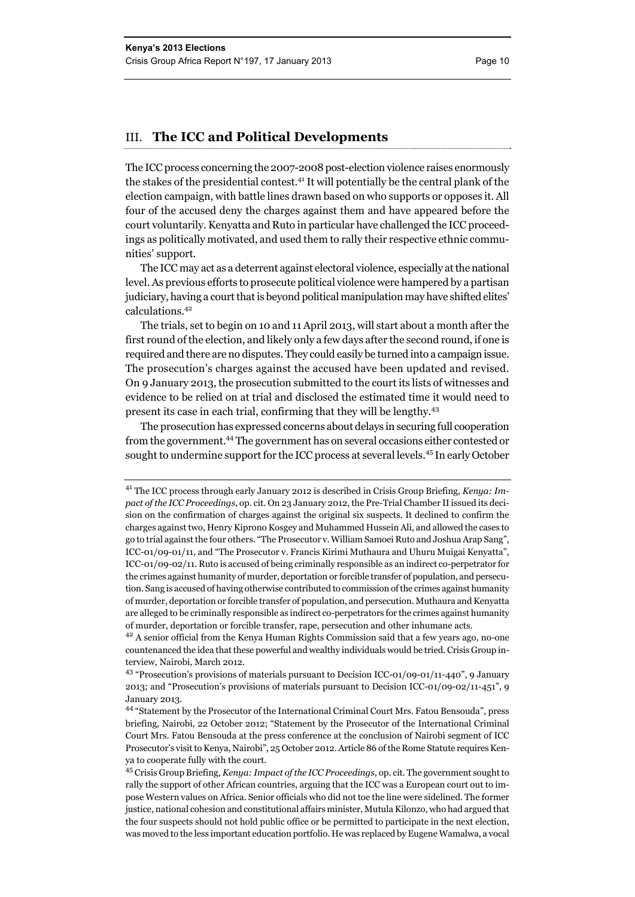#### III. **The ICC and Political Developments**

The ICC process concerning the 2007-2008 post-election violence raises enormously the stakes of the presidential contest.41 It will potentially be the central plank of the election campaign, with battle lines drawn based on who supports or opposes it. All four of the accused deny the charges against them and have appeared before the court voluntarily. Kenyatta and Ruto in particular have challenged the ICC proceedings as politically motivated, and used them to rally their respective ethnic communities' support.

The ICC may act as a deterrent against electoral violence, especially at the national level. As previous efforts to prosecute political violence were hampered by a partisan judiciary, having a court that is beyond political manipulation may have shifted elites' calculations.42

The trials, set to begin on 10 and 11 April 2013, will start about a month after the first round of the election, and likely only a few days after the second round, if one is required and there are no disputes. They could easily be turned into a campaign issue. The prosecution's charges against the accused have been updated and revised. On 9 January 2013, the prosecution submitted to the court its lists of witnesses and evidence to be relied on at trial and disclosed the estimated time it would need to present its case in each trial, confirming that they will be lengthy.<sup>43</sup>

The prosecution has expressed concerns about delays in securing full cooperation from the government.44 The government has on several occasions either contested or sought to undermine support for the ICC process at several levels.45 In early October

<sup>41</sup> The ICC process through early January 2012 is described in Crisis Group Briefing, *Kenya: Impact of the ICC Proceedings*, op. cit. On 23 January 2012, the Pre-Trial Chamber II issued its decision on the confirmation of charges against the original six suspects. It declined to confirm the charges against two, Henry Kiprono Kosgey and Muhammed Hussein Ali, and allowed the cases to go to trial against the four others. "The Prosecutor v. William Samoei Ruto and Joshua Arap Sang", ICC-01/09-01/11, and "The Prosecutor v. Francis Kirimi Muthaura and Uhuru Muigai Kenyatta", ICC-01/09-02/11. Ruto is accused of being criminally responsible as an indirect co-perpetrator for the crimes against humanity of murder, deportation or forcible transfer of population, and persecution. Sang is accused of having otherwise contributed to commission of the crimes against humanity of murder, deportation or forcible transfer of population, and persecution. Muthaura and Kenyatta are alleged to be criminally responsible as indirect co-perpetrators for the crimes against humanity of murder, deportation or forcible transfer, rape, persecution and other inhumane acts.

 $4<sup>2</sup>$  A senior official from the Kenya Human Rights Commission said that a few years ago, no-one countenanced the idea that these powerful and wealthy individuals would be tried. Crisis Group interview, Nairobi, March 2012.

<sup>43 &</sup>quot;Prosecution's provisions of materials pursuant to Decision ICC-01/09-01/11-440", 9 January 2013; and "Prosecution's provisions of materials pursuant to Decision ICC-01/09-02/11-451", 9 January 2013.

<sup>44 &</sup>quot;Statement by the Prosecutor of the International Criminal Court Mrs. Fatou Bensouda", press briefing, Nairobi, 22 October 2012; "Statement by the Prosecutor of the International Criminal Court Mrs. Fatou Bensouda at the press conference at the conclusion of Nairobi segment of ICC Prosecutor's visit to Kenya, Nairobi", 25 October 2012. Article 86 of the Rome Statute requires Kenya to cooperate fully with the court.

<sup>45</sup> Crisis Group Briefing, *Kenya: Impact of the ICC Proceedings*, op. cit. The government sought to rally the support of other African countries, arguing that the ICC was a European court out to impose Western values on Africa. Senior officials who did not toe the line were sidelined. The former justice, national cohesion and constitutional affairs minister, Mutula Kilonzo, who had argued that the four suspects should not hold public office or be permitted to participate in the next election, was moved to the less important education portfolio. He was replaced by Eugene Wamalwa, a vocal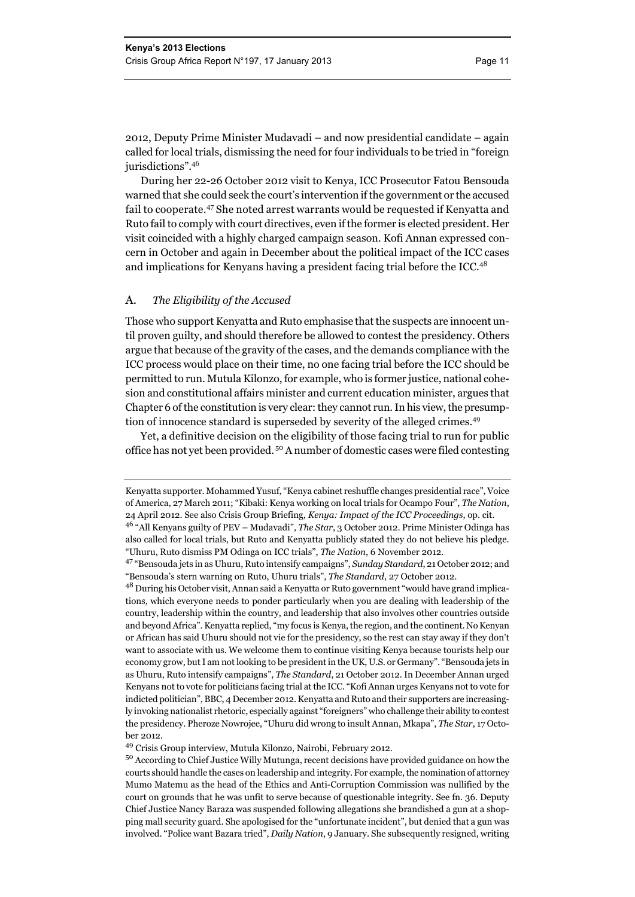2012, Deputy Prime Minister Mudavadi – and now presidential candidate – again called for local trials, dismissing the need for four individuals to be tried in "foreign jurisdictions".<sup>46</sup>

During her 22-26 October 2012 visit to Kenya, ICC Prosecutor Fatou Bensouda warned that she could seek the court's intervention if the government or the accused fail to cooperate.47 She noted arrest warrants would be requested if Kenyatta and Ruto fail to comply with court directives, even if the former is elected president. Her visit coincided with a highly charged campaign season. Kofi Annan expressed concern in October and again in December about the political impact of the ICC cases and implications for Kenyans having a president facing trial before the ICC.48

#### A. *The Eligibility of the Accused*

Those who support Kenyatta and Ruto emphasise that the suspects are innocent until proven guilty, and should therefore be allowed to contest the presidency. Others argue that because of the gravity of the cases, and the demands compliance with the ICC process would place on their time, no one facing trial before the ICC should be permitted to run. Mutula Kilonzo, for example, who is former justice, national cohesion and constitutional affairs minister and current education minister, argues that Chapter 6 of the constitution is very clear: they cannot run. In his view, the presumption of innocence standard is superseded by severity of the alleged crimes.<sup>49</sup>

Yet, a definitive decision on the eligibility of those facing trial to run for public office has not yet been provided.<sup>50</sup> A number of domestic cases were filed contesting

Kenyatta supporter. Mohammed Yusuf, "Kenya cabinet reshuffle changes presidential race", Voice of America, 27 March 2011; "Kibaki: Kenya working on local trials for Ocampo Four", *The Nation*, 24 April 2012. See also Crisis Group Briefing, *Kenya: Impact of the ICC Proceedings*, op. cit.

<sup>46 &</sup>quot;All Kenyans guilty of PEV – Mudavadi", *The Star*, 3 October 2012. Prime Minister Odinga has also called for local trials, but Ruto and Kenyatta publicly stated they do not believe his pledge. "Uhuru, Ruto dismiss PM Odinga on ICC trials", *The Nation*, 6 November 2012.

<sup>47 &</sup>quot;Bensouda jets in as Uhuru, Ruto intensify campaigns", *Sunday Standard*, 21 October 2012; and "Bensouda's stern warning on Ruto, Uhuru trials", *The Standard*, 27 October 2012.

<sup>48</sup> During his October visit, Annan said a Kenyatta or Ruto government "would have grand implications, which everyone needs to ponder particularly when you are dealing with leadership of the country, leadership within the country, and leadership that also involves other countries outside and beyond Africa". Kenyatta replied, "my focus is Kenya, the region, and the continent. No Kenyan or African has said Uhuru should not vie for the presidency, so the rest can stay away if they don't want to associate with us. We welcome them to continue visiting Kenya because tourists help our economy grow, but I am not looking to be president in the UK, U.S. or Germany". "Bensouda jets in as Uhuru, Ruto intensify campaigns", *The Standard*, 21 October 2012. In December Annan urged Kenyans not to vote for politicians facing trial at the ICC. "Kofi Annan urges Kenyans not to vote for indicted politician", BBC, 4 December 2012. Kenyatta and Ruto and their supporters are increasingly invoking nationalist rhetoric, especially against "foreigners" who challenge their ability to contest the presidency. Pheroze Nowrojee, "Uhuru did wrong to insult Annan, Mkapa", *The Star*, 17 October 2012.

<sup>49</sup> Crisis Group interview, Mutula Kilonzo, Nairobi, February 2012.

<sup>50</sup> According to Chief Justice Willy Mutunga, recent decisions have provided guidance on how the courts should handle the cases on leadership and integrity. For example, the nomination of attorney Mumo Matemu as the head of the Ethics and Anti-Corruption Commission was nullified by the court on grounds that he was unfit to serve because of questionable integrity. See fn. 36. Deputy Chief Justice Nancy Baraza was suspended following allegations she brandished a gun at a shopping mall security guard. She apologised for the "unfortunate incident", but denied that a gun was involved. "Police want Bazara tried", *Daily Nation*, 9 January. She subsequently resigned, writing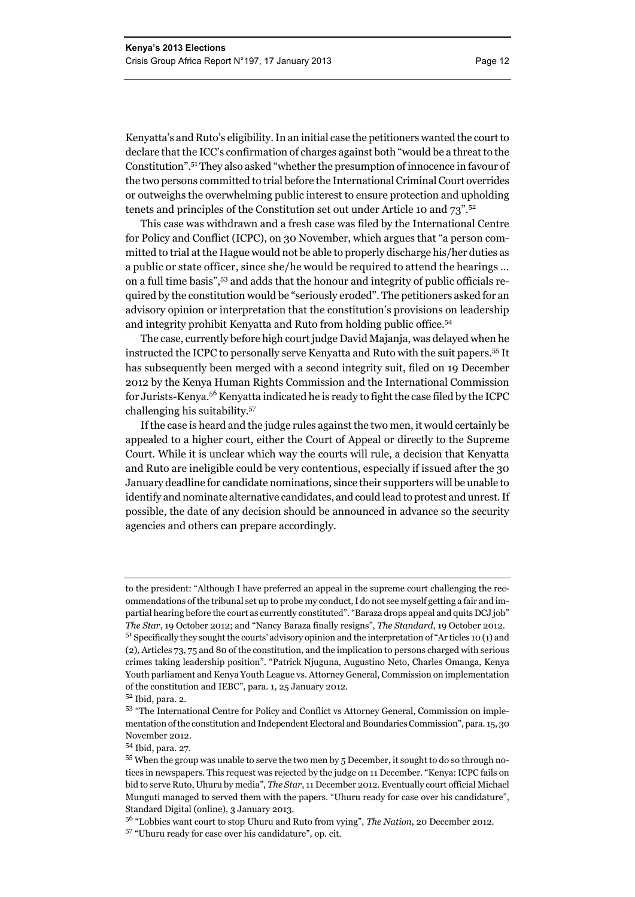Kenyatta's and Ruto's eligibility. In an initial case the petitioners wanted the court to declare that the ICC's confirmation of charges against both "would be a threat to the Constitution".51 They also asked "whether the presumption of innocence in favour of the two persons committed to trial before the International Criminal Court overrides or outweighs the overwhelming public interest to ensure protection and upholding tenets and principles of the Constitution set out under Article 10 and 73".52

This case was withdrawn and a fresh case was filed by the International Centre for Policy and Conflict (ICPC), on 30 November, which argues that "a person committed to trial at the Hague would not be able to properly discharge his/her duties as a public or state officer, since she/he would be required to attend the hearings … on a full time basis",53 and adds that the honour and integrity of public officials required by the constitution would be "seriously eroded". The petitioners asked for an advisory opinion or interpretation that the constitution's provisions on leadership and integrity prohibit Kenyatta and Ruto from holding public office.<sup>54</sup>

The case, currently before high court judge David Majanja, was delayed when he instructed the ICPC to personally serve Kenyatta and Ruto with the suit papers.55 It has subsequently been merged with a second integrity suit, filed on 19 December 2012 by the Kenya Human Rights Commission and the International Commission for Jurists-Kenya.56 Kenyatta indicated he is ready to fight the case filed by the ICPC challenging his suitability.57

If the case is heard and the judge rules against the two men, it would certainly be appealed to a higher court, either the Court of Appeal or directly to the Supreme Court. While it is unclear which way the courts will rule, a decision that Kenyatta and Ruto are ineligible could be very contentious, especially if issued after the 30 January deadline for candidate nominations, since their supporters will be unable to identify and nominate alternative candidates, and could lead to protest and unrest. If possible, the date of any decision should be announced in advance so the security agencies and others can prepare accordingly.

to the president: "Although I have preferred an appeal in the supreme court challenging the recommendations of the tribunal set up to probe my conduct, I do not see myself getting a fair and impartial hearing before the court as currently constituted". "Baraza drops appeal and quits DCJ job" *The Star*, 19 October 2012; and "Nancy Baraza finally resigns", *The Standard*, 19 October 2012. 51 Specifically they sought the courts' advisory opinion and the interpretation of "Ar ticles 10 (1) and (2), Articles 73, 75 and 80 of the constitution, and the implication to persons charged with serious crimes taking leadership position". "Patrick Njuguna, Augustino Neto, Charles Omanga, Kenya Youth parliament and Kenya Youth League vs. Attorney General, Commission on implementation of the constitution and IEBC", para. 1, 25 January 2012.

<sup>52</sup> Ibid, para. 2.

<sup>53 &</sup>quot;The International Centre for Policy and Conflict vs Attorney General, Commission on implementation of the constitution and Independent Electoral and Boundaries Commission", para. 15, 30 November 2012.

<sup>54</sup> Ibid, para. 27.

<sup>55</sup> When the group was unable to serve the two men by 5 December, it sought to do so through notices in newspapers. This request was rejected by the judge on 11 December. "Kenya: ICPC fails on bid to serve Ruto, Uhuru by media", *The Star*, 11 December 2012. Eventually court official Michael Munguti managed to served them with the papers. "Uhuru ready for case over his candidature", Standard Digital (online), 3 January 2013.

<sup>56 &</sup>quot;Lobbies want court to stop Uhuru and Ruto from vying", *The Nation*, 20 December 2012. 57 "Uhuru ready for case over his candidature", op. cit.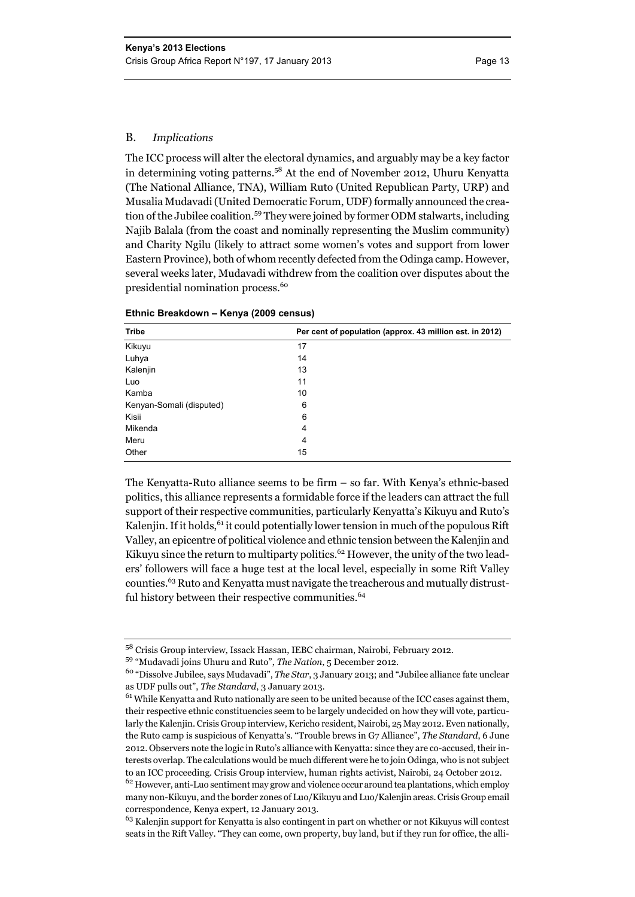#### B. *Implications*

The ICC process will alter the electoral dynamics, and arguably may be a key factor in determining voting patterns.58 At the end of November 2012, Uhuru Kenyatta (The National Alliance, TNA), William Ruto (United Republican Party, URP) and Musalia Mudavadi (United Democratic Forum, UDF) formally announced the creation of the Jubilee coalition.59 They were joined by former ODM stalwarts, including Najib Balala (from the coast and nominally representing the Muslim community) and Charity Ngilu (likely to attract some women's votes and support from lower Eastern Province), both of whom recently defected from the Odinga camp. However, several weeks later, Mudavadi withdrew from the coalition over disputes about the presidential nomination process.<sup>60</sup>

| <b>Tribe</b>             | Per cent of population (approx. 43 million est. in 2012) |
|--------------------------|----------------------------------------------------------|
| Kikuyu                   | 17                                                       |
| Luhya                    | 14                                                       |
| Kalenjin                 | 13                                                       |
| Luo                      | 11                                                       |
| Kamba                    | 10                                                       |
| Kenyan-Somali (disputed) | 6                                                        |
| Kisii                    | 6                                                        |
| Mikenda                  | 4                                                        |
| Meru                     | 4                                                        |
| Other                    | 15                                                       |

#### **Ethnic Breakdown – Kenya (2009 census)**

The Kenyatta-Ruto alliance seems to be firm – so far. With Kenya's ethnic-based politics, this alliance represents a formidable force if the leaders can attract the full support of their respective communities, particularly Kenyatta's Kikuyu and Ruto's Kalenjin. If it holds, <sup>61</sup> it could potentially lower tension in much of the populous Rift Valley, an epicentre of political violence and ethnic tension between the Kalenjin and Kikuyu since the return to multiparty politics.<sup>62</sup> However, the unity of the two leaders' followers will face a huge test at the local level, especially in some Rift Valley counties.63 Ruto and Kenyatta must navigate the treacherous and mutually distrustful history between their respective communities.<sup>64</sup>

<sup>58</sup> Crisis Group interview, Issack Hassan, IEBC chairman, Nairobi, February 2012.

<sup>59 &</sup>quot;Mudavadi joins Uhuru and Ruto", *The Nation*, 5 December 2012.

<sup>60 &</sup>quot;Dissolve Jubilee, says Mudavadi", *The Star*, 3 January 2013; and "Jubilee alliance fate unclear as UDF pulls out", *The Standard*, 3 January 2013.

 $^{61}$  While Kenyatta and Ruto nationally are seen to be united because of the ICC cases against them, their respective ethnic constituencies seem to be largely undecided on how they will vote, particularly the Kalenjin. Crisis Group interview, Kericho resident, Nairobi, 25 May 2012. Even nationally, the Ruto camp is suspicious of Kenyatta's. "Trouble brews in G7 Alliance", *The Standard*, 6 June 2012. Observers note the logic in Ruto's alliance with Kenyatta: since they are co-accused, their interests overlap. The calculations would be much different were he to join Odinga, who is not subject to an ICC proceeding. Crisis Group interview, human rights activist, Nairobi, 24 October 2012.

<sup>&</sup>lt;sup>62</sup> However, anti-Luo sentiment may grow and violence occur around tea plantations, which employ many non-Kikuyu, and the border zones of Luo/Kikuyu and Luo/Kalenjin areas. Crisis Group email correspondence, Kenya expert, 12 January 2013.

<sup>&</sup>lt;sup>63</sup> Kalenjin support for Kenyatta is also contingent in part on whether or not Kikuyus will contest seats in the Rift Valley. "They can come, own property, buy land, but if they run for office, the alli-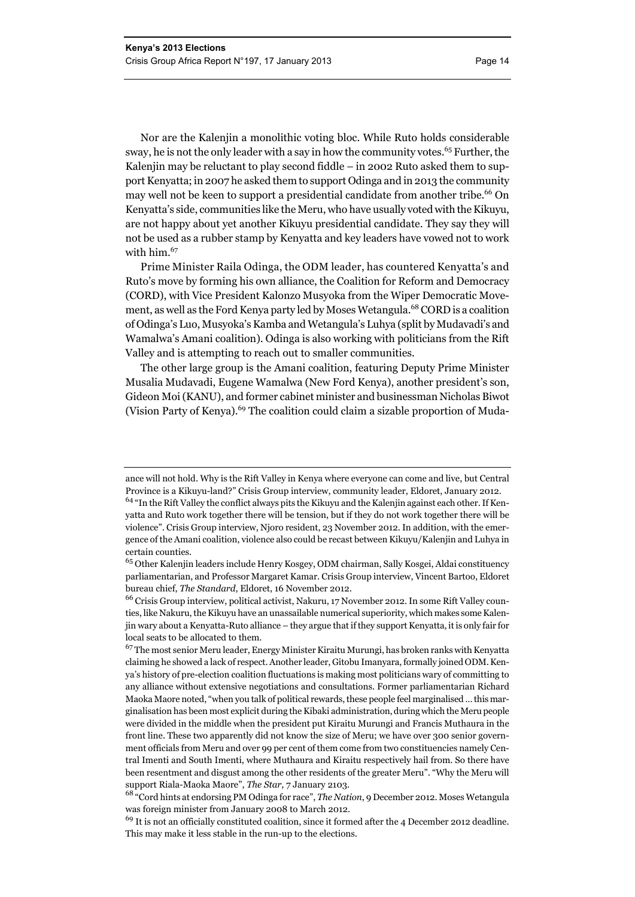Nor are the Kalenjin a monolithic voting bloc. While Ruto holds considerable sway, he is not the only leader with a say in how the community votes.<sup>65</sup> Further, the Kalenjin may be reluctant to play second fiddle – in 2002 Ruto asked them to support Kenyatta; in 2007 he asked them to support Odinga and in 2013 the community may well not be keen to support a presidential candidate from another tribe.<sup>66</sup> On Kenyatta's side, communities like the Meru, who have usually voted with the Kikuyu, are not happy about yet another Kikuyu presidential candidate. They say they will not be used as a rubber stamp by Kenyatta and key leaders have vowed not to work with him.<sup>67</sup>

Prime Minister Raila Odinga, the ODM leader, has countered Kenyatta's and Ruto's move by forming his own alliance, the Coalition for Reform and Democracy (CORD), with Vice President Kalonzo Musyoka from the Wiper Democratic Movement, as well as the Ford Kenya party led by Moses Wetangula.<sup>68</sup> CORD is a coalition of Odinga's Luo, Musyoka's Kamba and Wetangula's Luhya (split by Mudavadi's and Wamalwa's Amani coalition). Odinga is also working with politicians from the Rift Valley and is attempting to reach out to smaller communities.

The other large group is the Amani coalition, featuring Deputy Prime Minister Musalia Mudavadi, Eugene Wamalwa (New Ford Kenya), another president's son, Gideon Moi (KANU), and former cabinet minister and businessman Nicholas Biwot (Vision Party of Kenya).<sup>69</sup> The coalition could claim a sizable proportion of Muda-

ance will not hold. Why is the Rift Valley in Kenya where everyone can come and live, but Central Province is a Kikuyu-land?" Crisis Group interview, community leader, Eldoret, January 2012.

<sup>&</sup>lt;sup>64</sup> "In the Rift Valley the conflict always pits the Kikuyu and the Kalenjin against each other. If Kenyatta and Ruto work together there will be tension, but if they do not work together there will be violence". Crisis Group interview, Njoro resident, 23 November 2012. In addition, with the emergence of the Amani coalition, violence also could be recast between Kikuyu/Kalenjin and Luhya in certain counties.

<sup>65</sup> Other Kalenjin leaders include Henry Kosgey, ODM chairman, Sally Kosgei, Aldai constituency parliamentarian, and Professor Margaret Kamar. Crisis Group interview, Vincent Bartoo, Eldoret bureau chief, *The Standard*, Eldoret, 16 November 2012.

<sup>66</sup> Crisis Group interview, political activist, Nakuru, 17 November 2012. In some Rift Valley counties, like Nakuru, the Kikuyu have an unassailable numerical superiority, which makes some Kalenjin wary about a Kenyatta-Ruto alliance – they argue that if they support Kenyatta, it is only fair for local seats to be allocated to them.

 $^{67}$  The most senior Meru leader, Energy Minister Kiraitu Murungi, has broken ranks with Kenyatta claiming he showed a lack of respect. Another leader, Gitobu Imanyara, formally joined ODM. Kenya's history of pre-election coalition fluctuations is making most politicians wary of committing to any alliance without extensive negotiations and consultations. Former parliamentarian Richard Maoka Maore noted, "when you talk of political rewards, these people feel marginalised … this marginalisation has been most explicit during the Kibaki administration, during which the Meru people were divided in the middle when the president put Kiraitu Murungi and Francis Muthaura in the front line. These two apparently did not know the size of Meru; we have over 300 senior government officials from Meru and over 99 per cent of them come from two constituencies namely Central Imenti and South Imenti, where Muthaura and Kiraitu respectively hail from. So there have been resentment and disgust among the other residents of the greater Meru". "Why the Meru will support Riala-Maoka Maore", *The Star*, 7 January 2103.

<sup>68 &</sup>quot;Cord hints at endorsing PM Odinga for race", *The Nation*, 9 December 2012. Moses Wetangula was foreign minister from January 2008 to March 2012.

 $69$  It is not an officially constituted coalition, since it formed after the 4 December 2012 deadline. This may make it less stable in the run-up to the elections.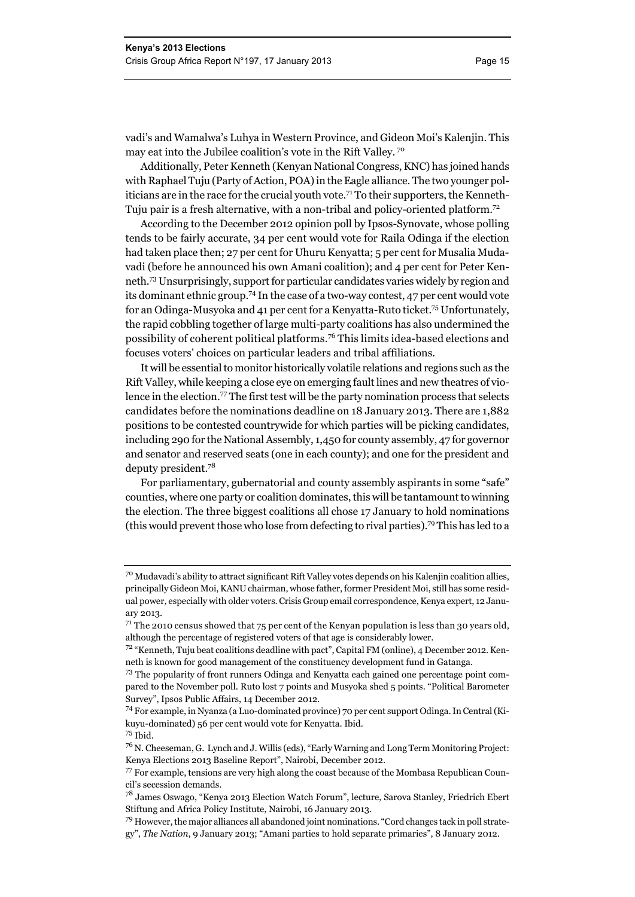vadi's and Wamalwa's Luhya in Western Province, and Gideon Moi's Kalenjin. This may eat into the Jubilee coalition's vote in the Rift Valley. 70

Additionally, Peter Kenneth (Kenyan National Congress, KNC) has joined hands with Raphael Tuju (Party of Action, POA) in the Eagle alliance. The two younger politicians are in the race for the crucial youth vote.<sup>71</sup> To their supporters, the Kenneth-Tuju pair is a fresh alternative, with a non-tribal and policy-oriented platform.72

According to the December 2012 opinion poll by Ipsos-Synovate, whose polling tends to be fairly accurate, 34 per cent would vote for Raila Odinga if the election had taken place then; 27 per cent for Uhuru Kenyatta; 5 per cent for Musalia Mudavadi (before he announced his own Amani coalition); and 4 per cent for Peter Kenneth.73 Unsurprisingly, support for particular candidates varies widely by region and its dominant ethnic group.74 In the case of a two-way contest, 47 per cent would vote for an Odinga-Musyoka and 41 per cent for a Kenyatta-Ruto ticket.75 Unfortunately, the rapid cobbling together of large multi-party coalitions has also undermined the possibility of coherent political platforms.76 This limits idea-based elections and focuses voters' choices on particular leaders and tribal affiliations.

It will be essential to monitor historically volatile relations and regions such as the Rift Valley, while keeping a close eye on emerging fault lines and new theatres of violence in the election.<sup>77</sup> The first test will be the party nomination process that selects candidates before the nominations deadline on 18 January 2013. There are 1,882 positions to be contested countrywide for which parties will be picking candidates, including 290 for the National Assembly, 1,450 for county assembly, 47 for governor and senator and reserved seats (one in each county); and one for the president and deputy president.78

For parliamentary, gubernatorial and county assembly aspirants in some "safe" counties, where one party or coalition dominates, this will be tantamount to winning the election. The three biggest coalitions all chose 17 January to hold nominations (this would prevent those who lose from defecting to rival parties).79 This has led to a

<sup>70</sup> Mudavadi's ability to attract significant Rift Valley votes depends on his Kalenjin coalition allies, principally Gideon Moi, KANU chairman, whose father, former President Moi, still has some residual power, especially with older voters. Crisis Group email correspondence, Kenya expert, 12 January 2013.

 $71$ <sup>The 2010</sup> census showed that 75 per cent of the Kenyan population is less than 30 years old, although the percentage of registered voters of that age is considerably lower.

<sup>72 &</sup>quot;Kenneth, Tuju beat coalitions deadline with pact", Capital FM (online), 4 December 2012. Kenneth is known for good management of the constituency development fund in Gatanga.

<sup>73</sup> The popularity of front runners Odinga and Kenyatta each gained one percentage point compared to the November poll. Ruto lost 7 points and Musyoka shed 5 points. "Political Barometer Survey", Ipsos Public Affairs, 14 December 2012.

<sup>74</sup> For example, in Nyanza (a Luo-dominated province) 70 per cent support Odinga. In Central (Kikuyu-dominated) 56 per cent would vote for Kenyatta. Ibid. 75 Ibid.

<sup>76</sup> N. Cheeseman, G. Lynch and J. Willis (eds), "Early Warning and Long Term Monitoring Project: Kenya Elections 2013 Baseline Report", Nairobi, December 2012.

<sup>77</sup> For example, tensions are very high along the coast because of the Mombasa Republican Council's secession demands.

<sup>78</sup> James Oswago, "Kenya 2013 Election Watch Forum", lecture, Sarova Stanley, Friedrich Ebert Stiftung and Africa Policy Institute, Nairobi, 16 January 2013.

 $^{79}$  However, the major alliances all abandoned joint nominations. "Cord changes tack in poll strategy", *The Nation*, 9 January 2013; "Amani parties to hold separate primaries", 8 January 2012.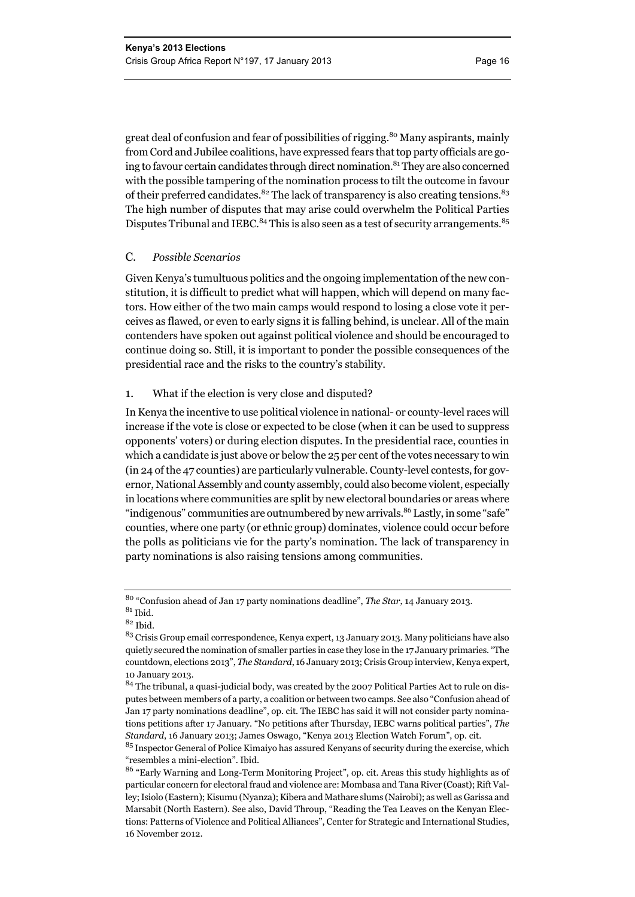great deal of confusion and fear of possibilities of rigging.<sup>80</sup> Many aspirants, mainly from Cord and Jubilee coalitions, have expressed fears that top party officials are going to favour certain candidates through direct nomination.<sup>81</sup> They are also concerned with the possible tampering of the nomination process to tilt the outcome in favour of their preferred candidates.<sup>82</sup> The lack of transparency is also creating tensions.<sup>83</sup> The high number of disputes that may arise could overwhelm the Political Parties Disputes Tribunal and IEBC.<sup>84</sup> This is also seen as a test of security arrangements.<sup>85</sup>

#### C. *Possible Scenarios*

Given Kenya's tumultuous politics and the ongoing implementation of the new constitution, it is difficult to predict what will happen, which will depend on many factors. How either of the two main camps would respond to losing a close vote it perceives as flawed, or even to early signs it is falling behind, is unclear. All of the main contenders have spoken out against political violence and should be encouraged to continue doing so. Still, it is important to ponder the possible consequences of the presidential race and the risks to the country's stability.

#### 1. What if the election is very close and disputed?

In Kenya the incentive to use political violence in national- or county-level races will increase if the vote is close or expected to be close (when it can be used to suppress opponents' voters) or during election disputes. In the presidential race, counties in which a candidate is just above or below the 25 per cent of the votes necessary to win (in 24 of the 47 counties) are particularly vulnerable. County-level contests, for governor, National Assembly and county assembly, could also become violent, especially in locations where communities are split by new electoral boundaries or areas where "indigenous" communities are outnumbered by new arrivals.<sup>86</sup> Lastly, in some "safe" counties, where one party (or ethnic group) dominates, violence could occur before the polls as politicians vie for the party's nomination. The lack of transparency in party nominations is also raising tensions among communities.

<sup>80 &</sup>quot;Confusion ahead of Jan 17 party nominations deadline", *The Star*, 14 January 2013.  $^{81}$  Ibid.

 $82$  Ibid.

<sup>&</sup>lt;sup>83</sup> Crisis Group email correspondence, Kenya expert, 13 January 2013. Many politicians have also quietly secured the nomination of smaller parties in case they lose in the 17 January primaries. "The countdown, elections 2013", *The Standard*, 16 January 2013; Crisis Group interview, Kenya expert, 10 January 2013.

<sup>84</sup> The tribunal, a quasi-judicial body, was created by the 2007 Political Parties Act to rule on disputes between members of a party, a coalition or between two camps. See also "Confusion ahead of Jan 17 party nominations deadline", op. cit. The IEBC has said it will not consider party nominations petitions after 17 January. "No petitions after Thursday, IEBC warns political parties", *The Standard*, 16 January 2013; James Oswago, "Kenya 2013 Election Watch Forum", op. cit.

 $^{85}$  Inspector General of Police Kimaiyo has assured Kenyans of security during the exercise, which "resembles a mini-election". Ibid.

<sup>86 &</sup>quot;Early Warning and Long-Term Monitoring Project", op. cit. Areas this study highlights as of particular concern for electoral fraud and violence are: Mombasa and Tana River (Coast); Rift Valley; Isiolo (Eastern); Kisumu (Nyanza); Kibera and Mathare slums (Nairobi); as well as Garissa and Marsabit (North Eastern). See also, David Throup, "Reading the Tea Leaves on the Kenyan Elections: Patterns of Violence and Political Alliances", Center for Strategic and International Studies, 16 November 2012.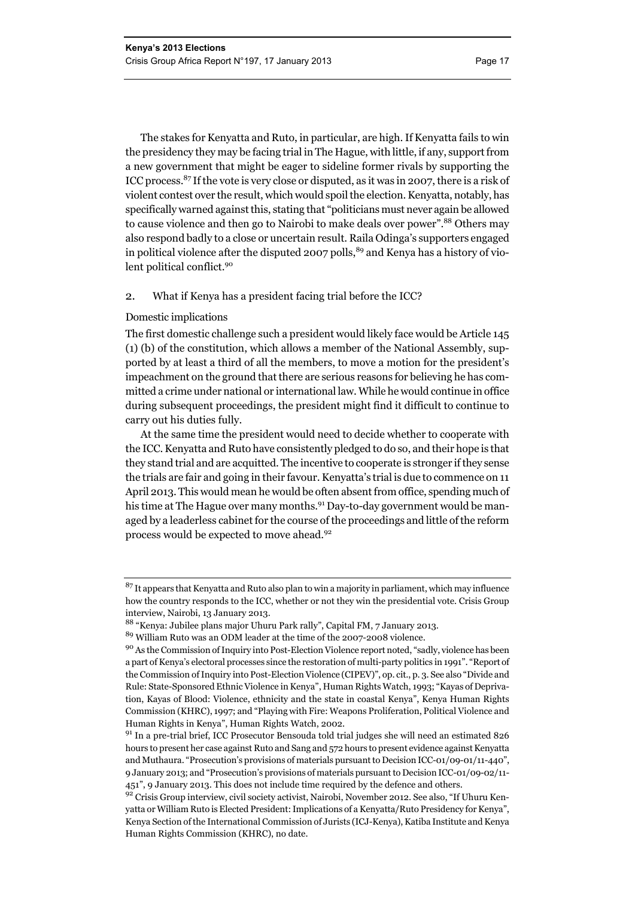The stakes for Kenyatta and Ruto, in particular, are high. If Kenyatta fails to win the presidency they may be facing trial in The Hague, with little, if any, support from a new government that might be eager to sideline former rivals by supporting the ICC process.87 If the vote is very close or disputed, as it was in 2007, there is a risk of violent contest over the result, which would spoil the election. Kenyatta, notably, has specifically warned against this, stating that "politicians must never again be allowed to cause violence and then go to Nairobi to make deals over power".<sup>88</sup> Others may also respond badly to a close or uncertain result. Raila Odinga's supporters engaged in political violence after the disputed 2007 polls,  $89$  and Kenya has a history of violent political conflict.<sup>90</sup>

#### 2. What if Kenya has a president facing trial before the ICC?

#### Domestic implications

The first domestic challenge such a president would likely face would be Article 145 (1) (b) of the constitution, which allows a member of the National Assembly, supported by at least a third of all the members, to move a motion for the president's impeachment on the ground that there are serious reasons for believing he has committed a crime under national or international law. While he would continue in office during subsequent proceedings, the president might find it difficult to continue to carry out his duties fully.

At the same time the president would need to decide whether to cooperate with the ICC. Kenyatta and Ruto have consistently pledged to do so, and their hope is that they stand trial and are acquitted. The incentive to cooperate is stronger if they sense the trials are fair and going in their favour. Kenyatta's trial is due to commence on 11 April 2013. This would mean he would be often absent from office, spending much of his time at The Hague over many months.<sup>91</sup> Day-to-day government would be managed by a leaderless cabinet for the course of the proceedings and little of the reform process would be expected to move ahead.<sup>92</sup>

<sup>&</sup>lt;sup>87</sup> It appears that Kenyatta and Ruto also plan to win a majority in parliament, which may influence how the country responds to the ICC, whether or not they win the presidential vote. Crisis Group interview, Nairobi, 13 January 2013.

<sup>88 &</sup>quot;Kenya: Jubilee plans major Uhuru Park rally", Capital FM, 7 January 2013.

<sup>89</sup> William Ruto was an ODM leader at the time of the 2007-2008 violence.

<sup>90</sup> As the Commission of Inquiry into Post-Election Violence report noted, "sadly, violence has been a part of Kenya's electoral processes since the restoration of multi-party politics in 1991". "Report of the Commission of Inquiry into Post-Election Violence (CIPEV)", op. cit., p. 3. See also "Divide and Rule: State-Sponsored Ethnic Violence in Kenya", Human Rights Watch, 1993; "Kayas of Deprivation, Kayas of Blood: Violence, ethnicity and the state in coastal Kenya", Kenya Human Rights Commission (KHRC), 1997; and "Playing with Fire: Weapons Proliferation, Political Violence and Human Rights in Kenya", Human Rights Watch, 2002.

<sup>&</sup>lt;sup>91</sup> In a pre-trial brief, ICC Prosecutor Bensouda told trial judges she will need an estimated 826 hours to present her case against Ruto and Sang and 572 hours to present evidence against Kenyatta and Muthaura. "Prosecution's provisions of materials pursuant to Decision ICC-01/09-01/11-440", 9 January 2013; and "Prosecution's provisions of materials pursuant to Decision ICC-01/09-02/11- 451", 9 January 2013. This does not include time required by the defence and others.

<sup>92</sup> Crisis Group interview, civil society activist, Nairobi, November 2012. See also, "If Uhuru Kenyatta or William Ruto is Elected President: Implications of a Kenyatta/Ruto Presidency for Kenya", Kenya Section of the International Commission of Jurists (ICJ-Kenya), Katiba Institute and Kenya Human Rights Commission (KHRC), no date.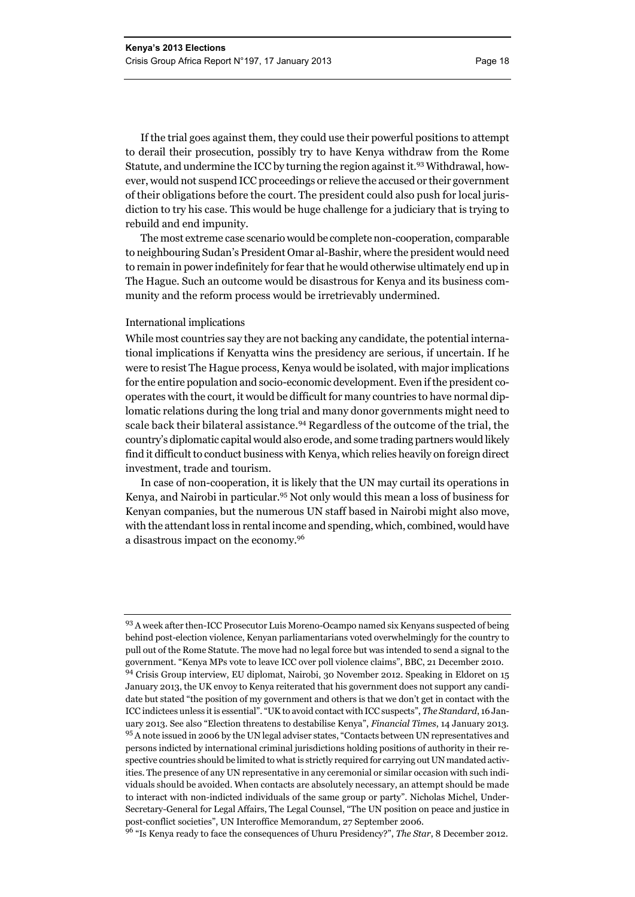If the trial goes against them, they could use their powerful positions to attempt to derail their prosecution, possibly try to have Kenya withdraw from the Rome Statute, and undermine the ICC by turning the region against it.93 Withdrawal, however, would not suspend ICC proceedings or relieve the accused or their government of their obligations before the court. The president could also push for local jurisdiction to try his case. This would be huge challenge for a judiciary that is trying to rebuild and end impunity.

The most extreme case scenario would be complete non-cooperation, comparable to neighbouring Sudan's President Omar al-Bashir, where the president would need to remain in power indefinitely for fear that he would otherwise ultimately end up in The Hague. Such an outcome would be disastrous for Kenya and its business community and the reform process would be irretrievably undermined.

#### International implications

While most countries say they are not backing any candidate, the potential international implications if Kenyatta wins the presidency are serious, if uncertain. If he were to resist The Hague process, Kenya would be isolated, with major implications for the entire population and socio-economic development. Even if the president cooperates with the court, it would be difficult for many countries to have normal diplomatic relations during the long trial and many donor governments might need to scale back their bilateral assistance.<sup>94</sup> Regardless of the outcome of the trial, the country's diplomatic capital would also erode, and some trading partners would likely find it difficult to conduct business with Kenya, which relies heavily on foreign direct investment, trade and tourism.

In case of non-cooperation, it is likely that the UN may curtail its operations in Kenya, and Nairobi in particular.<sup>95</sup> Not only would this mean a loss of business for Kenyan companies, but the numerous UN staff based in Nairobi might also move, with the attendant loss in rental income and spending, which, combined, would have a disastrous impact on the economy.96

96 "Is Kenya ready to face the consequences of Uhuru Presidency?", *The Star*, 8 December 2012.

<sup>93</sup> A week after then-ICC Prosecutor Luis Moreno-Ocampo named six Kenyans suspected of being behind post-election violence, Kenyan parliamentarians voted overwhelmingly for the country to pull out of the Rome Statute. The move had no legal force but was intended to send a signal to the government. "Kenya MPs vote to leave ICC over poll violence claims", BBC, 21 December 2010. 94 Crisis Group interview, EU diplomat, Nairobi, 30 November 2012. Speaking in Eldoret on 15 January 2013, the UK envoy to Kenya reiterated that his government does not support any candidate but stated "the position of my government and others is that we don't get in contact with the ICC indictees unless it is essential". "UK to avoid contact with ICC suspects", *The Standard*, 16 January 2013. See also "Election threatens to destabilise Kenya", *Financial Times*, 14 January 2013. 95 A note issued in 2006 by the UN legal adviser states, "Contacts between UN representatives and persons indicted by international criminal jurisdictions holding positions of authority in their respective countries should be limited to what is strictly required for carrying out UN mandated activities. The presence of any UN representative in any ceremonial or similar occasion with such individuals should be avoided. When contacts are absolutely necessary, an attempt should be made to interact with non-indicted individuals of the same group or party". Nicholas Michel, Under-Secretary-General for Legal Affairs, The Legal Counsel, "The UN position on peace and justice in post-conflict societies", UN Interoffice Memorandum, 27 September 2006.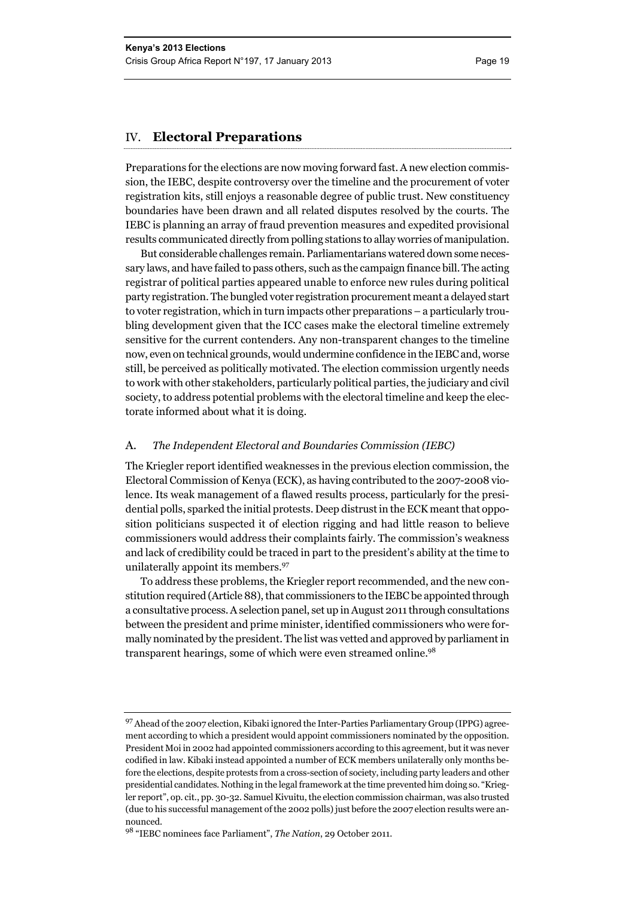#### IV. **Electoral Preparations**

Preparations for the elections are now moving forward fast. A new election commission, the IEBC, despite controversy over the timeline and the procurement of voter registration kits, still enjoys a reasonable degree of public trust. New constituency boundaries have been drawn and all related disputes resolved by the courts. The IEBC is planning an array of fraud prevention measures and expedited provisional results communicated directly from polling stations to allay worries of manipulation.

But considerable challenges remain. Parliamentarians watered down some necessary laws, and have failed to pass others, such as the campaign finance bill. The acting registrar of political parties appeared unable to enforce new rules during political party registration. The bungled voter registration procurement meant a delayed start to voter registration, which in turn impacts other preparations – a particularly troubling development given that the ICC cases make the electoral timeline extremely sensitive for the current contenders. Any non-transparent changes to the timeline now, even on technical grounds, would undermine confidence in the IEBC and, worse still, be perceived as politically motivated. The election commission urgently needs to work with other stakeholders, particularly political parties, the judiciary and civil society, to address potential problems with the electoral timeline and keep the electorate informed about what it is doing.

#### A. *The Independent Electoral and Boundaries Commission (IEBC)*

The Kriegler report identified weaknesses in the previous election commission, the Electoral Commission of Kenya (ECK), as having contributed to the 2007-2008 violence. Its weak management of a flawed results process, particularly for the presidential polls, sparked the initial protests. Deep distrust in the ECK meant that opposition politicians suspected it of election rigging and had little reason to believe commissioners would address their complaints fairly. The commission's weakness and lack of credibility could be traced in part to the president's ability at the time to unilaterally appoint its members.<sup>97</sup>

To address these problems, the Kriegler report recommended, and the new constitution required (Article 88), that commissioners to the IEBC be appointed through a consultative process. A selection panel, set up in August 2011 through consultations between the president and prime minister, identified commissioners who were formally nominated by the president. The list was vetted and approved by parliament in transparent hearings, some of which were even streamed online.<sup>98</sup>

<sup>&</sup>lt;sup>97</sup> Ahead of the 2007 election, Kibaki ignored the Inter-Parties Parliamentary Group (IPPG) agreement according to which a president would appoint commissioners nominated by the opposition. President Moi in 2002 had appointed commissioners according to this agreement, but it was never codified in law. Kibaki instead appointed a number of ECK members unilaterally only months before the elections, despite protests from a cross-section of society, including party leaders and other presidential candidates*.* Nothing in the legal framework at the time prevented him doing so. "Kriegler report", op. cit., pp. 30-32. Samuel Kivuitu, the election commission chairman, was also trusted (due to his successful management of the 2002 polls) just before the 2007 election results were announced.

<sup>98 &</sup>quot;IEBC nominees face Parliament", *The Nation*, 29 October 2011.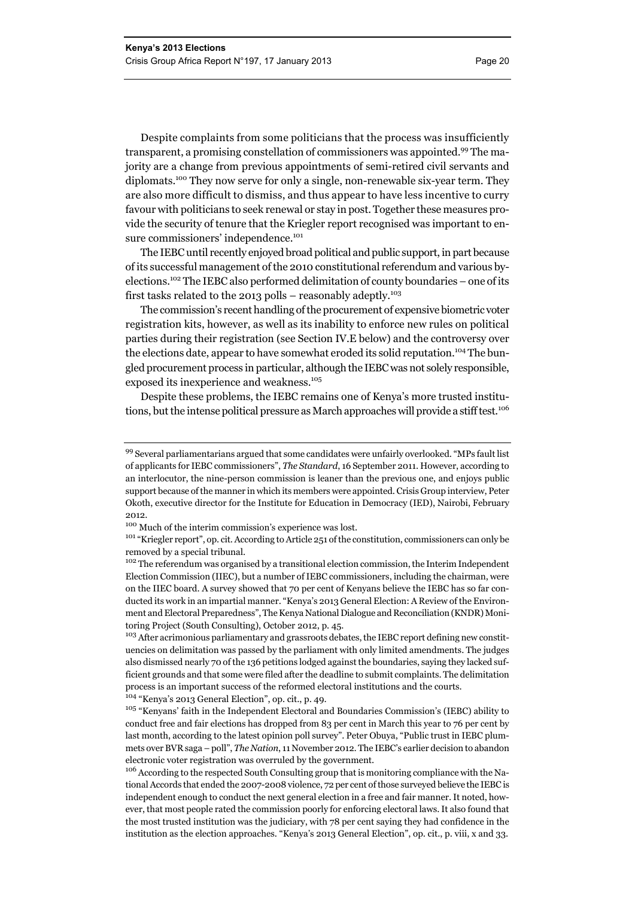Despite complaints from some politicians that the process was insufficiently transparent, a promising constellation of commissioners was appointed.99 The majority are a change from previous appointments of semi-retired civil servants and diplomats.<sup>100</sup> They now serve for only a single, non-renewable six-year term. They are also more difficult to dismiss, and thus appear to have less incentive to curry favour with politicians to seek renewal or stay in post. Together these measures provide the security of tenure that the Kriegler report recognised was important to ensure commissioners' independence.<sup>101</sup>

The IEBC until recently enjoyed broad political and public support, in part because of its successful management of the 2010 constitutional referendum and various byelections.102 The IEBC also performed delimitation of county boundaries – one of its first tasks related to the 2013 polls – reasonably adeptly.<sup>103</sup>

The commission's recent handling of the procurement of expensive biometric voter registration kits, however, as well as its inability to enforce new rules on political parties during their registration (see Section IV.E below) and the controversy over the elections date, appear to have somewhat eroded its solid reputation.<sup>104</sup> The bungled procurement process in particular, although the IEBC was not solely responsible, exposed its inexperience and weakness.<sup>105</sup>

Despite these problems, the IEBC remains one of Kenya's more trusted institutions, but the intense political pressure as March approaches will provide a stiff test.<sup>106</sup>

104 "Kenya's 2013 General Election", op. cit., p. 49.

<sup>99</sup> Several parliamentarians argued that some candidates were unfairly overlooked. "MPs fault list of applicants for IEBC commissioners", *The Standard*, 16 September 2011. However, according to an interlocutor, the nine-person commission is leaner than the previous one, and enjoys public support because of the manner in which its members were appointed. Crisis Group interview, Peter Okoth, executive director for the Institute for Education in Democracy (IED), Nairobi, February 2012.

 $100$  Much of the interim commission's experience was lost.<br> $101$  "Kriegler report", op. cit. According to Article 251 of the constitution, commissioners can only be removed by a special tribunal.

<sup>&</sup>lt;sup>102</sup> The referendum was organised by a transitional election commission, the Interim Independent Election Commission (IIEC), but a number of IEBC commissioners, including the chairman, were on the IIEC board. A survey showed that 70 per cent of Kenyans believe the IEBC has so far conducted its work in an impartial manner. "Kenya's 2013 General Election: A Review of the Environment and Electoral Preparedness", The Kenya National Dialogue and Reconciliation (KNDR) Monitoring Project (South Consulting), October 2012, p. 45.

<sup>&</sup>lt;sup>103</sup> After acrimonious parliamentary and grassroots debates, the IEBC report defining new constituencies on delimitation was passed by the parliament with only limited amendments. The judges also dismissed nearly 70 of the 136 petitions lodged against the boundaries, saying they lacked sufficient grounds and that some were filed after the deadline to submit complaints. The delimitation process is an important success of the reformed electoral institutions and the courts.

 $^{105}$  "Kenyans' faith in the Independent Electoral and Boundaries Commission's (IEBC) ability to conduct free and fair elections has dropped from 83 per cent in March this year to 76 per cent by last month, according to the latest opinion poll survey". Peter Obuya, "Public trust in IEBC plummets over BVR saga – poll", *The Nation*, 11 November 2012. The IEBC's earlier decision to abandon electronic voter registration was overruled by the government.

<sup>&</sup>lt;sup>106</sup> According to the respected South Consulting group that is monitoring compliance with the National Accords that ended the 2007-2008 violence, 72 per cent of those surveyed believe the IEBC is independent enough to conduct the next general election in a free and fair manner. It noted, however, that most people rated the commission poorly for enforcing electoral laws. It also found that the most trusted institution was the judiciary, with 78 per cent saying they had confidence in the institution as the election approaches. "Kenya's 2013 General Election", op. cit., p. viii, x and 33.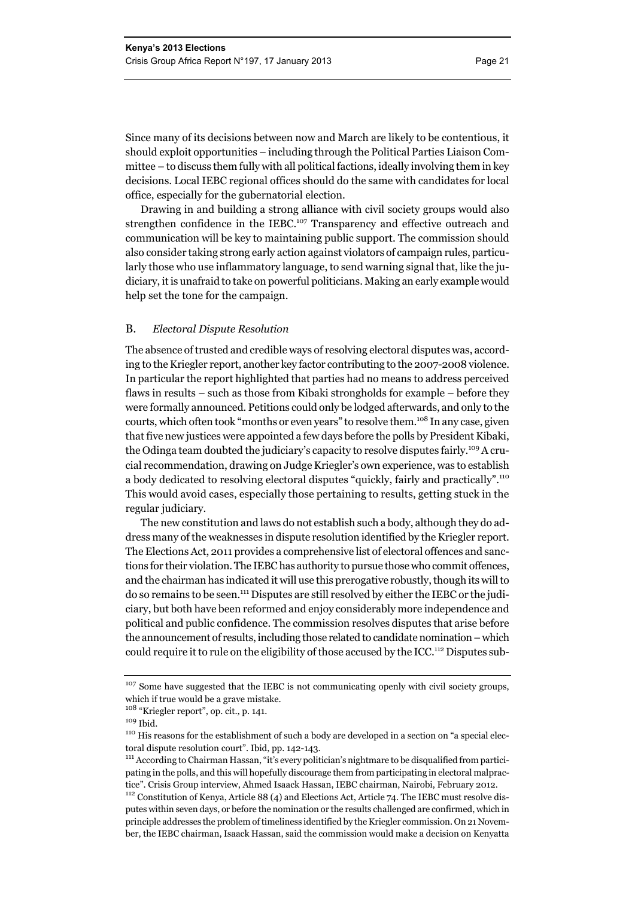Since many of its decisions between now and March are likely to be contentious, it should exploit opportunities – including through the Political Parties Liaison Committee – to discuss them fully with all political factions, ideally involving them in key decisions. Local IEBC regional offices should do the same with candidates for local office, especially for the gubernatorial election.

Drawing in and building a strong alliance with civil society groups would also strengthen confidence in the IEBC.<sup>107</sup> Transparency and effective outreach and communication will be key to maintaining public support. The commission should also consider taking strong early action against violators of campaign rules, particularly those who use inflammatory language, to send warning signal that, like the judiciary, it is unafraid to take on powerful politicians. Making an early example would help set the tone for the campaign.

#### B. *Electoral Dispute Resolution*

The absence of trusted and credible ways of resolving electoral disputes was, according to the Kriegler report, another key factor contributing to the 2007-2008 violence. In particular the report highlighted that parties had no means to address perceived flaws in results – such as those from Kibaki strongholds for example – before they were formally announced. Petitions could only be lodged afterwards, and only to the courts, which often took "months or even years" to resolve them.<sup>108</sup> In any case, given that five new justices were appointed a few days before the polls by President Kibaki, the Odinga team doubted the judiciary's capacity to resolve disputes fairly.109 A crucial recommendation, drawing on Judge Kriegler's own experience, was to establish a body dedicated to resolving electoral disputes "quickly, fairly and practically".110 This would avoid cases, especially those pertaining to results, getting stuck in the regular judiciary.

The new constitution and laws do not establish such a body, although they do address many of the weaknesses in dispute resolution identified by the Kriegler report. The Elections Act, 2011 provides a comprehensive list of electoral offences and sanctions for their violation. The IEBC has authority to pursue those who commit offences, and the chairman has indicated it will use this prerogative robustly, though its will to do so remains to be seen.111 Disputes are still resolved by either the IEBC or the judiciary, but both have been reformed and enjoy considerably more independence and political and public confidence. The commission resolves disputes that arise before the announcement of results, including those related to candidate nomination – which could require it to rule on the eligibility of those accused by the ICC.112 Disputes sub-

<sup>&</sup>lt;sup>107</sup> Some have suggested that the IEBC is not communicating openly with civil society groups, which if true would be a grave mistake.

 $^{108}$  "Kriegler report", op. cit., p. 141.  $^{109}$  Ihid.

<sup>&</sup>lt;sup>110</sup> His reasons for the establishment of such a body are developed in a section on "a special electoral dispute resolution court". Ibid, pp. 142-143.<br><sup>111</sup> According to Chairman Hassan, "it's every politician's nightmare to be disqualified from partici-

pating in the polls, and this will hopefully discourage them from participating in electoral malpractice". Crisis Group interview, Ahmed Isaack Hassan, IEBC chairman, Nairobi, February 2012.

<sup>&</sup>lt;sup>112</sup> Constitution of Kenya, Article 88 (4) and Elections Act, Article 74. The IEBC must resolve disputes within seven days, or before the nomination or the results challenged are confirmed, which in principle addresses the problem of timeliness identified by the Kriegler commission. On 21 November, the IEBC chairman, Isaack Hassan, said the commission would make a decision on Kenyatta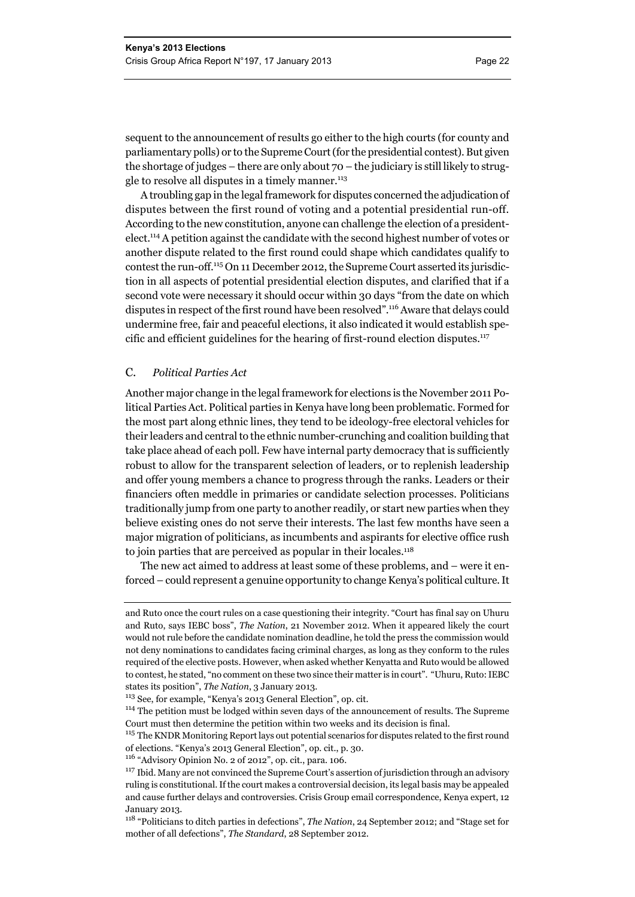sequent to the announcement of results go either to the high courts (for county and parliamentary polls) or to the Supreme Court (for the presidential contest). But given the shortage of judges – there are only about  $70$  – the judiciary is still likely to struggle to resolve all disputes in a timely manner. $^{113}$ 

A troubling gap in the legal framework for disputes concerned the adjudication of disputes between the first round of voting and a potential presidential run-off. According to the new constitution, anyone can challenge the election of a presidentelect.114 A petition against the candidate with the second highest number of votes or another dispute related to the first round could shape which candidates qualify to contest the run-off.115 On 11 December 2012, the Supreme Court asserted its jurisdiction in all aspects of potential presidential election disputes, and clarified that if a second vote were necessary it should occur within 30 days "from the date on which disputes in respect of the first round have been resolved".116 Aware that delays could undermine free, fair and peaceful elections, it also indicated it would establish specific and efficient guidelines for the hearing of first-round election disputes. $117$ 

#### C. *Political Parties Act*

Another major change in the legal framework for elections is the November 2011 Political Parties Act. Political parties in Kenya have long been problematic. Formed for the most part along ethnic lines, they tend to be ideology-free electoral vehicles for their leaders and central to the ethnic number-crunching and coalition building that take place ahead of each poll. Few have internal party democracy that is sufficiently robust to allow for the transparent selection of leaders, or to replenish leadership and offer young members a chance to progress through the ranks. Leaders or their financiers often meddle in primaries or candidate selection processes. Politicians traditionally jump from one party to another readily, or start new parties when they believe existing ones do not serve their interests. The last few months have seen a major migration of politicians, as incumbents and aspirants for elective office rush to join parties that are perceived as popular in their locales.118

The new act aimed to address at least some of these problems, and – were it enforced – could represent a genuine opportunity to change Kenya's political culture. It

<sup>115</sup> The KNDR Monitoring Report lays out potential scenarios for disputes related to the first round of elections. "Kenya's 2013 General Election", op. cit., p. 30.

and Ruto once the court rules on a case questioning their integrity. "Court has final say on Uhuru and Ruto, says IEBC boss", *The Nation*, 21 November 2012. When it appeared likely the court would not rule before the candidate nomination deadline, he told the press the commission would not deny nominations to candidates facing criminal charges, as long as they conform to the rules required of the elective posts. However, when asked whether Kenyatta and Ruto would be allowed to contest, he stated, "no comment on these two since their matter is in court". "Uhuru, Ruto: IEBC states its position", *The Nation*, 3 January 2013.

<sup>113</sup> See, for example, "Kenya's 2013 General Election", op. cit.

<sup>&</sup>lt;sup>114</sup> The petition must be lodged within seven days of the announcement of results. The Supreme Court must then determine the petition within two weeks and its decision is final.

<sup>116 &</sup>quot;Advisory Opinion No. 2 of 2012", op. cit., para. 106.

<sup>&</sup>lt;sup>117</sup> Ibid. Many are not convinced the Supreme Court's assertion of jurisdiction through an advisory ruling is constitutional. If the court makes a controversial decision, its legal basis may be appealed and cause further delays and controversies. Crisis Group email correspondence, Kenya expert, 12 January 2013.

<sup>118 &</sup>quot;Politicians to ditch parties in defections", *The Nation*, 24 September 2012; and "Stage set for mother of all defections", *The Standard*, 28 September 2012.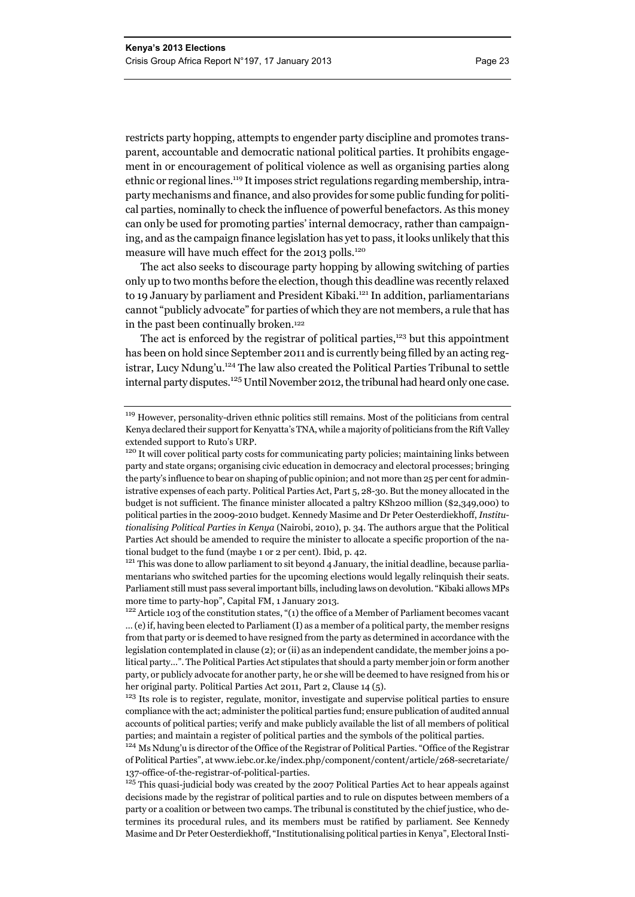restricts party hopping, attempts to engender party discipline and promotes transparent, accountable and democratic national political parties. It prohibits engagement in or encouragement of political violence as well as organising parties along ethnic or regional lines.119 It imposes strict regulations regarding membership, intraparty mechanisms and finance, and also provides for some public funding for political parties, nominally to check the influence of powerful benefactors. As this money can only be used for promoting parties' internal democracy, rather than campaigning, and as the campaign finance legislation has yet to pass, it looks unlikely that this measure will have much effect for the 2013 polls.<sup>120</sup>

The act also seeks to discourage party hopping by allowing switching of parties only up to two months before the election, though this deadline was recently relaxed to 19 January by parliament and President Kibaki.<sup>121</sup> In addition, parliamentarians cannot "publicly advocate" for parties of which they are not members, a rule that has in the past been continually broken.122

The act is enforced by the registrar of political parties, $123$  but this appointment has been on hold since September 2011 and is currently being filled by an acting registrar, Lucy Ndung'u.124 The law also created the Political Parties Tribunal to settle internal party disputes.<sup>125</sup> Until November 2012, the tribunal had heard only one case.

tional budget to the fund (maybe 1 or 2 per cent). Ibid, p. 42.<br><sup>121</sup> This was done to allow parliament to sit beyond 4 January, the initial deadline, because parliamentarians who switched parties for the upcoming elections would legally relinquish their seats. Parliament still must pass several important bills, including laws on devolution. "Kibaki allows MPs more time to party-hop", Capital FM, 1 January 2013.<br><sup>122</sup> Article 103 of the constitution states, "(1) the office of a Member of Parliament becomes vacant

<sup>&</sup>lt;sup>119</sup> However, personality-driven ethnic politics still remains. Most of the politicians from central Kenya declared their support for Kenyatta's TNA, while a majority of politicians from the Rift Valley extended support to Ruto's URP.

<sup>&</sup>lt;sup>120</sup> It will cover political party costs for communicating party policies; maintaining links between party and state organs; organising civic education in democracy and electoral processes; bringing the party's influence to bear on shaping of public opinion; and not more than 25 per cent for administrative expenses of each party. Political Parties Act, Part 5, 28-30. But the money allocated in the budget is not sufficient. The finance minister allocated a paltry KSh200 million (\$2,349,000) to political parties in the 2009-2010 budget. Kennedy Masime and Dr Peter Oesterdiekhoff, *Institutionalising Political Parties in Kenya* (Nairobi, 2010), p. 34. The authors argue that the Political Parties Act should be amended to require the minister to allocate a specific proportion of the na-

<sup>… (</sup>e) if, having been elected to Parliament (I) as a member of a political party, the member resigns from that party or is deemed to have resigned from the party as determined in accordance with the legislation contemplated in clause (2); or (ii) as an independent candidate, the member joins a political party…". The Political Parties Act stipulates that should a party member join or form another party, or publicly advocate for another party, he or she will be deemed to have resigned from his or her original party. Political Parties Act 2011, Part 2, Clause 14 (5).

<sup>&</sup>lt;sup>123</sup> Its role is to register, regulate, monitor, investigate and supervise political parties to ensure compliance with the act; administer the political parties fund; ensure publication of audited annual accounts of political parties; verify and make publicly available the list of all members of political parties; and maintain a register of political parties and the symbols of the political parties.

<sup>&</sup>lt;sup>124</sup> Ms Ndung'u is director of the Office of the Registrar of Political Parties. "Office of the Registrar of Political Parties", at www.iebc.or.ke/index.php/component/content/article/268-secretariate/ 137-office-of-the-registrar-of-political-parties.

<sup>&</sup>lt;sup>125</sup> This quasi-judicial body was created by the 2007 Political Parties Act to hear appeals against decisions made by the registrar of political parties and to rule on disputes between members of a party or a coalition or between two camps. The tribunal is constituted by the chief justice, who determines its procedural rules, and its members must be ratified by parliament. See Kennedy Masime and Dr Peter Oesterdiekhoff, "Institutionalising political parties in Kenya", Electoral Insti-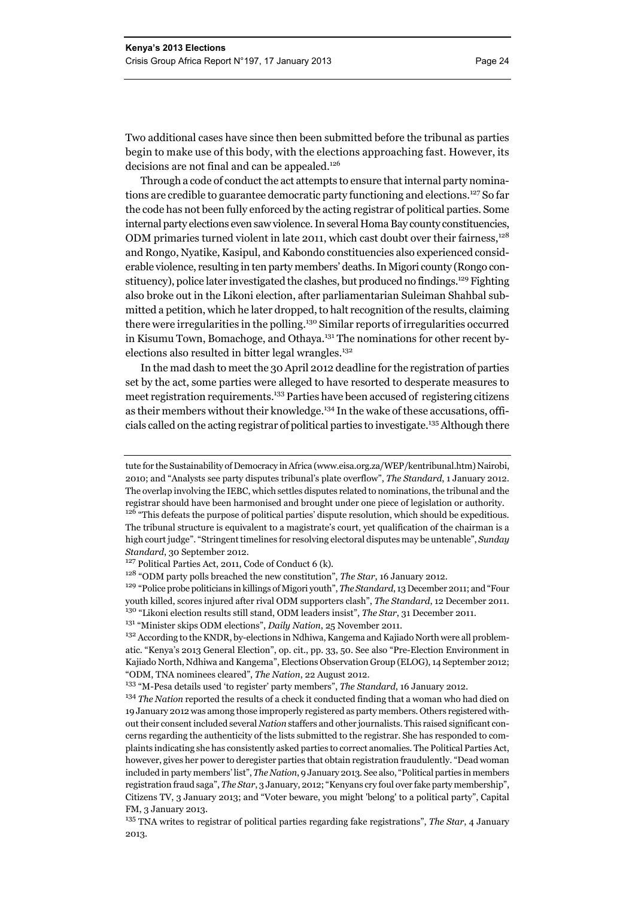Two additional cases have since then been submitted before the tribunal as parties begin to make use of this body, with the elections approaching fast. However, its decisions are not final and can be appealed.<sup>126</sup>

Through a code of conduct the act attempts to ensure that internal party nominations are credible to guarantee democratic party functioning and elections.127 So far the code has not been fully enforced by the acting registrar of political parties. Some internal party elections even saw violence. In several Homa Bay county constituencies, ODM primaries turned violent in late 2011, which cast doubt over their fairness,<sup>128</sup> and Rongo, Nyatike, Kasipul, and Kabondo constituencies also experienced considerable violence, resulting in ten party members' deaths. In Migori county (Rongo constituency), police later investigated the clashes, but produced no findings.129 Fighting also broke out in the Likoni election, after parliamentarian Suleiman Shahbal submitted a petition, which he later dropped, to halt recognition of the results, claiming there were irregularities in the polling.<sup>130</sup> Similar reports of irregularities occurred in Kisumu Town, Bomachoge, and Othaya.<sup>131</sup> The nominations for other recent byelections also resulted in bitter legal wrangles.<sup>132</sup>

In the mad dash to meet the 30 April 2012 deadline for the registration of parties set by the act, some parties were alleged to have resorted to desperate measures to meet registration requirements.<sup>133</sup> Parties have been accused of registering citizens as their members without their knowledge.<sup>134</sup> In the wake of these accusations, officials called on the acting registrar of political parties to investigate.135 Although there

tute for the Sustainability of Democracy in Africa (www.eisa.org.za/WEP/kentribunal.htm) Nairobi, 2010; and "Analysts see party disputes tribunal's plate overflow", *The Standard*, 1 January 2012. The overlap involving the IEBC, which settles disputes related to nominations, the tribunal and the registrar should have been harmonised and brought under one piece of legislation or authority.

<sup>&</sup>lt;sup>126</sup> "This defeats the purpose of political parties' dispute resolution, which should be expeditious. The tribunal structure is equivalent to a magistrate's court, yet qualification of the chairman is a high court judge". "Stringent timelines for resolving electoral disputes may be untenable", *Sunday Standard*, 30 September 2012.

<sup>&</sup>lt;sup>127</sup> Political Parties Act, 2011, Code of Conduct 6 (k).

<sup>128 &</sup>quot;ODM party polls breached the new constitution", *The Star*, 16 January 2012.

<sup>129</sup> "Police probe politicians in killings of Migori youth", *The Standard*, 13 December 2011; and "Four youth killed, scores injured after rival ODM supporters clash", *The Standard*, 12 December 2011. 130 "Likoni election results still stand, ODM leaders insist", *The Star*, 31 December 2011.

<sup>131 &</sup>quot;Minister skips ODM elections", *Daily Nation*, 25 November 2011.

<sup>&</sup>lt;sup>132</sup> According to the KNDR, by-elections in Ndhiwa, Kangema and Kajiado North were all problematic. "Kenya's 2013 General Election", op. cit., pp. 33, 50. See also "Pre-Election Environment in Kajiado North, Ndhiwa and Kangema", Elections Observation Group (ELOG), 14 September 2012; "ODM, TNA nominees cleared", *The Nation*, 22 August 2012.

<sup>133 &</sup>quot;M-Pesa details used 'to register' party members", *The Standard*, 16 January 2012.

<sup>&</sup>lt;sup>134</sup> *The Nation* reported the results of a check it conducted finding that a woman who had died on 19 January 2012 was among those improperly registered as party members. Others registered without their consent included several *Nation* staffers and other journalists. This raised significant concerns regarding the authenticity of the lists submitted to the registrar. She has responded to complaints indicating she has consistently asked parties to correct anomalies. The Political Parties Act, however, gives her power to deregister parties that obtain registration fraudulently. "Dead woman included in party members' list", *The Nation*, 9 January 2013. See also, "Political parties in members registration fraud saga", *The Star*, 3 January, 2012; "Kenyans cry foul over fake party membership", Citizens TV, 3 January 2013; and "Voter beware, you might 'belong' to a political party", Capital FM, 3 January 2013.

<sup>135</sup> TNA writes to registrar of political parties regarding fake registrations", *The Star*, 4 January 2013.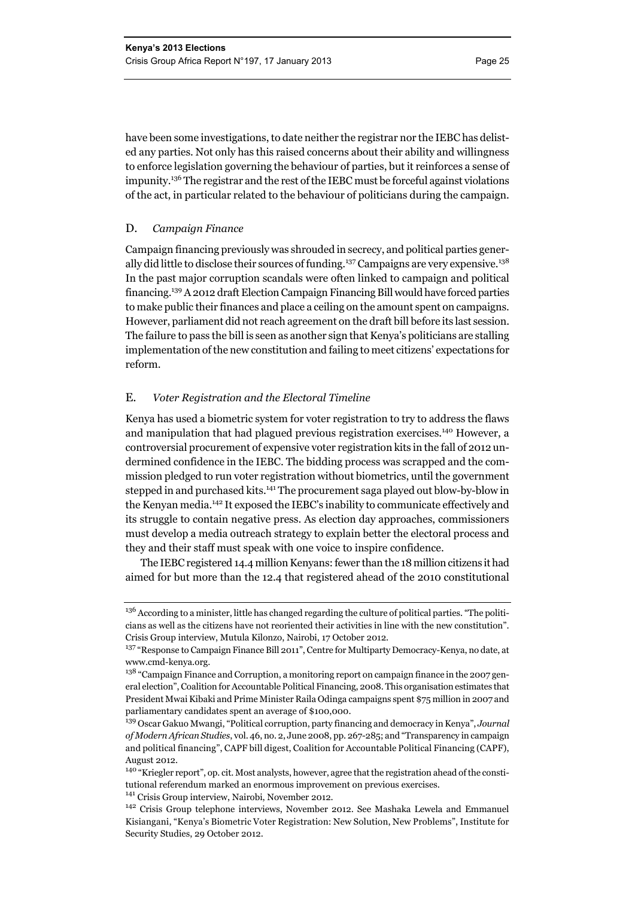have been some investigations, to date neither the registrar nor the IEBC has delisted any parties. Not only has this raised concerns about their ability and willingness to enforce legislation governing the behaviour of parties, but it reinforces a sense of impunity.136 The registrar and the rest of the IEBC must be forceful against violations of the act, in particular related to the behaviour of politicians during the campaign.

#### D. *Campaign Finance*

Campaign financing previously was shrouded in secrecy, and political parties generally did little to disclose their sources of funding.<sup>137</sup> Campaigns are very expensive.<sup>138</sup> In the past major corruption scandals were often linked to campaign and political financing.139 A 2012 draft Election Campaign Financing Bill would have forced parties to make public their finances and place a ceiling on the amount spent on campaigns. However, parliament did not reach agreement on the draft bill before its last session. The failure to pass the bill is seen as another sign that Kenya's politicians are stalling implementation of the new constitution and failing to meet citizens' expectations for reform.

#### E. *Voter Registration and the Electoral Timeline*

Kenya has used a biometric system for voter registration to try to address the flaws and manipulation that had plagued previous registration exercises.<sup>140</sup> However, a controversial procurement of expensive voter registration kits in the fall of 2012 undermined confidence in the IEBC. The bidding process was scrapped and the commission pledged to run voter registration without biometrics, until the government stepped in and purchased kits.<sup>141</sup> The procurement saga played out blow-by-blow in the Kenyan media.142 It exposed the IEBC's inability to communicate effectively and its struggle to contain negative press. As election day approaches, commissioners must develop a media outreach strategy to explain better the electoral process and they and their staff must speak with one voice to inspire confidence.

The IEBC registered 14.4 million Kenyans: fewer than the 18 million citizens it had aimed for but more than the 12.4 that registered ahead of the 2010 constitutional

<sup>&</sup>lt;sup>136</sup> According to a minister, little has changed regarding the culture of political parties. "The politicians as well as the citizens have not reoriented their activities in line with the new constitution". Crisis Group interview, Mutula Kilonzo, Nairobi, 17 October 2012.

<sup>137 &</sup>quot;Response to Campaign Finance Bill 2011", Centre for Multiparty Democracy-Kenya, no date, at www.cmd-kenya.org.

<sup>&</sup>lt;sup>138</sup> "Campaign Finance and Corruption, a monitoring report on campaign finance in the 2007 general election", Coalition for Accountable Political Financing, 2008. This organisation estimates that President Mwai Kibaki and Prime Minister Raila Odinga campaigns spent \$75 million in 2007 and parliamentary candidates spent an average of \$100,000.

<sup>139</sup> Oscar Gakuo Mwangi, "Political corruption, party financing and democracy in Kenya", *Journal of Modern African Studies*, vol. 46, no. 2, June 2008, pp. 267-285; and "Transparency in campaign and political financing", CAPF bill digest, Coalition for Accountable Political Financing (CAPF), August 2012.

<sup>140 &</sup>quot;Kriegler report", op. cit. Most analysts, however, agree that the registration ahead of the constitutional referendum marked an enormous improvement on previous exercises.

<sup>141</sup> Crisis Group interview, Nairobi, November 2012.

<sup>142</sup> Crisis Group telephone interviews, November 2012. See Mashaka Lewela and Emmanuel Kisiangani, "Kenya's Biometric Voter Registration: New Solution, New Problems", Institute for Security Studies, 29 October 2012.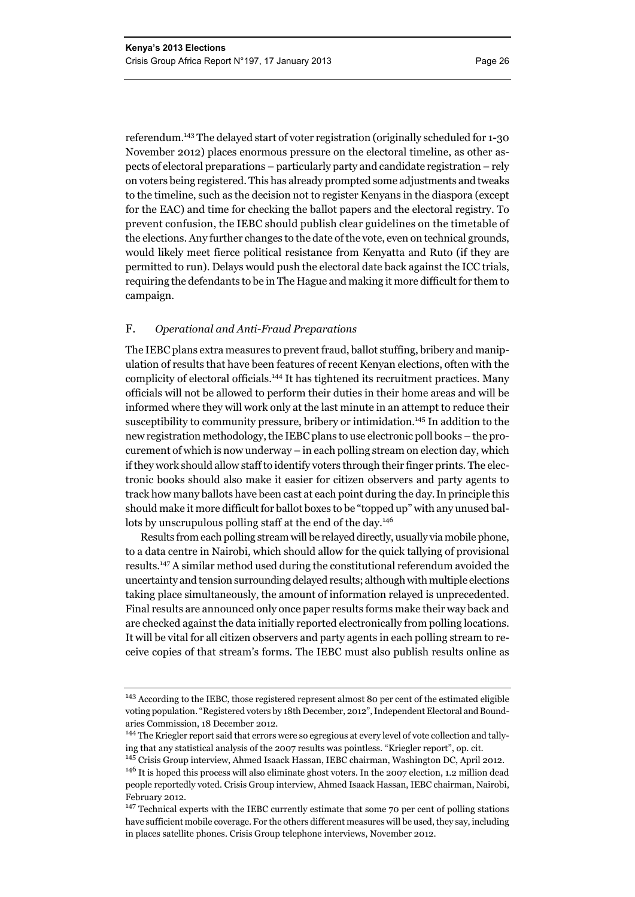referendum.143 The delayed start of voter registration (originally scheduled for 1-30 November 2012) places enormous pressure on the electoral timeline, as other aspects of electoral preparations – particularly party and candidate registration – rely on voters being registered. This has already prompted some adjustments and tweaks to the timeline, such as the decision not to register Kenyans in the diaspora (except for the EAC) and time for checking the ballot papers and the electoral registry. To prevent confusion, the IEBC should publish clear guidelines on the timetable of the elections. Any further changes to the date of the vote, even on technical grounds, would likely meet fierce political resistance from Kenyatta and Ruto (if they are permitted to run). Delays would push the electoral date back against the ICC trials, requiring the defendants to be in The Hague and making it more difficult for them to campaign.

#### F. *Operational and Anti-Fraud Preparations*

The IEBC plans extra measures to prevent fraud, ballot stuffing, bribery and manipulation of results that have been features of recent Kenyan elections, often with the complicity of electoral officials.144 It has tightened its recruitment practices. Many officials will not be allowed to perform their duties in their home areas and will be informed where they will work only at the last minute in an attempt to reduce their susceptibility to community pressure, bribery or intimidation.145 In addition to the new registration methodology, the IEBC plans to use electronic poll books – the procurement of which is now underway – in each polling stream on election day, which if they work should allow staff to identify voters through their finger prints. The electronic books should also make it easier for citizen observers and party agents to track how many ballots have been cast at each point during the day.In principle this should make it more difficult for ballot boxes to be "topped up" with any unused ballots by unscrupulous polling staff at the end of the day.<sup>146</sup>

Results from each polling stream will be relayed directly, usually via mobile phone, to a data centre in Nairobi, which should allow for the quick tallying of provisional results.147 A similar method used during the constitutional referendum avoided the uncertainty and tension surrounding delayed results; although with multiple elections taking place simultaneously, the amount of information relayed is unprecedented. Final results are announced only once paper results forms make their way back and are checked against the data initially reported electronically from polling locations. It will be vital for all citizen observers and party agents in each polling stream to receive copies of that stream's forms. The IEBC must also publish results online as

<sup>&</sup>lt;sup>143</sup> According to the IEBC, those registered represent almost 80 per cent of the estimated eligible voting population. "Registered voters by 18th December, 2012", Independent Electoral and Boundaries Commission, 18 December 2012.

<sup>144</sup> The Kriegler report said that errors were so egregious at every level of vote collection and tallying that any statistical analysis of the 2007 results was pointless. "Kriegler report", op. cit.

<sup>145</sup> Crisis Group interview, Ahmed Isaack Hassan, IEBC chairman, Washington DC, April 2012. <sup>146</sup> It is hoped this process will also eliminate ghost voters. In the 2007 election, 1.2 million dead people reportedly voted. Crisis Group interview, Ahmed Isaack Hassan, IEBC chairman, Nairobi, February 2012.

<sup>&</sup>lt;sup>147</sup> Technical experts with the IEBC currently estimate that some 70 per cent of polling stations have sufficient mobile coverage. For the others different measures will be used, they say, including in places satellite phones. Crisis Group telephone interviews, November 2012.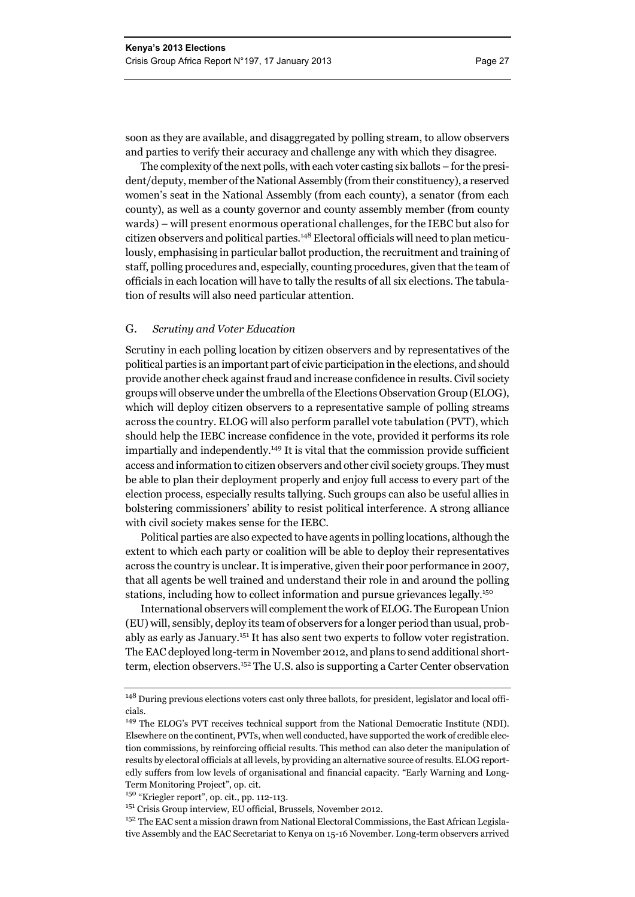soon as they are available, and disaggregated by polling stream, to allow observers and parties to verify their accuracy and challenge any with which they disagree.

The complexity of the next polls, with each voter casting six ballots – for the president/deputy, member of the National Assembly (from their constituency), a reserved women's seat in the National Assembly (from each county), a senator (from each county), as well as a county governor and county assembly member (from county wards) – will present enormous operational challenges, for the IEBC but also for citizen observers and political parties.148 Electoral officials will need to plan meticulously, emphasising in particular ballot production, the recruitment and training of staff, polling procedures and, especially, counting procedures, given that the team of officials in each location will have to tally the results of all six elections. The tabulation of results will also need particular attention.

#### G. *Scrutiny and Voter Education*

Scrutiny in each polling location by citizen observers and by representatives of the political parties is an important part of civic participation in the elections, and should provide another check against fraud and increase confidence in results. Civil society groups will observe under the umbrella of the Elections Observation Group (ELOG), which will deploy citizen observers to a representative sample of polling streams across the country. ELOG will also perform parallel vote tabulation (PVT), which should help the IEBC increase confidence in the vote, provided it performs its role impartially and independently.149 It is vital that the commission provide sufficient access and information to citizen observers and other civil society groups. They must be able to plan their deployment properly and enjoy full access to every part of the election process, especially results tallying. Such groups can also be useful allies in bolstering commissioners' ability to resist political interference. A strong alliance with civil society makes sense for the IEBC.

Political parties are also expected to have agents in polling locations, although the extent to which each party or coalition will be able to deploy their representatives across the country is unclear. It is imperative, given their poor performance in 2007, that all agents be well trained and understand their role in and around the polling stations, including how to collect information and pursue grievances legally.<sup>150</sup>

International observers will complement the work of ELOG. The European Union (EU) will, sensibly, deploy its team of observers for a longer period than usual, probably as early as January.151 It has also sent two experts to follow voter registration. The EAC deployed long-term in November 2012, and plans to send additional shortterm, election observers.152 The U.S. also is supporting a Carter Center observation

<sup>&</sup>lt;sup>148</sup> During previous elections voters cast only three ballots, for president, legislator and local officials.

<sup>149</sup> The ELOG's PVT receives technical support from the National Democratic Institute (NDI). Elsewhere on the continent, PVTs, when well conducted, have supported the work of credible election commissions, by reinforcing official results. This method can also deter the manipulation of results by electoral officials at all levels, by providing an alternative source of results. ELOG reportedly suffers from low levels of organisational and financial capacity. "Early Warning and Long-Term Monitoring Project", op. cit.

<sup>150 &</sup>quot;Kriegler report", op. cit., pp. 112-113.

<sup>151</sup> Crisis Group interview, EU official, Brussels, November 2012.

<sup>&</sup>lt;sup>152</sup> The EAC sent a mission drawn from National Electoral Commissions, the East African Legislative Assembly and the EAC Secretariat to Kenya on 15-16 November. Long-term observers arrived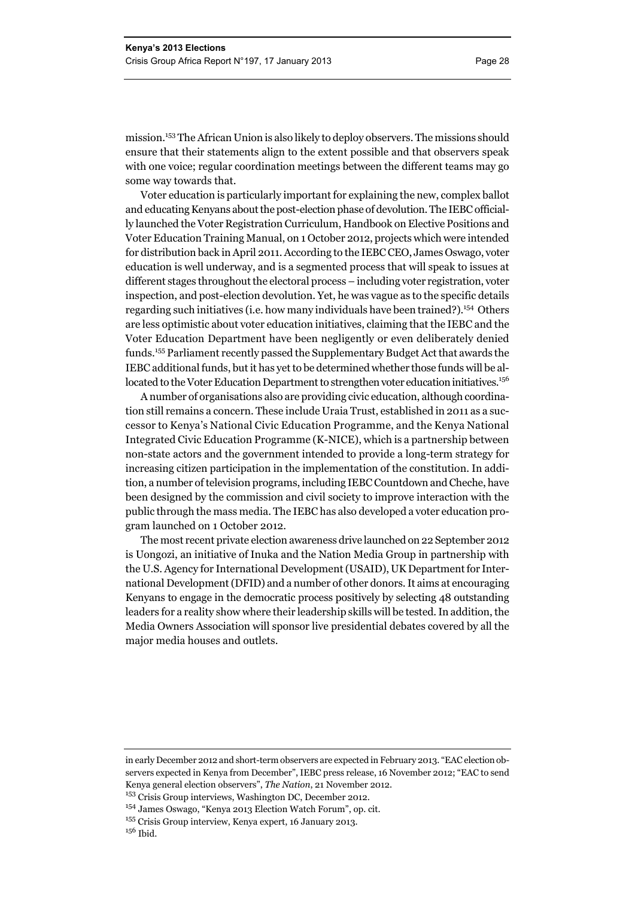mission.153 The African Union is also likely to deploy observers. The missions should ensure that their statements align to the extent possible and that observers speak with one voice; regular coordination meetings between the different teams may go some way towards that.

Voter education is particularly important for explaining the new, complex ballot and educating Kenyans about the post-election phase of devolution. The IEBC officially launched the Voter Registration Curriculum, Handbook on Elective Positions and Voter Education Training Manual, on 1 October 2012, projects which were intended for distribution back in April 2011. According to the IEBC CEO, James Oswago, voter education is well underway, and is a segmented process that will speak to issues at different stages throughout the electoral process – including voter registration, voter inspection, and post-election devolution. Yet, he was vague as to the specific details regarding such initiatives (i.e. how many individuals have been trained?).154 Others are less optimistic about voter education initiatives, claiming that the IEBC and the Voter Education Department have been negligently or even deliberately denied funds.155 Parliament recently passed the Supplementary Budget Act that awards the IEBC additional funds, but it has yet to be determined whether those funds will be allocated to the Voter Education Department to strengthen voter education initiatives.<sup>156</sup>

A number of organisations also are providing civic education, although coordination still remains a concern. These include Uraia Trust, established in 2011 as a successor to Kenya's National Civic Education Programme, and the Kenya National Integrated Civic Education Programme (K-NICE), which is a partnership between non-state actors and the government intended to provide a long-term strategy for increasing citizen participation in the implementation of the constitution. In addition, a number of television programs, including IEBC Countdown and Cheche, have been designed by the commission and civil society to improve interaction with the public through the mass media. The IEBC has also developed a voter education program launched on 1 October 2012.

The most recent private election awareness drive launched on 22 September 2012 is Uongozi, an initiative of Inuka and the Nation Media Group in partnership with the U.S. Agency for International Development (USAID), UK Department for International Development (DFID) and a number of other donors. It aims at encouraging Kenyans to engage in the democratic process positively by selecting 48 outstanding leaders for a reality show where their leadership skills will be tested. In addition, the Media Owners Association will sponsor live presidential debates covered by all the major media houses and outlets.

in early December 2012 and short-term observers are expected in February 2013. "EAC election observers expected in Kenya from December", IEBC press release, 16 November 2012; "EAC to send Kenya general election observers", *The Nation*, 21 November 2012.

<sup>153</sup> Crisis Group interviews, Washington DC, December 2012.

<sup>154</sup> James Oswago, "Kenya 2013 Election Watch Forum", op. cit.

<sup>155</sup> Crisis Group interview, Kenya expert, 16 January 2013. <sup>156</sup> Ibid.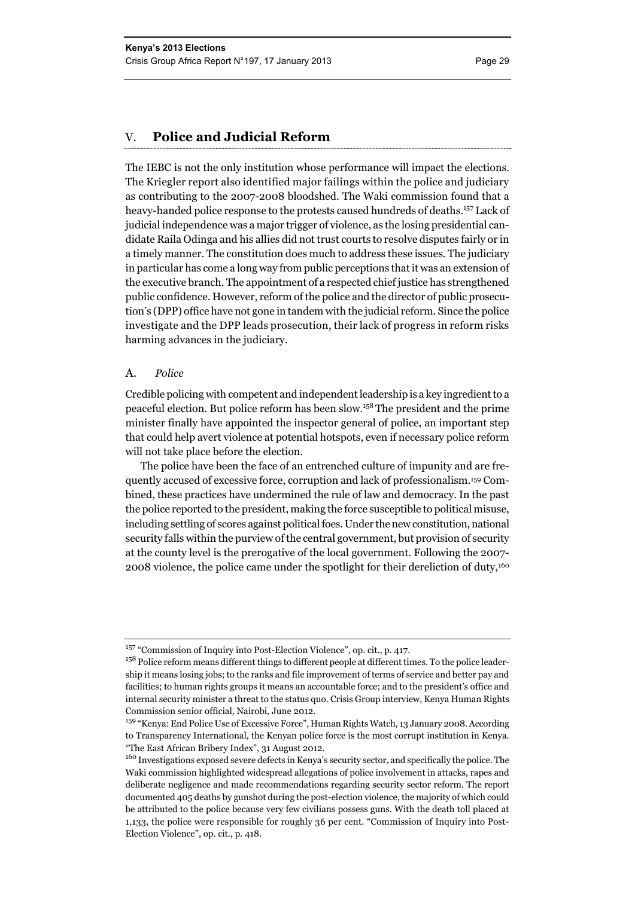#### V. **Police and Judicial Reform**

The IEBC is not the only institution whose performance will impact the elections. The Kriegler report also identified major failings within the police and judiciary as contributing to the 2007-2008 bloodshed. The Waki commission found that a heavy-handed police response to the protests caused hundreds of deaths.<sup>157</sup> Lack of judicial independence was a major trigger of violence, as the losing presidential candidate Raila Odinga and his allies did not trust courts to resolve disputes fairly or in a timely manner. The constitution does much to address these issues. The judiciary in particular has come a long way from public perceptions that it was an extension of the executive branch. The appointment of a respected chief justice has strengthened public confidence. However, reform of the police and the director of public prosecution's (DPP) office have not gone in tandem with the judicial reform. Since the police investigate and the DPP leads prosecution, their lack of progress in reform risks harming advances in the judiciary.

#### A. *Police*

Credible policing with competent and independent leadership is a key ingredient to a peaceful election. But police reform has been slow.158 The president and the prime minister finally have appointed the inspector general of police, an important step that could help avert violence at potential hotspots, even if necessary police reform will not take place before the election.

The police have been the face of an entrenched culture of impunity and are frequently accused of excessive force, corruption and lack of professionalism.159 Combined, these practices have undermined the rule of law and democracy. In the past the police reported to the president, making the force susceptible to political misuse, including settling of scores against political foes. Under the new constitution, national security falls within the purview of the central government, but provision of security at the county level is the prerogative of the local government. Following the 2007- 2008 violence, the police came under the spotlight for their dereliction of duty,160

<sup>157 &</sup>quot;Commission of Inquiry into Post-Election Violence", op. cit., p. 417.

<sup>&</sup>lt;sup>158</sup> Police reform means different things to different people at different times. To the police leadership it means losing jobs; to the ranks and file improvement of terms of service and better pay and facilities; to human rights groups it means an accountable force; and to the president's office and internal security minister a threat to the status quo. Crisis Group interview, Kenya Human Rights Commission senior official, Nairobi, June 2012.

<sup>159 &</sup>quot;Kenya: End Police Use of Excessive Force", Human Rights Watch, 13 January 2008. According to Transparency International, the Kenyan police force is the most corrupt institution in Kenya. "The East African Bribery Index", 31 August 2012.

<sup>160</sup> Investigations exposed severe defects in Kenya's security sector, and specifically the police. The Waki commission highlighted widespread allegations of police involvement in attacks, rapes and deliberate negligence and made recommendations regarding security sector reform. The report documented 405 deaths by gunshot during the post-election violence, the majority of which could be attributed to the police because very few civilians possess guns. With the death toll placed at 1,133, the police were responsible for roughly 36 per cent. "Commission of Inquiry into Post-Election Violence", op. cit., p. 418.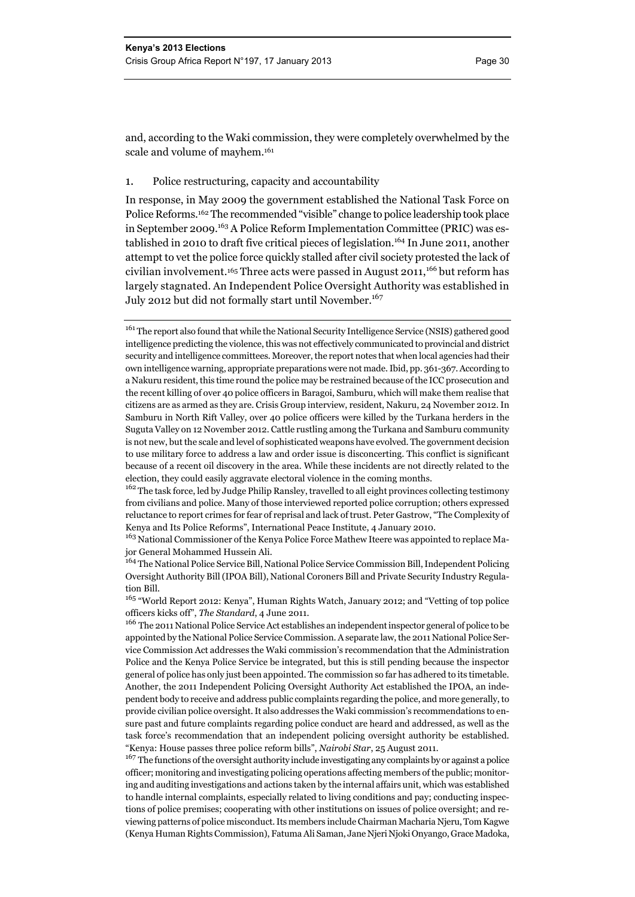and, according to the Waki commission, they were completely overwhelmed by the scale and volume of mayhem.161

#### 1. Police restructuring, capacity and accountability

In response, in May 2009 the government established the National Task Force on Police Reforms.162 The recommended "visible" change to police leadership took place in September 2009.163 A Police Reform Implementation Committee (PRIC) was established in 2010 to draft five critical pieces of legislation.<sup>164</sup> In June 2011, another attempt to vet the police force quickly stalled after civil society protested the lack of civilian involvement.<sup>165</sup> Three acts were passed in August 2011,<sup>166</sup> but reform has largely stagnated. An Independent Police Oversight Authority was established in July 2012 but did not formally start until November.<sup>167</sup>

<sup>162</sup> The task force, led by Judge Philip Ransley, travelled to all eight provinces collecting testimony from civilians and police. Many of those interviewed reported police corruption; others expressed reluctance to report crimes for fear of reprisal and lack of trust. Peter Gastrow, "The Complexity of Kenya and Its Police Reforms", International Peace Institute, 4 January 2010.

<sup>163</sup> National Commissioner of the Kenya Police Force Mathew Iteere was appointed to replace Major General Mohammed Hussein Ali.

<sup>164</sup> The National Police Service Bill, National Police Service Commission Bill, Independent Policing Oversight Authority Bill (IPOA Bill), National Coroners Bill and Private Security Industry Regulation Bill.

<sup>165</sup> "World Report 2012: Kenya", Human Rights Watch, January 2012; and "Vetting of top police officers kicks off", *The Standard*, 4 June 2011.

<sup>166</sup> The 2011 National Police Service Act establishes an independent inspector general of police to be appointed by the National Police Service Commission. A separate law, the 2011 National Police Service Commission Act addresses the Waki commission's recommendation that the Administration Police and the Kenya Police Service be integrated, but this is still pending because the inspector general of police has only just been appointed. The commission so far has adhered to its timetable. Another, the 2011 Independent Policing Oversight Authority Act established the IPOA, an independent body to receive and address public complaints regarding the police, and more generally, to provide civilian police oversight. It also addresses the Waki commission's recommendations to ensure past and future complaints regarding police conduct are heard and addressed, as well as the task force's recommendation that an independent policing oversight authority be established. "Kenya: House passes three police reform bills", *Nairobi Star*, 25 August 2011.

<sup>167</sup> The functions of the oversight authority include investigating any complaints by or against a police officer; monitoring and investigating policing operations affecting members of the public; monitoring and auditing investigations and actions taken by the internal affairs unit, which was established to handle internal complaints, especially related to living conditions and pay; conducting inspections of police premises; cooperating with other institutions on issues of police oversight; and reviewing patterns of police misconduct. Its members include Chairman Macharia Njeru, Tom Kagwe (Kenya Human Rights Commission), Fatuma Ali Saman, Jane Njeri Njoki Onyango, Grace Madoka,

<sup>&</sup>lt;sup>161</sup> The report also found that while the National Security Intelligence Service (NSIS) gathered good intelligence predicting the violence, this was not effectively communicated to provincial and district security and intelligence committees. Moreover, the report notes that when local agencies had their own intelligence warning, appropriate preparations were not made. Ibid, pp. 361-367. According to a Nakuru resident, this time round the police may be restrained because of the ICC prosecution and the recent killing of over 40 police officers in Baragoi, Samburu, which will make them realise that citizens are as armed as they are. Crisis Group interview, resident, Nakuru, 24 November 2012. In Samburu in North Rift Valley, over 40 police officers were killed by the Turkana herders in the Suguta Valley on 12 November 2012. Cattle rustling among the Turkana and Samburu community is not new, but the scale and level of sophisticated weapons have evolved. The government decision to use military force to address a law and order issue is disconcerting. This conflict is significant because of a recent oil discovery in the area. While these incidents are not directly related to the election, they could easily aggravate electoral violence in the coming months.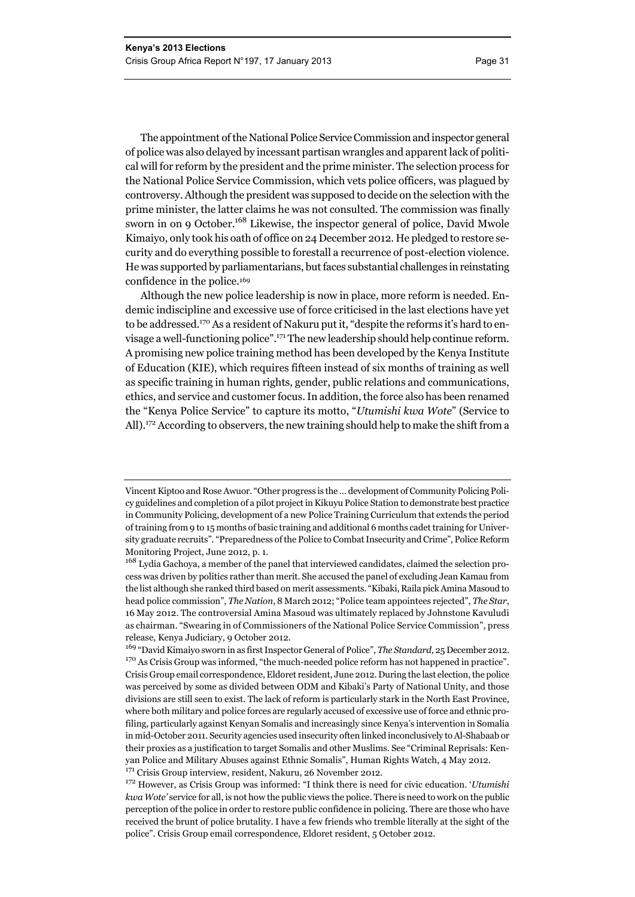The appointment of the National Police Service Commission and inspector general of police was also delayed by incessant partisan wrangles and apparent lack of political will for reform by the president and the prime minister. The selection process for the National Police Service Commission, which vets police officers, was plagued by controversy. Although the president was supposed to decide on the selection with the prime minister, the latter claims he was not consulted. The commission was finally sworn in on 9 October.<sup>168</sup> Likewise, the inspector general of police, David Mwole Kimaiyo, only took his oath of office on 24 December 2012. He pledged to restore security and do everything possible to forestall a recurrence of post-election violence. He was supported by parliamentarians, but faces substantial challenges in reinstating confidence in the police.169

Although the new police leadership is now in place, more reform is needed. Endemic indiscipline and excessive use of force criticised in the last elections have yet to be addressed.<sup>170</sup> As a resident of Nakuru put it, "despite the reforms it's hard to envisage a well-functioning police".171 The new leadership should help continue reform. A promising new police training method has been developed by the Kenya Institute of Education (KIE), which requires fifteen instead of six months of training as well as specific training in human rights, gender, public relations and communications, ethics, and service and customer focus. In addition, the force also has been renamed the "Kenya Police Service" to capture its motto, "*Utumishi kwa Wote*" (Service to All).<sup>172</sup> According to observers, the new training should help to make the shift from a

Vincent Kiptoo and Rose Awuor. "Other progress is the … development of Community Policing Policy guidelines and completion of a pilot project in Kikuyu Police Station to demonstrate best practice in Community Policing, development of a new Police Training Curriculum that extends the period of training from 9 to 15 months of basic training and additional 6 months cadet training for University graduate recruits". "Preparedness of the Police to Combat Insecurity and Crime", Police Reform Monitoring Project, June 2012, p. 1.

<sup>&</sup>lt;sup>168</sup> Lydia Gachoya, a member of the panel that interviewed candidates, claimed the selection process was driven by politics rather than merit. She accused the panel of excluding Jean Kamau from the list although she ranked third based on merit assessments. "Kibaki, Raila pick Amina Masoud to head police commission", *The Nation*, 8 March 2012; "Police team appointees rejected", *The Star*, 16 May 2012. The controversial Amina Masoud was ultimately replaced by Johnstone Kavuludi as chairman. "Swearing in of Commissioners of the National Police Service Commission", press release, Kenya Judiciary, 9 October 2012.

<sup>169</sup> "David Kimaiyo sworn in as first Inspector General of Police", *The Standard*, 25 December 2012. <sup>170</sup> As Crisis Group was informed, "the much-needed police reform has not happened in practice". Crisis Group email correspondence, Eldoret resident, June 2012. During the last election, the police was perceived by some as divided between ODM and Kibaki's Party of National Unity, and those divisions are still seen to exist. The lack of reform is particularly stark in the North East Province, where both military and police forces are regularly accused of excessive use of force and ethnic profiling, particularly against Kenyan Somalis and increasingly since Kenya's intervention in Somalia in mid-October 2011. Security agencies used insecurity often linked inconclusively to Al-Shabaab or their proxies as a justification to target Somalis and other Muslims. See "Criminal Reprisals: Kenyan Police and Military Abuses against Ethnic Somalis", Human Rights Watch, 4 May 2012. 171 Crisis Group interview, resident, Nakuru, 26 November 2012.

<sup>172</sup> However, as Crisis Group was informed: "I think there is need for civic education. '*Utumishi kwa Wote'* service for all, is not how the public views the police. There is need to work on the public perception of the police in order to restore public confidence in policing. There are those who have received the brunt of police brutality. I have a few friends who tremble literally at the sight of the police". Crisis Group email correspondence, Eldoret resident, 5 October 2012.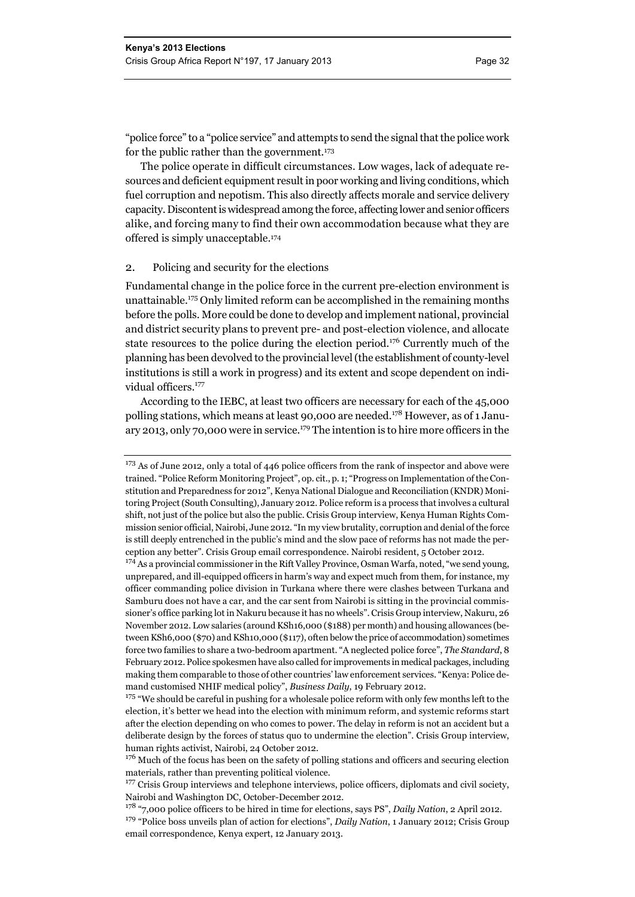"police force" to a "police service" and attempts to send the signal that the police work for the public rather than the government.173

The police operate in difficult circumstances. Low wages, lack of adequate resources and deficient equipment result in poor working and living conditions, which fuel corruption and nepotism. This also directly affects morale and service delivery capacity. Discontent is widespread among the force, affecting lower and senior officers alike, and forcing many to find their own accommodation because what they are offered is simply unacceptable.174

#### 2. Policing and security for the elections

Fundamental change in the police force in the current pre-election environment is unattainable.175 Only limited reform can be accomplished in the remaining months before the polls. More could be done to develop and implement national, provincial and district security plans to prevent pre- and post-election violence, and allocate state resources to the police during the election period.<sup>176</sup> Currently much of the planning has been devolved to the provincial level (the establishment of county-level institutions is still a work in progress) and its extent and scope dependent on individual officers.<sup>177</sup>

According to the IEBC, at least two officers are necessary for each of the 45,000 polling stations, which means at least 90,000 are needed.<sup>178</sup> However, as of 1 January 2013, only 70,000 were in service.179 The intention is to hire more officers in the

<sup>&</sup>lt;sup>173</sup> As of June 2012, only a total of 446 police officers from the rank of inspector and above were trained. "Police Reform Monitoring Project", op. cit., p. 1; "Progress on Implementation of the Constitution and Preparedness for 2012", Kenya National Dialogue and Reconciliation (KNDR) Monitoring Project (South Consulting), January 2012. Police reform is a process that involves a cultural shift, not just of the police but also the public. Crisis Group interview, Kenya Human Rights Commission senior official, Nairobi, June 2012. "In my view brutality, corruption and denial of the force is still deeply entrenched in the public's mind and the slow pace of reforms has not made the perception any better". Crisis Group email correspondence. Nairobi resident, 5 October 2012.

<sup>&</sup>lt;sup>174</sup> As a provincial commissioner in the Rift Valley Province, Osman Warfa, noted, "we send young, unprepared, and ill-equipped officers in harm's way and expect much from them, for instance, my officer commanding police division in Turkana where there were clashes between Turkana and Samburu does not have a car, and the car sent from Nairobi is sitting in the provincial commissioner's office parking lot in Nakuru because it has no wheels". Crisis Group interview, Nakuru, 26 November 2012. Low salaries (around KSh16,000 (\$188) per month) and housing allowances (between KSh6,000 (\$70) and KSh10,000 (\$117), often below the price of accommodation) sometimes force two families to share a two-bedroom apartment. "A neglected police force", *The Standard*, 8 February 2012. Police spokesmen have also called for improvements in medical packages, including making them comparable to those of other countries' law enforcement services. "Kenya: Police demand customised NHIF medical policy", *Business Daily*, 19 February 2012.

<sup>&</sup>lt;sup>175</sup> "We should be careful in pushing for a wholesale police reform with only few months left to the election, it's better we head into the election with minimum reform, and systemic reforms start after the election depending on who comes to power. The delay in reform is not an accident but a deliberate design by the forces of status quo to undermine the election". Crisis Group interview, human rights activist, Nairobi, 24 October 2012.

<sup>&</sup>lt;sup>176</sup> Much of the focus has been on the safety of polling stations and officers and securing election materials, rather than preventing political violence.

<sup>&</sup>lt;sup>177</sup> Crisis Group interviews and telephone interviews, police officers, diplomats and civil society, Nairobi and Washington DC, October-December 2012.

<sup>178 &</sup>quot;7,000 police officers to be hired in time for elections, says PS", *Daily Nation*, 2 April 2012.

<sup>179 &</sup>quot;Police boss unveils plan of action for elections", *Daily Nation*, 1 January 2012; Crisis Group email correspondence, Kenya expert, 12 January 2013.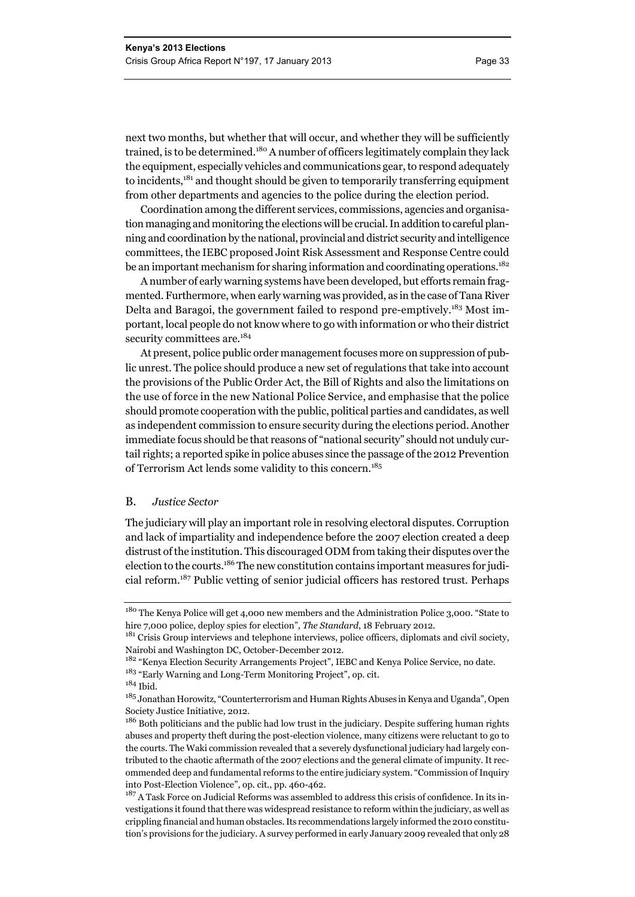next two months, but whether that will occur, and whether they will be sufficiently trained, is to be determined.<sup>180</sup> A number of officers legitimately complain they lack the equipment, especially vehicles and communications gear, to respond adequately to incidents, $181$  and thought should be given to temporarily transferring equipment from other departments and agencies to the police during the election period.

Coordination among the different services, commissions, agencies and organisation managing and monitoring the elections will be crucial. In addition to careful planning and coordination by the national, provincial and district security and intelligence committees, the IEBC proposed Joint Risk Assessment and Response Centre could be an important mechanism for sharing information and coordinating operations.<sup>182</sup>

A number of early warning systems have been developed, but efforts remain fragmented. Furthermore, when early warning was provided, as in the case of Tana River Delta and Baragoi, the government failed to respond pre-emptively.<sup>183</sup> Most important, local people do not know where to go with information or who their district security committees are.<sup>184</sup>

At present, police public order management focuses more on suppression of public unrest. The police should produce a new set of regulations that take into account the provisions of the Public Order Act, the Bill of Rights and also the limitations on the use of force in the new National Police Service, and emphasise that the police should promote cooperation with the public, political parties and candidates, as well as independent commission to ensure security during the elections period. Another immediate focus should be that reasons of "national security" should not unduly curtail rights; a reported spike in police abuses since the passage of the 2012 Prevention of Terrorism Act lends some validity to this concern.185

#### B. *Justice Sector*

The judiciary will play an important role in resolving electoral disputes. Corruption and lack of impartiality and independence before the 2007 election created a deep distrust of the institution. This discouraged ODM from taking their disputes over the election to the courts.186 The new constitution contains important measures for judicial reform.187 Public vetting of senior judicial officers has restored trust. Perhaps

<sup>&</sup>lt;sup>180</sup> The Kenya Police will get 4,000 new members and the Administration Police 3,000. "State to hire 7,000 police, deploy spies for election", *The Standard*, 18 February 2012.

 $181$  Crisis Group interviews and telephone interviews, police officers, diplomats and civil society, Nairobi and Washington DC, October-December 2012.

<sup>182 &</sup>quot;Kenya Election Security Arrangements Project", IEBC and Kenya Police Service, no date.

<sup>183 &</sup>quot;Early Warning and Long-Term Monitoring Project", op. cit.

<sup>184</sup> Ibid.

<sup>&</sup>lt;sup>185</sup> Jonathan Horowitz, "Counterterrorism and Human Rights Abuses in Kenya and Uganda", Open Society Justice Initiative, 2012.

<sup>&</sup>lt;sup>186</sup> Both politicians and the public had low trust in the judiciary. Despite suffering human rights abuses and property theft during the post-election violence, many citizens were reluctant to go to the courts. The Waki commission revealed that a severely dysfunctional judiciary had largely contributed to the chaotic aftermath of the 2007 elections and the general climate of impunity. It recommended deep and fundamental reforms to the entire judiciary system. "Commission of Inquiry into Post-Election Violence", op. cit., pp. 460-462.

<sup>&</sup>lt;sup>187</sup> A Task Force on Judicial Reforms was assembled to address this crisis of confidence. In its investigations it found that there was widespread resistance to reform within the judiciary, as well as crippling financial and human obstacles. Its recommendations largely informed the 2010 constitution's provisions for the judiciary. A survey performed in early January 2009 revealed that only 28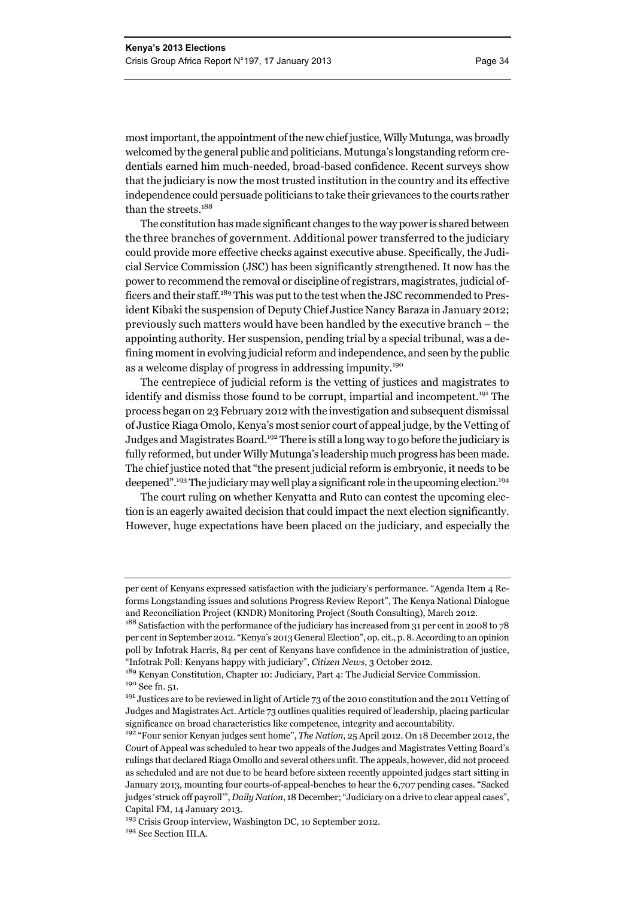most important, the appointment of the new chief justice, Willy Mutunga, was broadly welcomed by the general public and politicians. Mutunga's longstanding reform credentials earned him much-needed, broad-based confidence. Recent surveys show that the judiciary is now the most trusted institution in the country and its effective independence could persuade politicians to take their grievances to the courts rather than the streets.<sup>188</sup>

The constitution has made significant changes to the way power is shared between the three branches of government. Additional power transferred to the judiciary could provide more effective checks against executive abuse. Specifically, the Judicial Service Commission (JSC) has been significantly strengthened. It now has the power to recommend the removal or discipline of registrars, magistrates, judicial officers and their staff.189 This was put to the test when the JSC recommended to President Kibaki the suspension of Deputy Chief Justice Nancy Baraza in January 2012; previously such matters would have been handled by the executive branch – the appointing authority. Her suspension, pending trial by a special tribunal, was a defining moment in evolving judicial reform and independence, and seen by the public as a welcome display of progress in addressing impunity.190

The centrepiece of judicial reform is the vetting of justices and magistrates to identify and dismiss those found to be corrupt, impartial and incompetent.<sup>191</sup> The process began on 23 February 2012 with the investigation and subsequent dismissal of Justice Riaga Omolo, Kenya's most senior court of appeal judge, by the Vetting of Judges and Magistrates Board.192 There is still a long way to go before the judiciary is fully reformed, but under Willy Mutunga's leadership much progress has been made. The chief justice noted that "the present judicial reform is embryonic, it needs to be deepened".<sup>193</sup> The judiciary may well play a significant role in the upcoming election.<sup>194</sup>

The court ruling on whether Kenyatta and Ruto can contest the upcoming election is an eagerly awaited decision that could impact the next election significantly. However, huge expectations have been placed on the judiciary, and especially the

per cent of Kenyans expressed satisfaction with the judiciary's performance. "Agenda Item 4 Reforms Longstanding issues and solutions Progress Review Report", The Kenya National Dialogue and Reconciliation Project (KNDR) Monitoring Project (South Consulting), March 2012.

<sup>&</sup>lt;sup>188</sup> Satisfaction with the performance of the judiciary has increased from 31 per cent in 2008 to 78 per cent in September 2012. "Kenya's 2013 General Election", op. cit., p. 8. According to an opinion poll by Infotrak Harris, 84 per cent of Kenyans have confidence in the administration of justice, "Infotrak Poll: Kenyans happy with judiciary", *Citizen News*, 3 October 2012.

<sup>189</sup> Kenyan Constitution, Chapter 10: Judiciary, Part 4: The Judicial Service Commission. 190 See fn. 51.

<sup>&</sup>lt;sup>191</sup> Justices are to be reviewed in light of Article 73 of the 2010 constitution and the 2011 Vetting of Judges and Magistrates Act. Article 73 outlines qualities required of leadership, placing particular significance on broad characteristics like competence, integrity and accountability.

<sup>192 &</sup>quot;Four senior Kenyan judges sent home", *The Nation*, 25 April 2012. On 18 December 2012, the Court of Appeal was scheduled to hear two appeals of the Judges and Magistrates Vetting Board's rulings that declared Riaga Omollo and several others unfit. The appeals, however, did not proceed as scheduled and are not due to be heard before sixteen recently appointed judges start sitting in January 2013, mounting four courts-of-appeal-benches to hear the 6,707 pending cases. "Sacked judges 'struck off payroll'", *Daily Nation*, 18 December; "Judiciary on a drive to clear appeal cases", Capital FM, 14 January 2013.

<sup>&</sup>lt;sup>193</sup> Crisis Group interview, Washington DC, 10 September 2012.

<sup>194</sup> See Section III.A.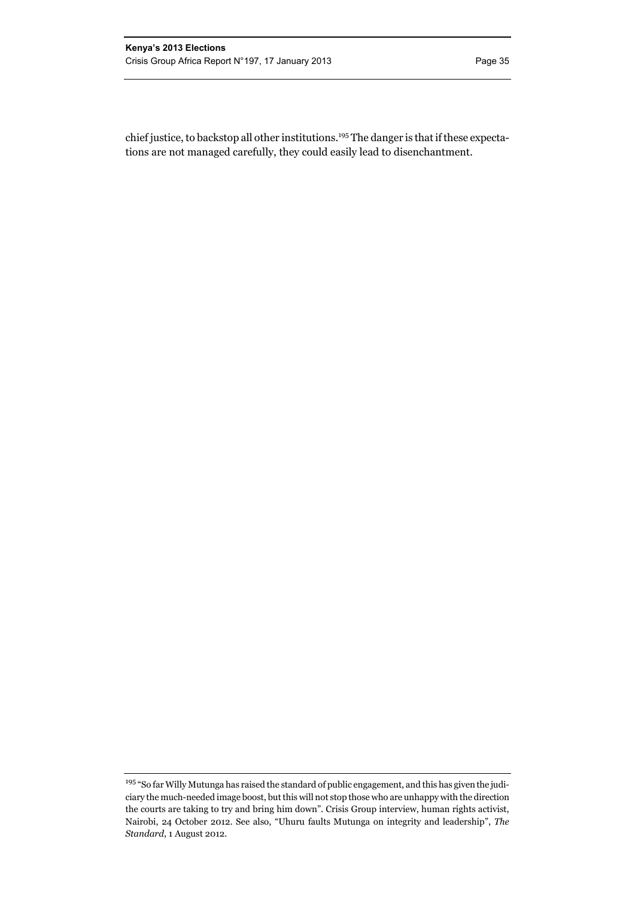chief justice, to backstop all other institutions.195 The danger is that if these expectations are not managed carefully, they could easily lead to disenchantment.

<sup>&</sup>lt;sup>195</sup> "So far Willy Mutunga has raised the standard of public engagement, and this has given the judiciary the much-needed image boost, but this will not stop those who are unhappy with the direction the courts are taking to try and bring him down". Crisis Group interview, human rights activist, Nairobi, 24 October 2012. See also, "Uhuru faults Mutunga on integrity and leadership", *The Standard*, 1 August 2012.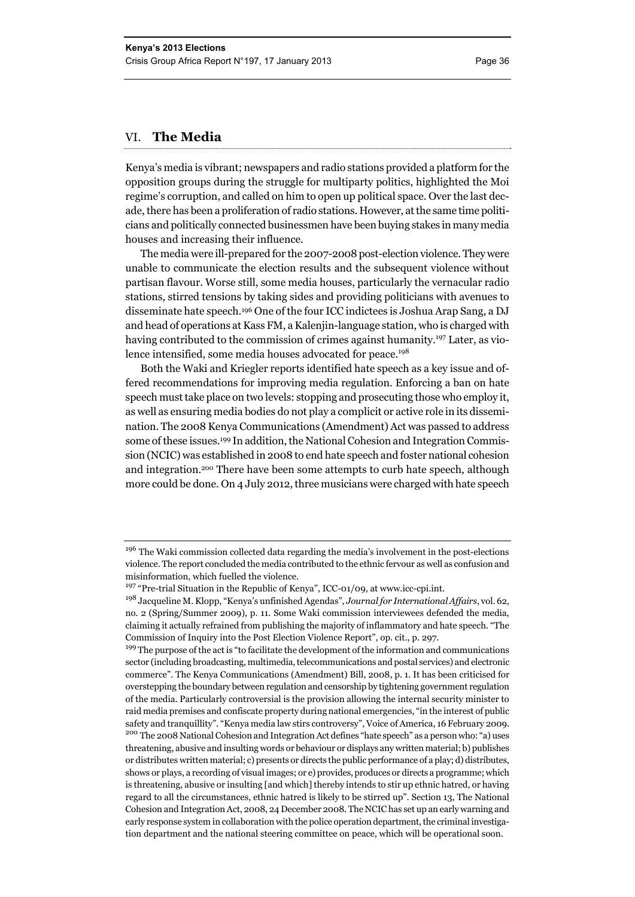#### VI. **The Media**

Kenya's media is vibrant; newspapers and radio stations provided a platform for the opposition groups during the struggle for multiparty politics, highlighted the Moi regime's corruption, and called on him to open up political space. Over the last decade, there has been a proliferation of radio stations. However, at the same time politicians and politically connected businessmen have been buying stakes in many media houses and increasing their influence.

The media were ill-prepared for the 2007-2008 post-election violence. They were unable to communicate the election results and the subsequent violence without partisan flavour. Worse still, some media houses, particularly the vernacular radio stations, stirred tensions by taking sides and providing politicians with avenues to disseminate hate speech.196 One of the four ICC indictees is Joshua Arap Sang, a DJ and head of operations at Kass FM, a Kalenjin-language station, who is charged with having contributed to the commission of crimes against humanity.197 Later, as violence intensified, some media houses advocated for peace.<sup>198</sup>

Both the Waki and Kriegler reports identified hate speech as a key issue and offered recommendations for improving media regulation. Enforcing a ban on hate speech must take place on two levels: stopping and prosecuting those who employ it, as well as ensuring media bodies do not play a complicit or active role in its dissemination. The 2008 Kenya Communications (Amendment) Act was passed to address some of these issues.199 In addition, the National Cohesion and Integration Commission (NCIC) was established in 2008 to end hate speech and foster national cohesion and integration.200 There have been some attempts to curb hate speech, although more could be done. On 4 July 2012, three musicians were charged with hate speech

<sup>&</sup>lt;sup>196</sup> The Waki commission collected data regarding the media's involvement in the post-elections violence. The report concluded the media contributed to the ethnic fervour as well as confusion and misinformation, which fuelled the violence.

 $197$  "Pre-trial Situation in the Republic of Kenya", ICC-01/09, at www.icc-cpi.int.

<sup>198</sup> Jacqueline M. Klopp, "Kenya's unfinished Agendas", *Journal for International Affairs*, vol. 62, no. 2 (Spring/Summer 2009), p. 11. Some Waki commission interviewees defended the media, claiming it actually refrained from publishing the majority of inflammatory and hate speech. "The Commission of Inquiry into the Post Election Violence Report", op. cit., p. 297.

<sup>&</sup>lt;sup>199</sup> The purpose of the act is "to facilitate the development of the information and communications sector (including broadcasting, multimedia, telecommunications and postal services) and electronic commerce". The Kenya Communications (Amendment) Bill, 2008, p. 1. It has been criticised for overstepping the boundary between regulation and censorship by tightening government regulation of the media. Particularly controversial is the provision allowing the internal security minister to raid media premises and confiscate property during national emergencies, "in the interest of public safety and tranquillity". "Kenya media law stirs controversy", Voice of America, 16 February 2009.<br><sup>200</sup> The 2008 National Cohesion and Integration Act defines "hate speech" as a person who: "a) uses threatening, abusive and insulting words or behaviour or displays any written material; b) publishes or distributes written material; c) presents or directs the public performance of a play; d) distributes, shows or plays, a recording of visual images; or e) provides, produces or directs a programme; which is threatening, abusive or insulting [and which] thereby intends to stir up ethnic hatred, or having regard to all the circumstances, ethnic hatred is likely to be stirred up". Section 13, The National Cohesion and Integration Act, 2008, 24 December 2008. The NCIC has set up an early warning and early response system in collaboration with the police operation department, the criminal investigation department and the national steering committee on peace, which will be operational soon.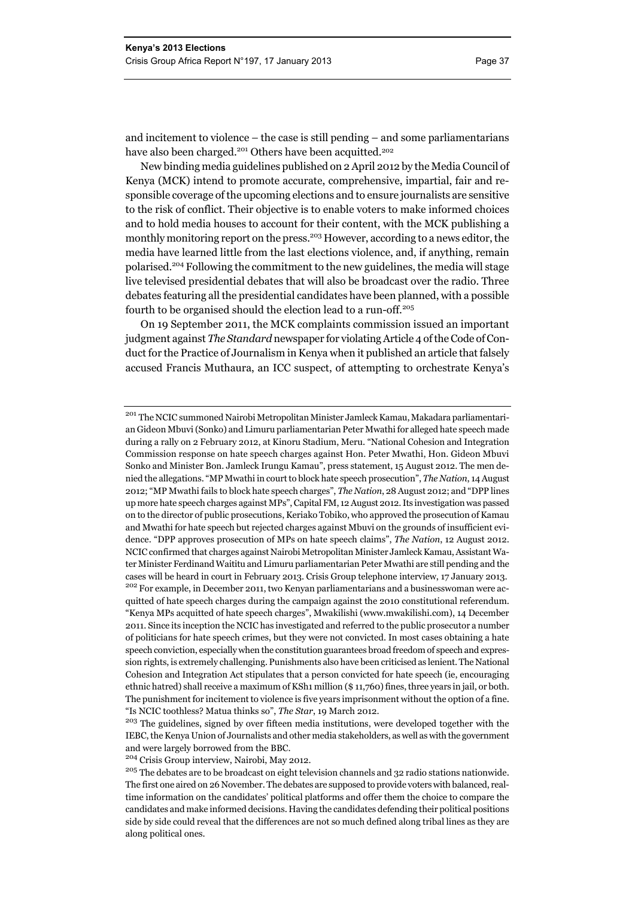and incitement to violence – the case is still pending – and some parliamentarians have also been charged.<sup>201</sup> Others have been acquitted.<sup>202</sup>

New binding media guidelines published on 2 April 2012 by the Media Council of Kenya (MCK) intend to promote accurate, comprehensive, impartial, fair and responsible coverage of the upcoming elections and to ensure journalists are sensitive to the risk of conflict. Their objective is to enable voters to make informed choices and to hold media houses to account for their content, with the MCK publishing a monthly monitoring report on the press.<sup>203</sup> However, according to a news editor, the media have learned little from the last elections violence, and, if anything, remain polarised.204 Following the commitment to the new guidelines, the media will stage live televised presidential debates that will also be broadcast over the radio. Three debates featuring all the presidential candidates have been planned, with a possible fourth to be organised should the election lead to a run-off.<sup>205</sup>

On 19 September 2011, the MCK complaints commission issued an important judgment against *The Standard* newspaper for violating Article 4 of the Code of Conduct for the Practice of Journalism in Kenya when it published an article that falsely accused Francis Muthaura, an ICC suspect, of attempting to orchestrate Kenya's

<sup>204</sup> Crisis Group interview, Nairobi, May 2012.

<sup>201</sup> The NCIC summoned Nairobi Metropolitan Minister Jamleck Kamau, Makadara parliamentarian Gideon Mbuvi (Sonko) and Limuru parliamentarian Peter Mwathi for alleged hate speech made during a rally on 2 February 2012, at Kinoru Stadium, Meru. "National Cohesion and Integration Commission response on hate speech charges against Hon. Peter Mwathi, Hon. Gideon Mbuvi Sonko and Minister Bon. Jamleck Irungu Kamau", press statement, 15 August 2012. The men denied the allegations. "MP Mwathi in court to block hate speech prosecution", *The Nation*, 14 August 2012; "MP Mwathi fails to block hate speech charges", *The Nation*, 28 August 2012; and "DPP lines up more hate speech charges against MPs", Capital FM, 12 August 2012. Its investigation was passed on to the director of public prosecutions, Keriako Tobiko, who approved the prosecution of Kamau and Mwathi for hate speech but rejected charges against Mbuvi on the grounds of insufficient evidence. "DPP approves prosecution of MPs on hate speech claims", *The Nation*, 12 August 2012. NCIC confirmed that charges against Nairobi Metropolitan Minister Jamleck Kamau, Assistant Water Minister Ferdinand Waititu and Limuru parliamentarian Peter Mwathi are still pending and the cases will be heard in court in February 2013. Crisis Group telephone interview, 17 January 2013.<br><sup>202</sup> For example, in December 2011, two Kenyan parliamentarians and a businesswoman were acquitted of hate speech charges during the campaign against the 2010 constitutional referendum. "Kenya MPs acquitted of hate speech charges", Mwakilishi (www.mwakilishi.com), 14 December 2011. Since its inception the NCIC has investigated and referred to the public prosecutor a number of politicians for hate speech crimes, but they were not convicted. In most cases obtaining a hate speech conviction, especially when the constitution guarantees broad freedom of speech and expression rights, is extremely challenging. Punishments also have been criticised as lenient. The National

Cohesion and Integration Act stipulates that a person convicted for hate speech (ie, encouraging ethnic hatred) shall receive a maximum of KSh1 million (\$ 11,760) fines, three years in jail, or both. The punishment for incitement to violence is five years imprisonment without the option of a fine. "Is NCIC toothless? Matua thinks so", *The Star*, 19 March 2012.

<sup>&</sup>lt;sup>203</sup> The guidelines, signed by over fifteen media institutions, were developed together with the IEBC, the Kenya Union of Journalists and other media stakeholders, as well as with the government and were largely borrowed from the BBC.

<sup>&</sup>lt;sup>205</sup> The debates are to be broadcast on eight television channels and 32 radio stations nationwide. The first one aired on 26 November. The debates are supposed to provide voters with balanced, realtime information on the candidates' political platforms and offer them the choice to compare the candidates and make informed decisions. Having the candidates defending their political positions side by side could reveal that the differences are not so much defined along tribal lines as they are along political ones.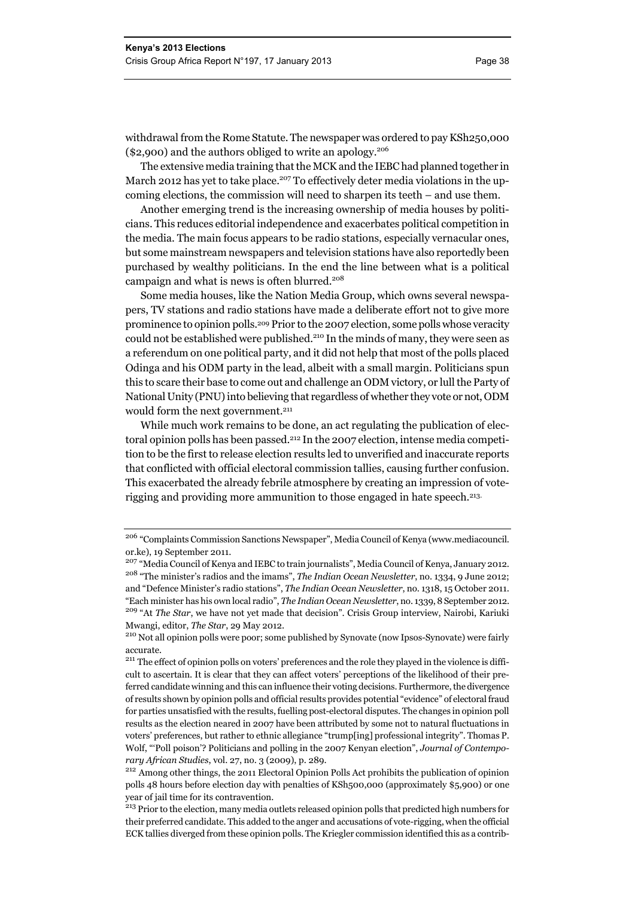withdrawal from the Rome Statute. The newspaper was ordered to pay KSh250,000 (\$2,900) and the authors obliged to write an apology.<sup>206</sup>

The extensive media training that the MCK and the IEBC had planned together in March 2012 has yet to take place.<sup>207</sup> To effectively deter media violations in the upcoming elections, the commission will need to sharpen its teeth – and use them.

Another emerging trend is the increasing ownership of media houses by politicians. This reduces editorial independence and exacerbates political competition in the media. The main focus appears to be radio stations, especially vernacular ones, but some mainstream newspapers and television stations have also reportedly been purchased by wealthy politicians. In the end the line between what is a political campaign and what is news is often blurred.<sup>208</sup>

Some media houses, like the Nation Media Group, which owns several newspapers, TV stations and radio stations have made a deliberate effort not to give more prominence to opinion polls.209 Prior to the 2007 election, some polls whose veracity could not be established were published.<sup>210</sup> In the minds of many, they were seen as a referendum on one political party, and it did not help that most of the polls placed Odinga and his ODM party in the lead, albeit with a small margin. Politicians spun this to scare their base to come out and challenge an ODM victory, or lull the Party of National Unity (PNU) into believing that regardless of whether they vote or not, ODM would form the next government.<sup>211</sup>

While much work remains to be done, an act regulating the publication of electoral opinion polls has been passed.212 In the 2007 election, intense media competition to be the first to release election results led to unverified and inaccurate reports that conflicted with official electoral commission tallies, causing further confusion. This exacerbated the already febrile atmosphere by creating an impression of voterigging and providing more ammunition to those engaged in hate speech.213.

<sup>206</sup> "Complaints Commission Sanctions Newspaper", Media Council of Kenya (www.mediacouncil. or.ke), 19 September 2011.

<sup>207</sup> "Media Council of Kenya and IEBC to train journalists", Media Council of Kenya, January 2012. 208 "The minister's radios and the imams", *The Indian Ocean Newsletter*, no. 1334, 9 June 2012; and "Defence Minister's radio stations", *The Indian Ocean Newsletter*, no. 1318, 15 October 2011. "Each minister has his own local radio", *The Indian Ocean Newsletter*, no. 1339, 8 September 2012. <sup>209</sup> "At *The Star*, we have not yet made that decision". Crisis Group interview, Nairobi, Kariuki

Mwangi, editor, *The Star*, 29 May 2012.<br><sup>210</sup> Not all opinion polls were poor; some published by Synovate (now Ipsos-Synovate) were fairly accurate.

<sup>&</sup>lt;sup>211</sup> The effect of opinion polls on voters' preferences and the role they played in the violence is difficult to ascertain. It is clear that they can affect voters' perceptions of the likelihood of their preferred candidate winning and this can influence their voting decisions. Furthermore, the divergence of results shown by opinion polls and official results provides potential "evidence" of electoral fraud for parties unsatisfied with the results, fuelling post-electoral disputes. The changes in opinion poll results as the election neared in 2007 have been attributed by some not to natural fluctuations in voters' preferences, but rather to ethnic allegiance "trump[ing] professional integrity". Thomas P. Wolf, "'Poll poison'? Politicians and polling in the 2007 Kenyan election", *Journal of Contempo-*

*rary African Studies*, vol. 27, no. 3 (2009), p. 289. 212 Among other things, the 2011 Electoral Opinion Polls Act prohibits the publication of opinion polls 48 hours before election day with penalties of KSh500,000 (approximately \$5,900) or one year of jail time for its contravention.

<sup>&</sup>lt;sup>213</sup> Prior to the election, many media outlets released opinion polls that predicted high numbers for their preferred candidate. This added to the anger and accusations of vote-rigging, when the official ECK tallies diverged from these opinion polls. The Kriegler commission identified this as a contrib-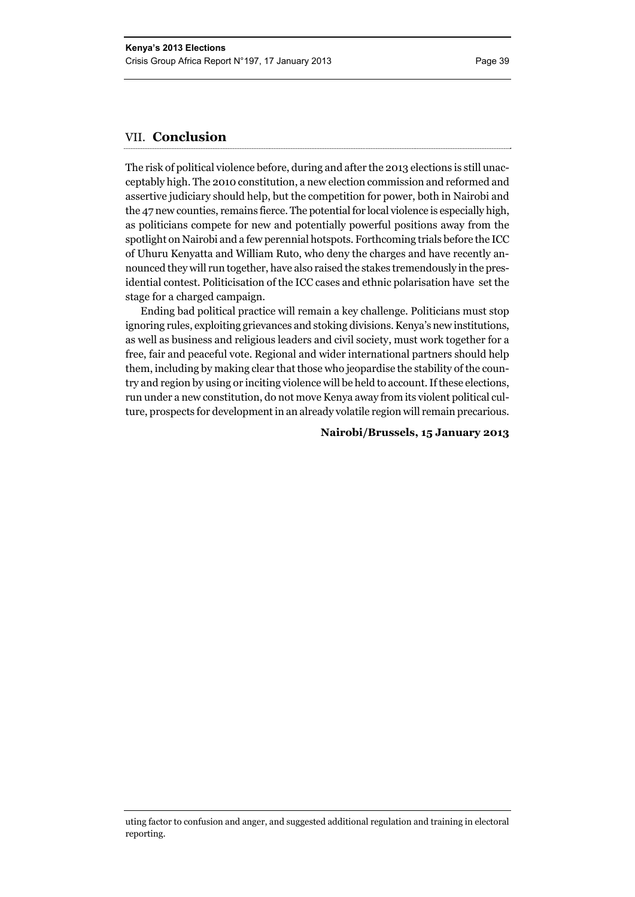#### VII. **Conclusion**

The risk of political violence before, during and after the 2013 elections is still unacceptably high. The 2010 constitution, a new election commission and reformed and assertive judiciary should help, but the competition for power, both in Nairobi and the 47 new counties, remains fierce. The potential for local violence is especially high, as politicians compete for new and potentially powerful positions away from the spotlight on Nairobi and a few perennial hotspots. Forthcoming trials before the ICC of Uhuru Kenyatta and William Ruto, who deny the charges and have recently announced they will run together, have also raised the stakes tremendously in the presidential contest. Politicisation of the ICC cases and ethnic polarisation have set the stage for a charged campaign.

Ending bad political practice will remain a key challenge. Politicians must stop ignoring rules, exploiting grievances and stoking divisions. Kenya's new institutions, as well as business and religious leaders and civil society, must work together for a free, fair and peaceful vote. Regional and wider international partners should help them, including by making clear that those who jeopardise the stability of the country and region by using or inciting violence will be held to account. If these elections, run under a new constitution, do not move Kenya away from its violent political culture, prospects for development in an already volatile region will remain precarious.

#### **Nairobi/Brussels, 15 January 2013**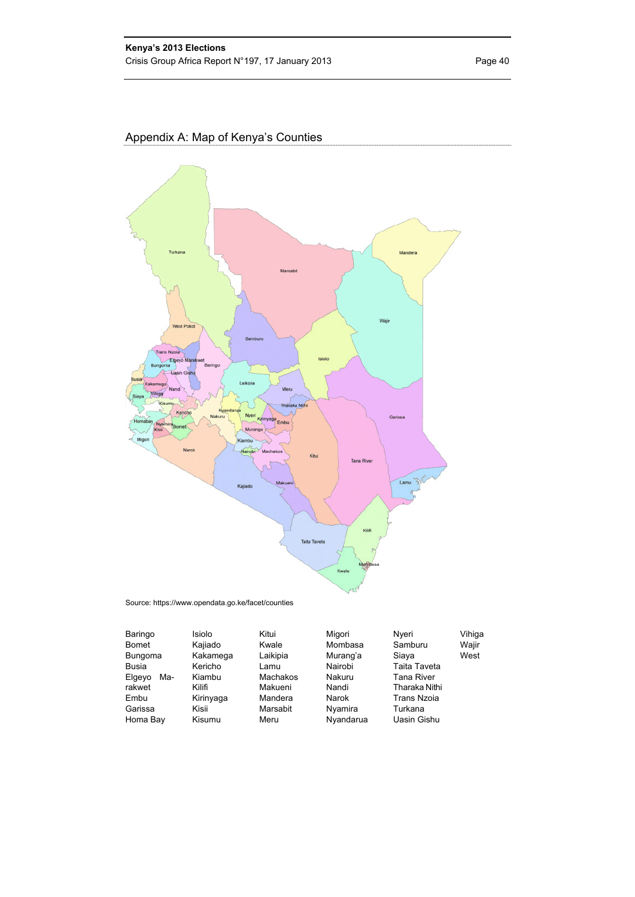## Appendix A: Map of Kenya's Counties



Source: https://www.opendata.go.ke/facet/counties

| Baringo        | Isiolo    | Kitui    | Migori    | Nveri              | Vihiga |
|----------------|-----------|----------|-----------|--------------------|--------|
| <b>Bomet</b>   | Kajiado   | Kwale    | Mombasa   | Samburu            | Wajir  |
| <b>Bungoma</b> | Kakamega  | Laikipia | Murang'a  | West<br>Siaya      |        |
| Busia          | Kericho   | Lamu     | Nairobi   | Taita Taveta       |        |
| Ma-<br>Elgeyo  | Kiambu    | Machakos | Nakuru    | <b>Tana River</b>  |        |
| rakwet         | Kilifi    | Makueni  | Nandi     | Tharaka Nithi      |        |
| Embu           | Kirinyaga | Mandera  | Narok     | <b>Trans Nzoia</b> |        |
| Garissa        | Kisii     | Marsabit | Nyamira   | Turkana            |        |
| Homa Bay       | Kisumu    | Meru     | Nyandarua | Uasin Gishu        |        |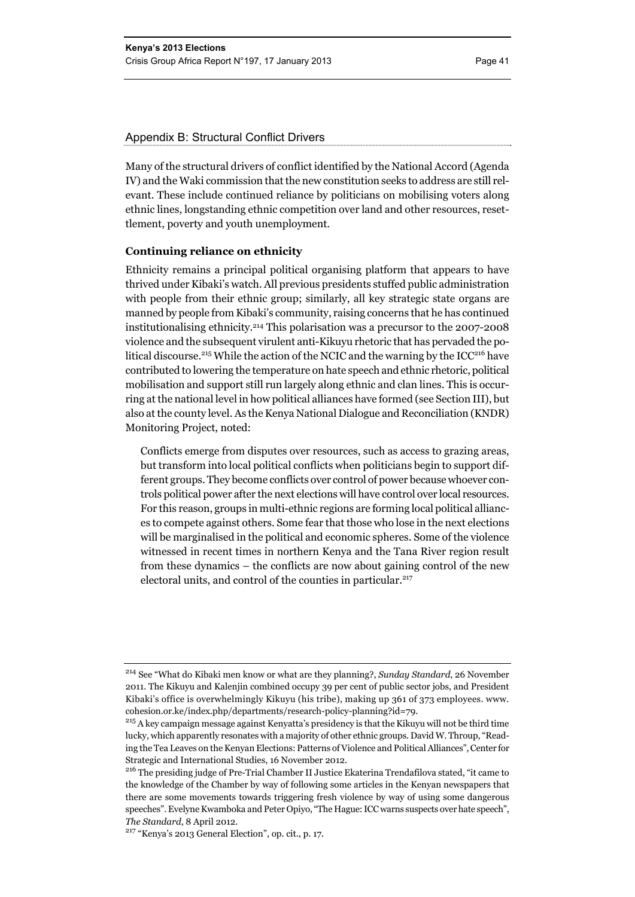#### Appendix B: Structural Conflict Drivers

Many of the structural drivers of conflict identified by the National Accord (Agenda IV) and the Waki commission that the new constitution seeks to address are still relevant. These include continued reliance by politicians on mobilising voters along ethnic lines, longstanding ethnic competition over land and other resources, resettlement, poverty and youth unemployment.

#### **Continuing reliance on ethnicity**

Ethnicity remains a principal political organising platform that appears to have thrived under Kibaki's watch. All previous presidents stuffed public administration with people from their ethnic group; similarly, all key strategic state organs are manned by people from Kibaki's community, raising concerns that he has continued institutionalising ethnicity.214 This polarisation was a precursor to the 2007-2008 violence and the subsequent virulent anti-Kikuyu rhetoric that has pervaded the political discourse.<sup>215</sup> While the action of the NCIC and the warning by the ICC<sup>216</sup> have contributed to lowering the temperature on hate speech and ethnic rhetoric, political mobilisation and support still run largely along ethnic and clan lines. This is occurring at the national level in how political alliances have formed (see Section III), but also at the county level. As the Kenya National Dialogue and Reconciliation (KNDR) Monitoring Project, noted:

Conflicts emerge from disputes over resources, such as access to grazing areas, but transform into local political conflicts when politicians begin to support different groups. They become conflicts over control of power because whoever controls political power after the next elections will have control over local resources. For this reason, groups in multi-ethnic regions are forming local political alliances to compete against others. Some fear that those who lose in the next elections will be marginalised in the political and economic spheres. Some of the violence witnessed in recent times in northern Kenya and the Tana River region result from these dynamics – the conflicts are now about gaining control of the new electoral units, and control of the counties in particular.<sup>217</sup>

<sup>214</sup> See "What do Kibaki men know or what are they planning?, *Sunday Standard*, 26 November 2011. The Kikuyu and Kalenjin combined occupy 39 per cent of public sector jobs, and President Kibaki's office is overwhelmingly Kikuyu (his tribe), making up 361 of 373 employees. www. cohesion.or.ke/index.php/departments/research-policy-planning?id=79.

 $215$  A key campaign message against Kenyatta's presidency is that the Kikuyu will not be third time lucky, which apparently resonates with a majority of other ethnic groups. David W. Throup, "Reading the Tea Leaves on the Kenyan Elections: Patterns of Violence and Political Alliances", Center for Strategic and International Studies, 16 November 2012.

<sup>216</sup> The presiding judge of Pre-Trial Chamber II Justice Ekaterina Trendafilova stated, "it came to the knowledge of the Chamber by way of following some articles in the Kenyan newspapers that there are some movements towards triggering fresh violence by way of using some dangerous speeches". Evelyne Kwamboka and Peter Opiyo, "The Hague: ICC warns suspects over hate speech", *The Standard*, 8 April 2012.

<sup>217 &</sup>quot;Kenya's 2013 General Election", op. cit., p. 17.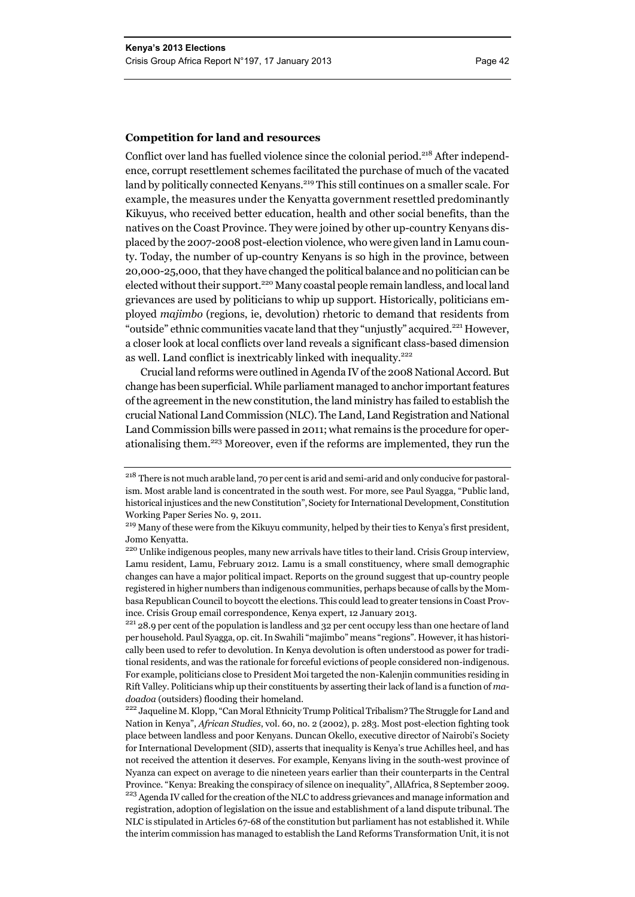#### **Competition for land and resources**

Conflict over land has fuelled violence since the colonial period.<sup>218</sup> After independence, corrupt resettlement schemes facilitated the purchase of much of the vacated land by politically connected Kenyans.<sup>219</sup> This still continues on a smaller scale. For example, the measures under the Kenyatta government resettled predominantly Kikuyus, who received better education, health and other social benefits, than the natives on the Coast Province. They were joined by other up-country Kenyans displaced by the 2007-2008 post-election violence, who were given land in Lamu county. Today, the number of up-country Kenyans is so high in the province, between 20,000-25,000, that they have changed the political balance and no politician can be elected without their support.<sup>220</sup> Many coastal people remain landless, and local land grievances are used by politicians to whip up support. Historically, politicians employed *majimbo* (regions, ie, devolution) rhetoric to demand that residents from "outside" ethnic communities vacate land that they "unjustly" acquired.221 However, a closer look at local conflicts over land reveals a significant class-based dimension as well. Land conflict is inextricably linked with inequality.<sup>222</sup>

Crucial land reforms were outlined in Agenda IV of the 2008 National Accord. But change has been superficial. While parliament managed to anchor important features of the agreement in the new constitution, the land ministry has failed to establish the crucial National Land Commission (NLC). The Land, Land Registration and National Land Commission bills were passed in 2011; what remains is the procedure for operationalising them.223 Moreover, even if the reforms are implemented, they run the

per household. Paul Syagga, op. cit. In Swahili "majimbo" means "regions". However, it has historically been used to refer to devolution. In Kenya devolution is often understood as power for traditional residents, and was the rationale for forceful evictions of people considered non-indigenous. For example, politicians close to President Moi targeted the non-Kalenjin communities residing in Rift Valley. Politicians whip up their constituents by asserting their lack of land is a function of *madoadoa* (outsiders) flooding their homeland. 222 Jaqueline M. Klopp, "Can Moral Ethnicity Trump Political Tribalism? The Struggle for Land and

Nation in Kenya", *African Studies*, vol. 60, no. 2 (2002), p. 283. Most post-election fighting took place between landless and poor Kenyans. Duncan Okello, executive director of Nairobi's Society for International Development (SID), asserts that inequality is Kenya's true Achilles heel, and has not received the attention it deserves. For example, Kenyans living in the south-west province of Nyanza can expect on average to die nineteen years earlier than their counterparts in the Central Province. "Kenya: Breaking the conspiracy of silence on inequality", AllAfrica, 8 September 2009. <sup>223</sup> Agenda IV called for the creation of the NLC to address grievances and manage information and registration, adoption of legislation on the issue and establishment of a land dispute tribunal. The NLC is stipulated in Articles 67-68 of the constitution but parliament has not established it. While the interim commission has managed to establish the Land Reforms Transformation Unit, it is not

<sup>&</sup>lt;sup>218</sup> There is not much arable land, 70 per cent is arid and semi-arid and only conducive for pastoralism. Most arable land is concentrated in the south west. For more, see Paul Syagga, "Public land, historical injustices and the new Constitution", Society for International Development, Constitution Working Paper Series No. 9, 2011.

<sup>&</sup>lt;sup>219</sup> Many of these were from the Kikuyu community, helped by their ties to Kenya's first president, Jomo Kenyatta.

<sup>&</sup>lt;sup>220</sup> Unlike indigenous peoples, many new arrivals have titles to their land. Crisis Group interview, Lamu resident, Lamu, February 2012. Lamu is a small constituency, where small demographic changes can have a major political impact. Reports on the ground suggest that up-country people registered in higher numbers than indigenous communities, perhaps because of calls by the Mombasa Republican Council to boycott the elections. This could lead to greater tensions in Coast Province. Crisis Group email correspondence, Kenya expert, 12 January 2013.<br><sup>221</sup> 28.9 per cent of the population is landless and 32 per cent occupy less than one hectare of land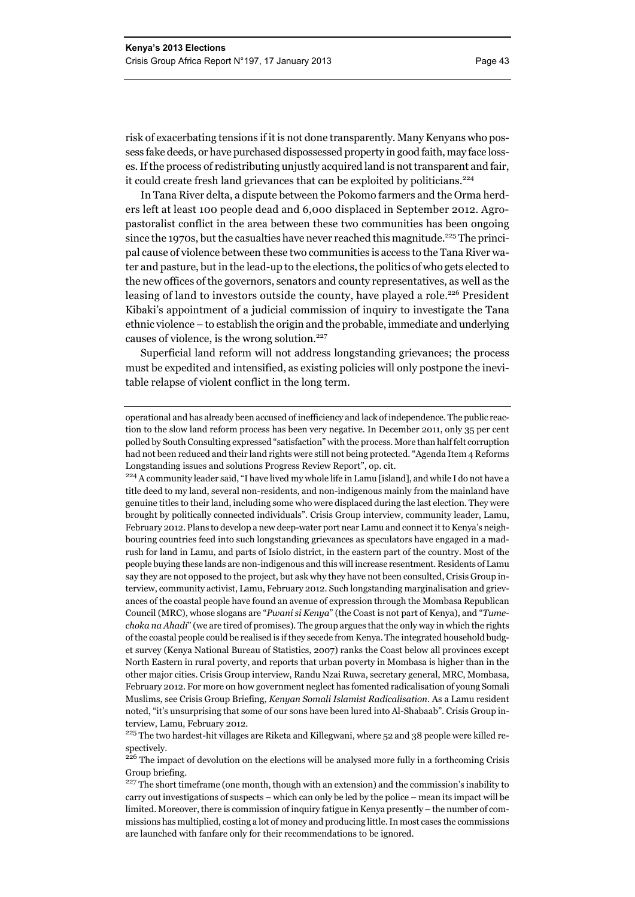risk of exacerbating tensions if it is not done transparently. Many Kenyans who possess fake deeds, or have purchased dispossessed property in good faith, may face losses. If the process of redistributing unjustly acquired land is not transparent and fair, it could create fresh land grievances that can be exploited by politicians.<sup>224</sup>

In Tana River delta, a dispute between the Pokomo farmers and the Orma herders left at least 100 people dead and 6,000 displaced in September 2012. Agropastoralist conflict in the area between these two communities has been ongoing since the 1970s, but the casualties have never reached this magnitude.<sup>225</sup> The principal cause of violence between these two communities is access to the Tana River water and pasture, but in the lead-up to the elections, the politics of who gets elected to the new offices of the governors, senators and county representatives, as well as the leasing of land to investors outside the county, have played a role.<sup>226</sup> President Kibaki's appointment of a judicial commission of inquiry to investigate the Tana ethnic violence – to establish the origin and the probable, immediate and underlying causes of violence, is the wrong solution. $227$ 

Superficial land reform will not address longstanding grievances; the process must be expedited and intensified, as existing policies will only postpone the inevitable relapse of violent conflict in the long term.

<sup>225</sup> The two hardest-hit villages are Riketa and Killegwani, where 52 and 38 people were killed respectively.

<sup>226</sup> The impact of devolution on the elections will be analysed more fully in a forthcoming Crisis Group briefing.

operational and has already been accused of inefficiency and lack of independence. The public reaction to the slow land reform process has been very negative. In December 2011, only 35 per cent polled by South Consulting expressed "satisfaction" with the process. More than half felt corruption had not been reduced and their land rights were still not being protected. "Agenda Item 4 Reforms Longstanding issues and solutions Progress Review Report", op. cit.

<sup>&</sup>lt;sup>224</sup> A community leader said, "I have lived my whole life in Lamu [island], and while I do not have a title deed to my land, several non-residents, and non-indigenous mainly from the mainland have genuine titles to their land, including some who were displaced during the last election. They were brought by politically connected individuals". Crisis Group interview, community leader, Lamu, February 2012. Plans to develop a new deep-water port near Lamu and connect it to Kenya's neighbouring countries feed into such longstanding grievances as speculators have engaged in a madrush for land in Lamu, and parts of Isiolo district, in the eastern part of the country. Most of the people buying these lands are non-indigenous and this will increase resentment. Residents of Lamu say they are not opposed to the project, but ask why they have not been consulted, Crisis Group interview, community activist, Lamu, February 2012. Such longstanding marginalisation and grievances of the coastal people have found an avenue of expression through the Mombasa Republican Council (MRC), whose slogans are "*Pwani si Kenya*" (the Coast is not part of Kenya), and "*Tumechoka na Ahadi*" (we are tired of promises). The group argues that the only way in which the rights of the coastal people could be realised is if they secede from Kenya. The integrated household budget survey (Kenya National Bureau of Statistics, 2007) ranks the Coast below all provinces except North Eastern in rural poverty, and reports that urban poverty in Mombasa is higher than in the other major cities. Crisis Group interview, Randu Nzai Ruwa, secretary general, MRC, Mombasa, February 2012. For more on how government neglect has fomented radicalisation of young Somali Muslims, see Crisis Group Briefing, *Kenyan Somali Islamist Radicalisation*. As a Lamu resident noted, "it's unsurprising that some of our sons have been lured into Al-Shabaab". Crisis Group interview, Lamu, February 2012.

<sup>&</sup>lt;sup>227</sup> The short timeframe (one month, though with an extension) and the commission's inability to carry out investigations of suspects – which can only be led by the police – mean its impact will be limited. Moreover, there is commission of inquiry fatigue in Kenya presently – the number of commissions has multiplied, costing a lot of money and producing little. In most cases the commissions are launched with fanfare only for their recommendations to be ignored.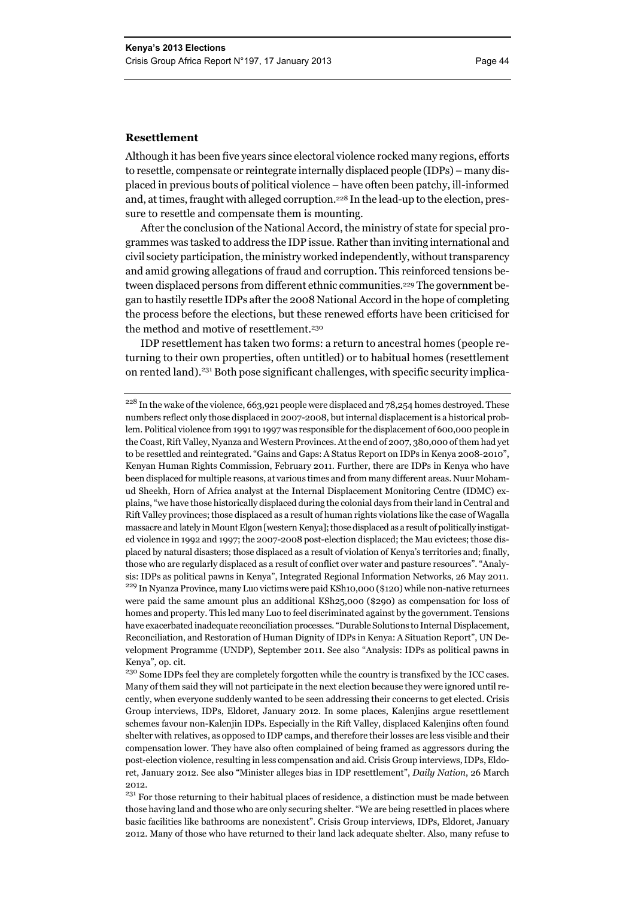#### **Resettlement**

Although it has been five years since electoral violence rocked many regions, efforts to resettle, compensate or reintegrate internally displaced people (IDPs) – many displaced in previous bouts of political violence – have often been patchy, ill-informed and, at times, fraught with alleged corruption.228 In the lead-up to the election, pressure to resettle and compensate them is mounting.

After the conclusion of the National Accord, the ministry of state for special programmes was tasked to address the IDP issue. Rather than inviting international and civil society participation, the ministry worked independently, without transparency and amid growing allegations of fraud and corruption. This reinforced tensions between displaced persons from different ethnic communities.<sup>229</sup> The government began to hastily resettle IDPs after the 2008 National Accord in the hope of completing the process before the elections, but these renewed efforts have been criticised for the method and motive of resettlement.<sup>230</sup>

IDP resettlement has taken two forms: a return to ancestral homes (people returning to their own properties, often untitled) or to habitual homes (resettlement on rented land).<sup>231</sup> Both pose significant challenges, with specific security implica-

<sup>&</sup>lt;sup>228</sup> In the wake of the violence, 663,921 people were displaced and 78,254 homes destroyed. These numbers reflect only those displaced in 2007-2008, but internal displacement is a historical problem. Political violence from 1991 to 1997 was responsible for the displacement of 600,000 people in the Coast, Rift Valley, Nyanza and Western Provinces. At the end of 2007, 380,000 of them had yet to be resettled and reintegrated. "Gains and Gaps: A Status Report on IDPs in Kenya 2008-2010", Kenyan Human Rights Commission, February 2011. Further, there are IDPs in Kenya who have been displaced for multiple reasons, at various times and from many different areas. Nuur Mohamud Sheekh, Horn of Africa analyst at the Internal Displacement Monitoring Centre (IDMC) explains, "we have those historically displaced during the colonial days from their land in Central and Rift Valley provinces; those displaced as a result of human rights violations like the case of Wagalla massacre and lately in Mount Elgon [western Kenya]; those displaced as a result of politically instigated violence in 1992 and 1997; the 2007-2008 post-election displaced; the Mau evictees; those displaced by natural disasters; those displaced as a result of violation of Kenya's territories and; finally, those who are regularly displaced as a result of conflict over water and pasture resources". "Analysis: IDPs as political pawns in Kenya", Integrated Regional Information Networks, 26 May 2011. <sup>229</sup> In Nyanza Province, many Luo victims were paid KSh10,000 (\$120) while non-native returnees were paid the same amount plus an additional KSh25,000 (\$290) as compensation for loss of homes and property. This led many Luo to feel discriminated against by the government. Tensions have exacerbated inadequate reconciliation processes. "Durable Solutions to Internal Displacement, Reconciliation, and Restoration of Human Dignity of IDPs in Kenya: A Situation Report", UN Development Programme (UNDP), September 2011. See also "Analysis: IDPs as political pawns in Kenya", op. cit.

<sup>&</sup>lt;sup>230</sup> Some IDPs feel they are completely forgotten while the country is transfixed by the ICC cases. Many of them said they will not participate in the next election because they were ignored until recently, when everyone suddenly wanted to be seen addressing their concerns to get elected. Crisis Group interviews, IDPs, Eldoret, January 2012. In some places, Kalenjins argue resettlement schemes favour non-Kalenjin IDPs. Especially in the Rift Valley, displaced Kalenjins often found shelter with relatives, as opposed to IDP camps, and therefore their losses are less visible and their compensation lower. They have also often complained of being framed as aggressors during the post-election violence, resulting in less compensation and aid. Crisis Group interviews, IDPs, Eldoret, January 2012. See also "Minister alleges bias in IDP resettlement", *Daily Nation*, 26 March 2012.

 $231$  For those returning to their habitual places of residence, a distinction must be made between those having land and those who are only securing shelter. "We are being resettled in places where basic facilities like bathrooms are nonexistent". Crisis Group interviews, IDPs, Eldoret, January 2012. Many of those who have returned to their land lack adequate shelter. Also, many refuse to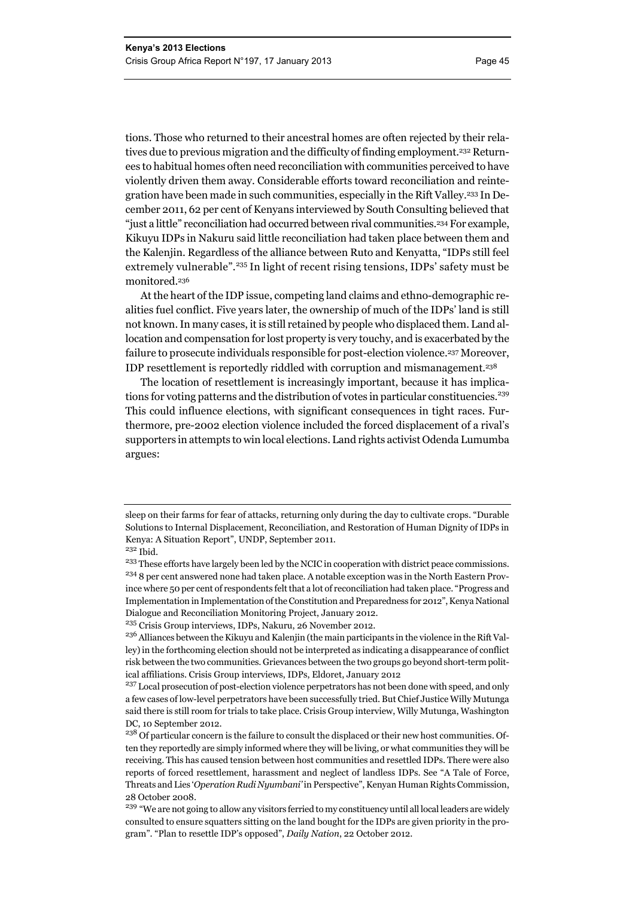tions. Those who returned to their ancestral homes are often rejected by their relatives due to previous migration and the difficulty of finding employment.232 Returnees to habitual homes often need reconciliation with communities perceived to have violently driven them away. Considerable efforts toward reconciliation and reintegration have been made in such communities, especially in the Rift Valley.233 In December 2011, 62 per cent of Kenyans interviewed by South Consulting believed that "just a little" reconciliation had occurred between rival communities.<sup>234</sup> For example, Kikuyu IDPs in Nakuru said little reconciliation had taken place between them and the Kalenjin. Regardless of the alliance between Ruto and Kenyatta, "IDPs still feel extremely vulnerable".235 In light of recent rising tensions, IDPs' safety must be monitored.236

At the heart of the IDP issue, competing land claims and ethno-demographic realities fuel conflict. Five years later, the ownership of much of the IDPs' land is still not known. In many cases, it is still retained by people who displaced them. Land allocation and compensation for lost property is very touchy, and is exacerbated by the failure to prosecute individuals responsible for post-election violence.237 Moreover, IDP resettlement is reportedly riddled with corruption and mismanagement.238

The location of resettlement is increasingly important, because it has implications for voting patterns and the distribution of votes in particular constituencies.<sup>239</sup> This could influence elections, with significant consequences in tight races. Furthermore, pre-2002 election violence included the forced displacement of a rival's supporters in attempts to win local elections. Land rights activist Odenda Lumumba argues:

sleep on their farms for fear of attacks, returning only during the day to cultivate crops. "Durable Solutions to Internal Displacement, Reconciliation, and Restoration of Human Dignity of IDPs in Kenya: A Situation Report", UNDP, September 2011.

 $^{232}$  Ibid.

<sup>&</sup>lt;sup>233</sup> These efforts have largely been led by the NCIC in cooperation with district peace commissions. <sup>234</sup> 8 per cent answered none had taken place. A notable exception was in the North Eastern Province where 50 per cent of respondents felt that a lot of reconciliation had taken place. "Progress and Implementation in Implementation of the Constitution and Preparedness for 2012", Kenya National Dialogue and Reconciliation Monitoring Project, January 2012.

<sup>235</sup> Crisis Group interviews, IDPs, Nakuru, 26 November 2012.

<sup>&</sup>lt;sup>236</sup> Alliances between the Kikuyu and Kalenjin (the main participants in the violence in the Rift Valley) in the forthcoming election should not be interpreted as indicating a disappearance of conflict risk between the two communities. Grievances between the two groups go beyond short-term political affiliations. Crisis Group interviews, IDPs, Eldoret, January 2012

<sup>&</sup>lt;sup>237</sup> Local prosecution of post-election violence perpetrators has not been done with speed, and only a few cases of low-level perpetrators have been successfully tried. But Chief Justice Willy Mutunga said there is still room for trials to take place. Crisis Group interview, Willy Mutunga, Washington DC, 10 September 2012.

<sup>&</sup>lt;sup>238</sup> Of particular concern is the failure to consult the displaced or their new host communities. Often they reportedly are simply informed where they will be living, or what communities they will be receiving. This has caused tension between host communities and resettled IDPs. There were also reports of forced resettlement, harassment and neglect of landless IDPs. See "A Tale of Force, Threats and Lies '*Operation Rudi Nyumbani'* in Perspective", Kenyan Human Rights Commission, 28 October 2008.

<sup>&</sup>lt;sup>239</sup> "We are not going to allow any visitors ferried to my constituency until all local leaders are widely consulted to ensure squatters sitting on the land bought for the IDPs are given priority in the program". "Plan to resettle IDP's opposed", *Daily Nation*, 22 October 2012.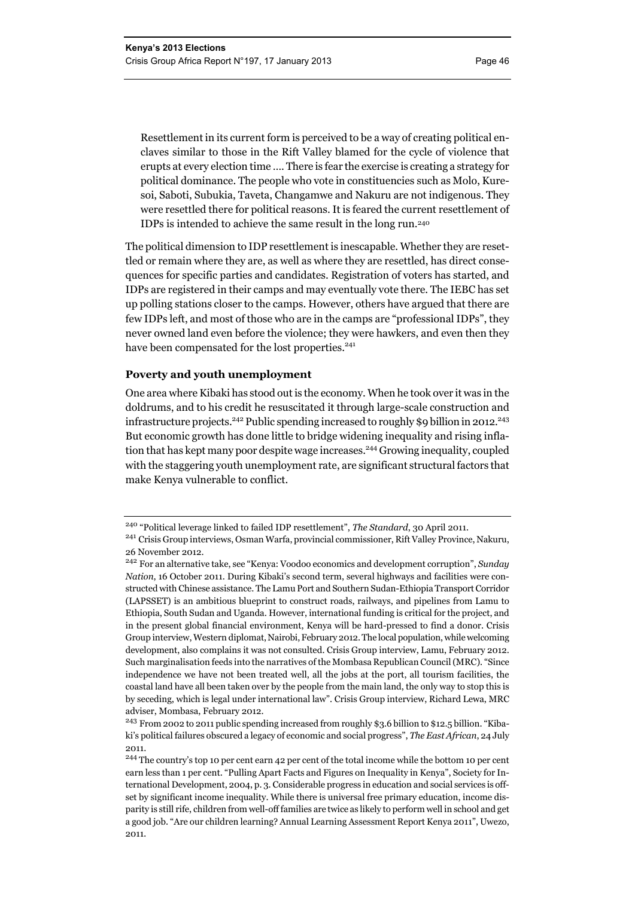Resettlement in its current form is perceived to be a way of creating political enclaves similar to those in the Rift Valley blamed for the cycle of violence that erupts at every election time …. There is fear the exercise is creating a strategy for political dominance. The people who vote in constituencies such as Molo, Kuresoi, Saboti, Subukia, Taveta, Changamwe and Nakuru are not indigenous. They were resettled there for political reasons. It is feared the current resettlement of IDPs is intended to achieve the same result in the long run.240

The political dimension to IDP resettlement is inescapable. Whether they are resettled or remain where they are, as well as where they are resettled, has direct consequences for specific parties and candidates. Registration of voters has started, and IDPs are registered in their camps and may eventually vote there. The IEBC has set up polling stations closer to the camps. However, others have argued that there are few IDPs left, and most of those who are in the camps are "professional IDPs", they never owned land even before the violence; they were hawkers, and even then they have been compensated for the lost properties.<sup>241</sup>

#### **Poverty and youth unemployment**

One area where Kibaki has stood out is the economy. When he took over it was in the doldrums, and to his credit he resuscitated it through large-scale construction and infrastructure projects.<sup>242</sup> Public spending increased to roughly \$9 billion in 2012.<sup>243</sup> But economic growth has done little to bridge widening inequality and rising inflation that has kept many poor despite wage increases.<sup>244</sup> Growing inequality, coupled with the staggering youth unemployment rate, are significant structural factors that make Kenya vulnerable to conflict.

<sup>240</sup> "Political leverage linked to failed IDP resettlement", *The Standard*, 30 April 2011.

<sup>241</sup> Crisis Group interviews, Osman Warfa, provincial commissioner, Rift Valley Province, Nakuru, 26 November 2012.

<sup>242</sup> For an alternative take, see "Kenya: Voodoo economics and development corruption", *Sunday Nation*, 16 October 2011. During Kibaki's second term, several highways and facilities were constructed with Chinese assistance. The Lamu Port and Southern Sudan-Ethiopia Transport Corridor (LAPSSET) is an ambitious blueprint to construct roads, railways, and pipelines from Lamu to Ethiopia, South Sudan and Uganda. However, international funding is critical for the project, and in the present global financial environment, Kenya will be hard-pressed to find a donor. Crisis Group interview, Western diplomat, Nairobi, February 2012. The local population, while welcoming development, also complains it was not consulted. Crisis Group interview, Lamu, February 2012. Such marginalisation feeds into the narratives of the Mombasa Republican Council (MRC). "Since independence we have not been treated well, all the jobs at the port, all tourism facilities, the coastal land have all been taken over by the people from the main land, the only way to stop this is by seceding, which is legal under international law". Crisis Group interview, Richard Lewa, MRC adviser, Mombasa, February 2012.

<sup>&</sup>lt;sup>243</sup> From 2002 to 2011 public spending increased from roughly \$3.6 billion to \$12.5 billion. "Kibaki's political failures obscured a legacy of economic and social progress", *The East African*, 24 July 2011.

<sup>244</sup> The country's top 10 per cent earn 42 per cent of the total income while the bottom 10 per cent earn less than 1 per cent. "Pulling Apart Facts and Figures on Inequality in Kenya", Society for International Development, 2004, p. 3. Considerable progress in education and social services is offset by significant income inequality. While there is universal free primary education, income disparity is still rife, children from well-off families are twice as likely to perform well in school and get a good job. "Are our children learning? Annual Learning Assessment Report Kenya 2011", Uwezo, 2011*.*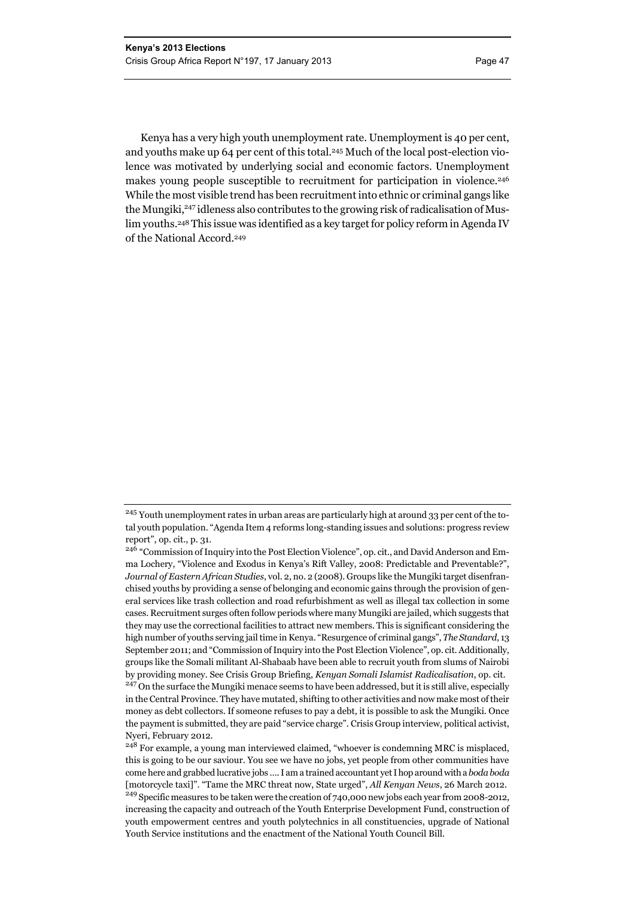Kenya has a very high youth unemployment rate. Unemployment is 40 per cent, and youths make up 64 per cent of this total.245 Much of the local post-election violence was motivated by underlying social and economic factors. Unemployment makes young people susceptible to recruitment for participation in violence.<sup>246</sup> While the most visible trend has been recruitment into ethnic or criminal gangs like the Mungiki,<sup>247</sup> idleness also contributes to the growing risk of radicalisation of Muslim youths.248 This issue was identified as a key target for policy reform in Agenda IV of the National Accord.249

<sup>&</sup>lt;sup>245</sup> Youth unemployment rates in urban areas are particularly high at around 33 per cent of the total youth population. "Agenda Item 4 reforms long-standing issues and solutions: progress review report", op. cit., p. 31.

<sup>&</sup>lt;sup>246</sup> "Commission of Inquiry into the Post Election Violence", op. cit., and David Anderson and Emma Lochery, "Violence and Exodus in Kenya's Rift Valley, 2008: Predictable and Preventable?", *Journal of Eastern African Studies*, vol. 2, no. 2 (2008). Groups like the Mungiki target disenfranchised youths by providing a sense of belonging and economic gains through the provision of general services like trash collection and road refurbishment as well as illegal tax collection in some cases. Recruitment surges often follow periods where many Mungiki are jailed, which suggests that they may use the correctional facilities to attract new members. This is significant considering the high number of youths serving jail time in Kenya. "Resurgence of criminal gangs", *The Standard*, 13 September 2011; and "Commission of Inquiry into the Post Election Violence", op. cit. Additionally, groups like the Somali militant Al-Shabaab have been able to recruit youth from slums of Nairobi by providing money. See Crisis Group Briefing, *Kenyan Somali Islamist Radicalisation*, op. cit. <sup>247</sup> On the surface the Mungiki menace seems to have been addressed, but it is still alive, especially in the Central Province. They have mutated, shifting to other activities and now make most of their money as debt collectors. If someone refuses to pay a debt, it is possible to ask the Mungiki. Once the payment is submitted, they are paid "service charge". Crisis Group interview, political activist, Nyeri, February 2012.

 $248$  For example, a young man interviewed claimed, "whoever is condemning MRC is misplaced, this is going to be our saviour. You see we have no jobs, yet people from other communities have come here and grabbed lucrative jobs …. I am a trained accountant yet I hop around with a *boda boda* [motorcycle taxi]". "Tame the MRC threat now, State urged", *All Kenyan News*, 26 March 2012. <sup>249</sup> Specific measures to be taken were the creation of 740,000 new jobs each year from 2008-2012, increasing the capacity and outreach of the Youth Enterprise Development Fund, construction of youth empowerment centres and youth polytechnics in all constituencies, upgrade of National Youth Service institutions and the enactment of the National Youth Council Bill.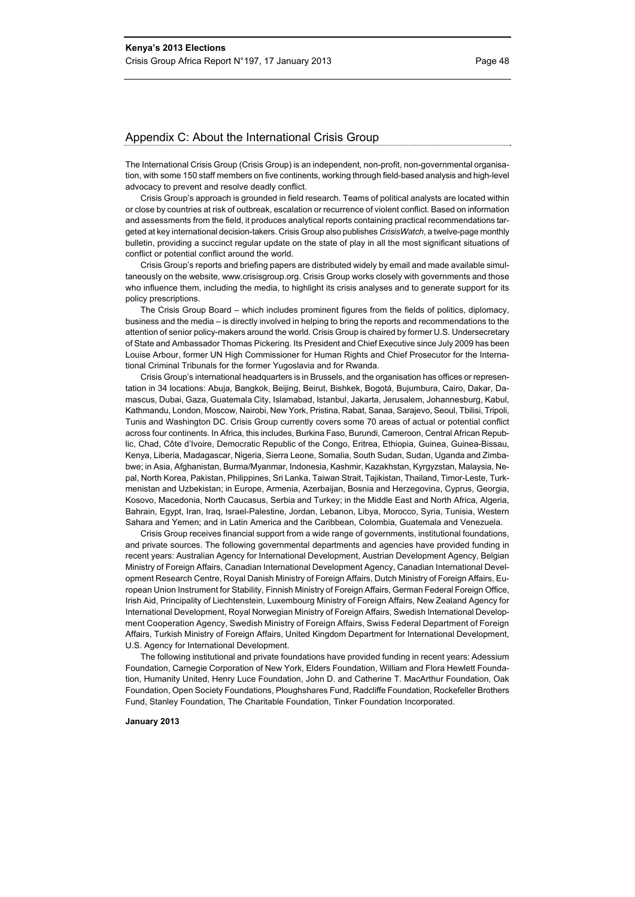#### Appendix C: About the International Crisis Group

The International Crisis Group (Crisis Group) is an independent, non-profit, non-governmental organisation, with some 150 staff members on five continents, working through field-based analysis and high-level advocacy to prevent and resolve deadly conflict.

Crisis Group's approach is grounded in field research. Teams of political analysts are located within or close by countries at risk of outbreak, escalation or recurrence of violent conflict. Based on information and assessments from the field, it produces analytical reports containing practical recommendations targeted at key international decision-takers. Crisis Group also publishes *CrisisWatch*, a twelve-page monthly bulletin, providing a succinct regular update on the state of play in all the most significant situations of conflict or potential conflict around the world.

Crisis Group's reports and briefing papers are distributed widely by email and made available simultaneously on the website, www.crisisgroup.org. Crisis Group works closely with governments and those who influence them, including the media, to highlight its crisis analyses and to generate support for its policy prescriptions.

The Crisis Group Board – which includes prominent figures from the fields of politics, diplomacy, business and the media – is directly involved in helping to bring the reports and recommendations to the attention of senior policy-makers around the world. Crisis Group is chaired by former U.S. Undersecretary of State and Ambassador Thomas Pickering. Its President and Chief Executive since July 2009 has been Louise Arbour, former UN High Commissioner for Human Rights and Chief Prosecutor for the International Criminal Tribunals for the former Yugoslavia and for Rwanda.

Crisis Group's international headquarters is in Brussels, and the organisation has offices or representation in 34 locations: Abuja, Bangkok, Beijing, Beirut, Bishkek, Bogotá, Bujumbura, Cairo, Dakar, Damascus, Dubai, Gaza, Guatemala City, Islamabad, Istanbul, Jakarta, Jerusalem, Johannesburg, Kabul, Kathmandu, London, Moscow, Nairobi, New York, Pristina, Rabat, Sanaa, Sarajevo, Seoul, Tbilisi, Tripoli, Tunis and Washington DC. Crisis Group currently covers some 70 areas of actual or potential conflict across four continents. In Africa, this includes, Burkina Faso, Burundi, Cameroon, Central African Republic, Chad, Côte d'Ivoire, Democratic Republic of the Congo, Eritrea, Ethiopia, Guinea, Guinea-Bissau, Kenya, Liberia, Madagascar, Nigeria, Sierra Leone, Somalia, South Sudan, Sudan, Uganda and Zimbabwe; in Asia, Afghanistan, Burma/Myanmar, Indonesia, Kashmir, Kazakhstan, Kyrgyzstan, Malaysia, Nepal, North Korea, Pakistan, Philippines, Sri Lanka, Taiwan Strait, Tajikistan, Thailand, Timor-Leste, Turkmenistan and Uzbekistan; in Europe, Armenia, Azerbaijan, Bosnia and Herzegovina, Cyprus, Georgia, Kosovo, Macedonia, North Caucasus, Serbia and Turkey; in the Middle East and North Africa, Algeria, Bahrain, Egypt, Iran, Iraq, Israel-Palestine, Jordan, Lebanon, Libya, Morocco, Syria, Tunisia, Western Sahara and Yemen; and in Latin America and the Caribbean, Colombia, Guatemala and Venezuela.

Crisis Group receives financial support from a wide range of governments, institutional foundations, and private sources. The following governmental departments and agencies have provided funding in recent years: Australian Agency for International Development, Austrian Development Agency, Belgian Ministry of Foreign Affairs, Canadian International Development Agency, Canadian International Development Research Centre, Royal Danish Ministry of Foreign Affairs, Dutch Ministry of Foreign Affairs, European Union Instrument for Stability, Finnish Ministry of Foreign Affairs, German Federal Foreign Office, Irish Aid, Principality of Liechtenstein, Luxembourg Ministry of Foreign Affairs, New Zealand Agency for International Development, Royal Norwegian Ministry of Foreign Affairs, Swedish International Development Cooperation Agency, Swedish Ministry of Foreign Affairs, Swiss Federal Department of Foreign Affairs, Turkish Ministry of Foreign Affairs, United Kingdom Department for International Development, U.S. Agency for International Development.

The following institutional and private foundations have provided funding in recent years: Adessium Foundation, Carnegie Corporation of New York, Elders Foundation, William and Flora Hewlett Foundation, Humanity United, Henry Luce Foundation, John D. and Catherine T. MacArthur Foundation, Oak Foundation, Open Society Foundations, Ploughshares Fund, Radcliffe Foundation, Rockefeller Brothers Fund, Stanley Foundation, The Charitable Foundation, Tinker Foundation Incorporated.

#### **January 2013**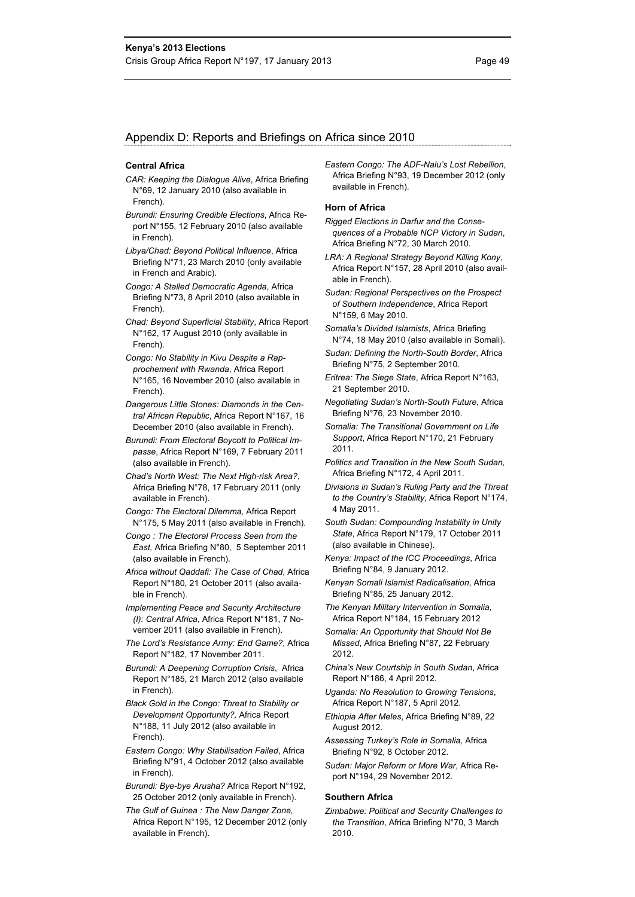#### Appendix D: Reports and Briefings on Africa since 2010

#### **Central Africa**

- *CAR: Keeping the Dialogue Alive*, Africa Briefing N°69, 12 January 2010 (also available in French).
- *Burundi: Ensuring Credible Elections*, Africa Report N°155, 12 February 2010 (also available in French).
- *Libya/Chad: Beyond Political Influence*, Africa Briefing N°71, 23 March 2010 (only available in French and Arabic).
- *Congo: A Stalled Democratic Agenda*, Africa Briefing N°73, 8 April 2010 (also available in French).
- *Chad: Beyond Superficial Stability*, Africa Report N°162, 17 August 2010 (only available in French).
- *Congo: No Stability in Kivu Despite a Rapprochement with Rwanda*, Africa Report N°165, 16 November 2010 (also available in French).
- *Dangerous Little Stones: Diamonds in the Central African Republic*, Africa Report N°167, 16 December 2010 (also available in French).
- *Burundi: From Electoral Boycott to Political Impasse*, Africa Report N°169, 7 February 2011 (also available in French).
- *Chad's North West: The Next High-risk Area?*, Africa Briefing N°78, 17 February 2011 (only available in French).
- *Congo: The Electoral Dilemma,* Africa Report N°175, 5 May 2011 (also available in French).
- *Congo : The Electoral Process Seen from the East,* Africa Briefing N°80, 5 September 2011 (also available in French).
- *Africa without Qaddafi: The Case of Chad*, Africa Report N°180, 21 October 2011 (also available in French).
- *Implementing Peace and Security Architecture (I): Central Africa*, Africa Report N°181, 7 November 2011 (also available in French).
- *The Lord's Resistance Army: End Game?*, Africa Report N°182, 17 November 2011.
- *Burundi: A Deepening Corruption Crisis*, Africa Report N°185, 21 March 2012 (also available in French).
- *Black Gold in the Congo: Threat to Stability or Development Opportunity?,* Africa Report N°188, 11 July 2012 (also available in French).
- *Eastern Congo: Why Stabilisation Failed*, Africa Briefing N°91, 4 October 2012 (also available in French).
- *Burundi: Bye-bye Arusha?* Africa Report N°192, 25 October 2012 (only available in French).
- *The Gulf of Guinea : The New Danger Zone,*  Africa Report N°195, 12 December 2012 (only available in French).

*Eastern Congo: The ADF-Nalu's Lost Rebellion*, Africa Briefing N°93, 19 December 2012 (only available in French).

#### **Horn of Africa**

- *Rigged Elections in Darfur and the Consequences of a Probable NCP Victory in Sudan*, Africa Briefing N°72, 30 March 2010.
- *LRA: A Regional Strategy Beyond Killing Kony*, Africa Report N°157, 28 April 2010 (also available in French).
- *Sudan: Regional Perspectives on the Prospect of Southern Independence*, Africa Report N°159, 6 May 2010.
- *Somalia's Divided Islamists*, Africa Briefing N°74, 18 May 2010 (also available in Somali).
- *Sudan: Defining the North-South Border*, Africa Briefing N°75, 2 September 2010.
- *Eritrea: The Siege State*, Africa Report N°163, 21 September 2010.
- *Negotiating Sudan's North-South Future*, Africa Briefing N°76, 23 November 2010.
- *Somalia: The Transitional Government on Life Support*, Africa Report N°170, 21 February 2011.
- *Politics and Transition in the New South Sudan,*  Africa Briefing N°172, 4 April 2011.
- *Divisions in Sudan's Ruling Party and the Threat to the Country's Stability,* Africa Report N°174, 4 May 2011.
- *South Sudan: Compounding Instability in Unity State*, Africa Report N°179, 17 October 2011 (also available in Chinese).
- *Kenya: Impact of the ICC Proceedings*, Africa Briefing N°84, 9 January 2012.
- *Kenyan Somali Islamist Radicalisation*, Africa Briefing N°85, 25 January 2012.
- *The Kenyan Military Intervention in Somalia*, Africa Report N°184, 15 February 2012
- *Somalia: An Opportunity that Should Not Be Missed*, Africa Briefing N°87, 22 February 2012.
- *China's New Courtship in South Sudan*, Africa Report N°186, 4 April 2012.
- *Uganda: No Resolution to Growing Tensions*, Africa Report N°187, 5 April 2012.
- *Ethiopia After Meles*, Africa Briefing N°89, 22 August 2012.
- *Assessing Turkey's Role in Somalia,* Africa Briefing N°92, 8 October 2012.
- *Sudan: Major Reform or More War*, Africa Report N°194, 29 November 2012.

#### **Southern Africa**

*Zimbabwe: Political and Security Challenges to the Transition*, Africa Briefing N°70, 3 March 2010.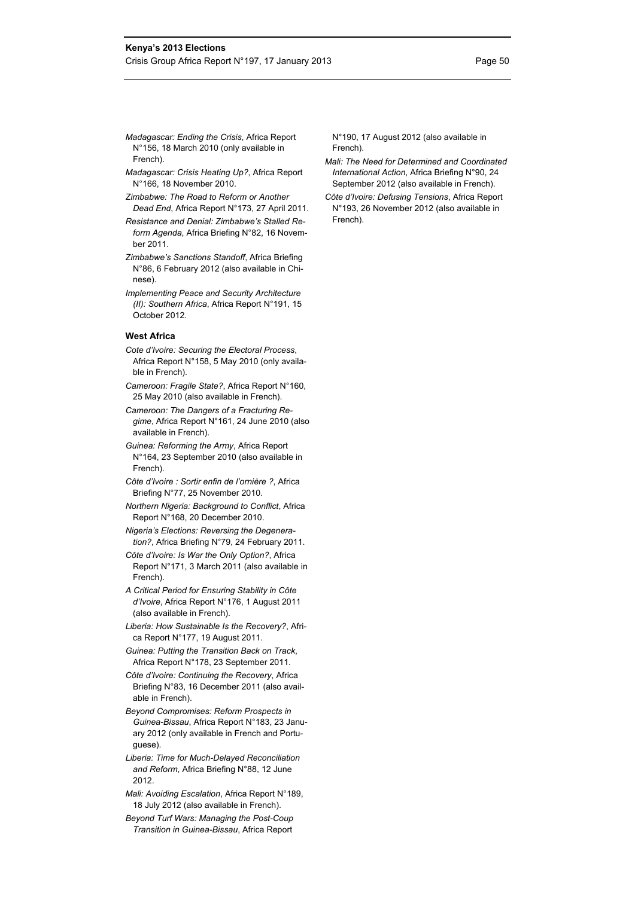- *Madagascar: Ending the Crisis*, Africa Report N°156, 18 March 2010 (only available in French).
- *Madagascar: Crisis Heating Up?*, Africa Report N°166, 18 November 2010.
- *Zimbabwe: The Road to Reform or Another Dead End*, Africa Report N°173, 27 April 2011.
- *Resistance and Denial: Zimbabwe's Stalled Reform Agenda*, Africa Briefing N°82, 16 November 2011.
- *Zimbabwe's Sanctions Standoff*, Africa Briefing N°86, 6 February 2012 (also available in Chinese).
- *Implementing Peace and Security Architecture (II): Southern Africa*, Africa Report N°191, 15 October 2012.

#### **West Africa**

- *Cote d'Ivoire: Securing the Electoral Process*, Africa Report N°158, 5 May 2010 (only available in French).
- *Cameroon: Fragile State?*, Africa Report N°160, 25 May 2010 (also available in French).
- *Cameroon: The Dangers of a Fracturing Regime*, Africa Report N°161, 24 June 2010 (also available in French).
- *Guinea: Reforming the Army*, Africa Report N°164, 23 September 2010 (also available in French).
- *Côte d'Ivoire : Sortir enfin de l'ornière ?*, Africa Briefing N°77, 25 November 2010.
- *Northern Nigeria: Background to Conflict*, Africa Report N°168, 20 December 2010.
- *Nigeria's Elections: Reversing the Degeneration?*, Africa Briefing N°79, 24 February 2011.
- *Côte d'Ivoire: Is War the Only Option?*, Africa Report N°171, 3 March 2011 (also available in French).
- *A Critical Period for Ensuring Stability in Côte d'Ivoire*, Africa Report N°176, 1 August 2011 (also available in French).
- *Liberia: How Sustainable Is the Recovery?*, Africa Report N°177, 19 August 2011.
- *Guinea: Putting the Transition Back on Track*, Africa Report N°178, 23 September 2011.
- *Côte d'Ivoire: Continuing the Recovery*, Africa Briefing N°83, 16 December 2011 (also available in French).
- *Beyond Compromises: Reform Prospects in Guinea-Bissau*, Africa Report N°183, 23 January 2012 (only available in French and Portuguese).
- *Liberia: Time for Much-Delayed Reconciliation and Reform*, Africa Briefing N°88, 12 June 2012.
- *Mali: Avoiding Escalation*, Africa Report N°189, 18 July 2012 (also available in French).
- *Beyond Turf Wars: Managing the Post-Coup Transition in Guinea-Bissau*, Africa Report

N°190, 17 August 2012 (also available in French).

- *Mali: The Need for Determined and Coordinated International Action*, Africa Briefing N°90, 24 September 2012 (also available in French).
- *Côte d'Ivoire: Defusing Tensions*, Africa Report N°193, 26 November 2012 (also available in French).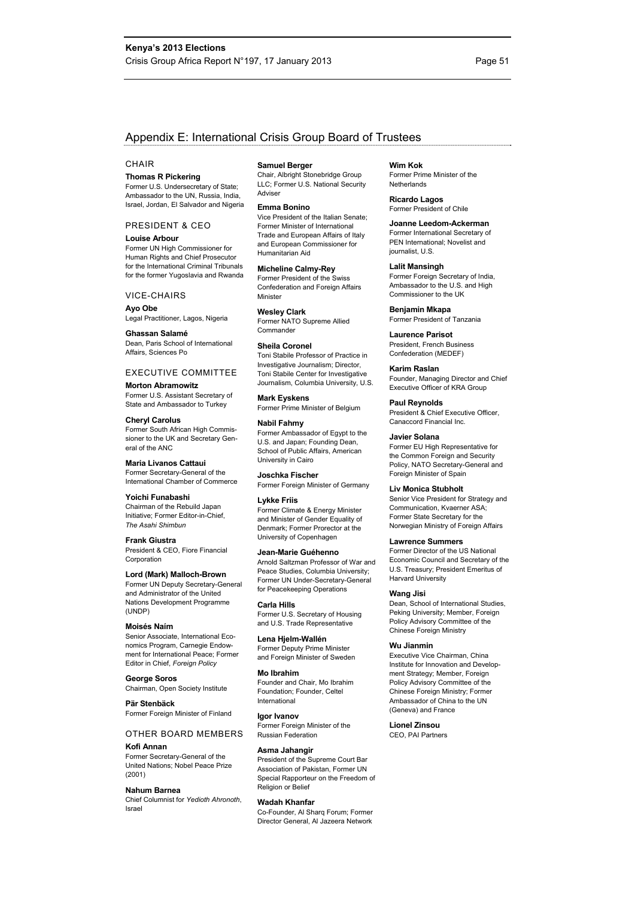#### Appendix E: International Crisis Group Board of Trustees

#### **CHAIR**

#### **Thomas R Pickering**

Former U.S. Undersecretary of State; Ambassador to the UN, Russia, India, Israel, Jordan, El Salvador and Nigeria

PRESIDENT & CEO **Louise Arbour** 

Former UN High Commissioner for Human Rights and Chief Prosecutor for the International Criminal Tribunals for the former Yugoslavia and Rwanda

#### VICE-CHAIRS

**Ayo Obe**  Legal Practitioner, Lagos, Nigeria

#### **Ghassan Salamé**  Dean, Paris School of International

Affairs, Sciences Po

EXECUTIVE COMMITTEE **Morton Abramowitz**  Former U.S. Assistant Secretary of State and Ambassador to Turkey

**Cheryl Carolus**  Former South African High Commissioner to the UK and Secretary General of the ANC

**Maria Livanos Cattaui**  Former Secretary-General of the International Chamber of Commerce

**Yoichi Funabashi**  Chairman of the Rebuild Japan Initiative; Former Editor-in-Chief, *The Asahi Shimbun*

**Frank Giustra**  President & CEO, Fiore Financial Corporation

**Lord (Mark) Malloch-Brown**  Former UN Deputy Secretary-General and Administrator of the United Nations Development Programme (UNDP)

#### **Moisés Naím**

Senior Associate, International Economics Program, Carnegie Endowment for International Peace; Former Editor in Chief, *Foreign Policy*

**George Soros**  Chairman, Open Society Institute

**Pär Stenbäck**  Former Foreign Minister of Finland

#### OTHER BOARD MEMBERS

#### **Kofi Annan**

Former Secretary-General of the United Nations; Nobel Peace Prize (2001)

**Nahum Barnea**  Chief Columnist for *Yedioth Ahronoth*, Israel

**Samuel Berger** 

Chair, Albright Stonebridge Group LLC; Former U.S. National Security Adviser

**Emma Bonino** 

Vice President of the Italian Senate; Former Minister of International Trade and European Affairs of Italy and European Commissioner for Humanitarian Aid

**Micheline Calmy-Rey**  Former President of the Swiss Confederation and Foreign Affairs Minister

**Wesley Clark**  Former NATO Supreme Allied Commander

**Sheila Coronel**  Toni Stabile Professor of Practice in Investigative Journalism; Director, Toni Stabile Center for Investigative Journalism, Columbia University, U.S.

**Mark Eyskens**  Former Prime Minister of Belgium

**Nabil Fahmy**  Former Ambassador of Egypt to the U.S. and Japan; Founding Dean, School of Public Affairs, American University in Cairo

**Joschka Fischer**  Former Foreign Minister of Germany

**Lykke Friis**  Former Climate & Energy Minister and Minister of Gender Equality of Denmark; Former Prorector at the University of Copenhagen

**Jean-Marie Guéhenno** 

Arnold Saltzman Professor of War and Peace Studies, Columbia University; Former UN Under-Secretary-General for Peacekeeping Operations

**Carla Hills**  Former U.S. Secretary of Housing and U.S. Trade Representative

**Lena Hjelm-Wallén**  Former Deputy Prime Minister and Foreign Minister of Sweden

**Mo Ibrahim**  Founder and Chair, Mo Ibrahim Foundation; Founder, Celtel International

**Igor Ivanov**  Former Foreign Minister of the Russian Federation

**Asma Jahangir**  President of the Supreme Court Bar Association of Pakistan, Former UN Special Rapporteur on the Freedom of Religion or Belief

#### **Wadah Khanfar**

Co-Founder, Al Sharq Forum; Former Director General, Al Jazeera Network

**Wim Kok**  Former Prime Minister of the **Netherlands** 

**Ricardo Lagos**  Former President of Chile

**Joanne Leedom-Ackerman**  Former International Secretary of PEN International; Novelist and journalist, U.S.

**Lalit Mansingh**  Former Foreign Secretary of India. Ambassador to the U.S. and High Commissioner to the UK

**Benjamin Mkapa**  Former President of Tanzania

**Laurence Parisot**  President, French Business Confederation (MEDEF)

**Karim Raslan**  Founder, Managing Director and Chief Executive Officer of KRA Group

**Paul Reynolds**  President & Chief Executive Officer, Canaccord Financial Inc.

**Javier Solana**  Former EU High Representative for the Common Foreign and Security Policy, NATO Secretary-General and Foreign Minister of Spain

**Liv Monica Stubholt**  Senior Vice President for Strategy and Communication, Kvaerner ASA; Former State Secretary for the Norwegian Ministry of Foreign Affairs

**Lawrence Summers** 

Former Director of the US National Economic Council and Secretary of the U.S. Treasury; President Emeritus of Harvard University

**Wang Jisi** 

Dean, School of International Studies, Peking University; Member, Foreign Policy Advisory Committee of the Chinese Foreign Ministry

#### **Wu Jianmin**

Executive Vice Chairman, China Institute for Innovation and Development Strategy; Member, Foreign Policy Advisory Committee of the Chinese Foreign Ministry; Former Ambassador of China to the UN (Geneva) and France

**Lionel Zinsou**  CEO, PAI Partners